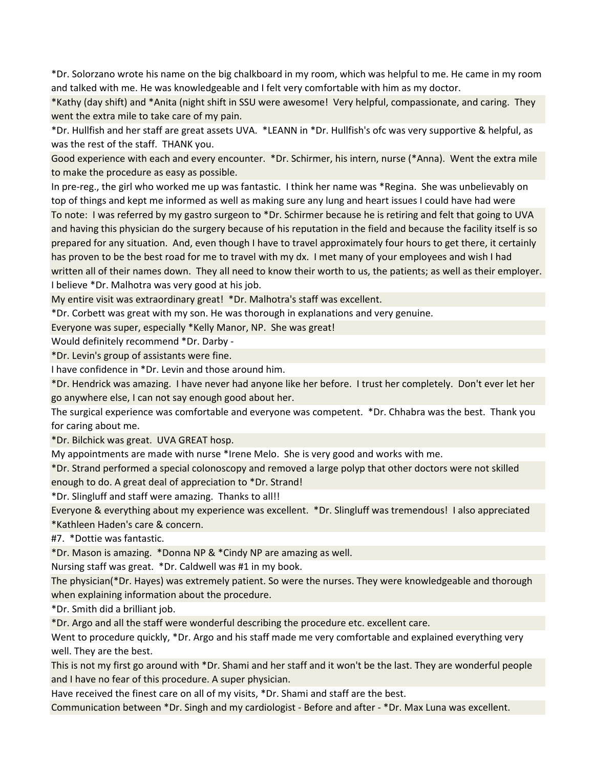\*Dr. Solorzano wrote his name on the big chalkboard in my room, which was helpful to me. He came in my room and talked with me. He was knowledgeable and I felt very comfortable with him as my doctor.

\*Kathy (day shift) and \*Anita (night shift in SSU were awesome! Very helpful, compassionate, and caring. They went the extra mile to take care of my pain.

\*Dr. Hullfish and her staff are great assets UVA. \*LEANN in \*Dr. Hullfish's ofc was very supportive & helpful, as was the rest of the staff. THANK you.

Good experience with each and every encounter. \*Dr. Schirmer, his intern, nurse (\*Anna). Went the extra mile to make the procedure as easy as possible.

In pre-reg., the girl who worked me up was fantastic. I think her name was \*Regina. She was unbelievably on top of things and kept me informed as well as making sure any lung and heart issues I could have had were To note: I was referred by my gastro surgeon to \*Dr. Schirmer because he is retiring and felt that going to UVA and having this physician do the surgery because of his reputation in the field and because the facility itself is so prepared for any situation. And, even though I have to travel approximately four hours to get there, it certainly has proven to be the best road for me to travel with my dx. I met many of your employees and wish I had written all of their names down. They all need to know their worth to us, the patients; as well as their employer. I believe \*Dr. Malhotra was very good at his job.

My entire visit was extraordinary great! \*Dr. Malhotra's staff was excellent.

\*Dr. Corbett was great with my son. He was thorough in explanations and very genuine.

Everyone was super, especially \*Kelly Manor, NP. She was great!

Would definitely recommend \*Dr. Darby -

\*Dr. Levin's group of assistants were fine.

I have confidence in \*Dr. Levin and those around him.

\*Dr. Hendrick was amazing. I have never had anyone like her before. I trust her completely. Don't ever let her go anywhere else, I can not say enough good about her.

The surgical experience was comfortable and everyone was competent. \*Dr. Chhabra was the best. Thank you for caring about me.

\*Dr. Bilchick was great. UVA GREAT hosp.

My appointments are made with nurse \*Irene Melo. She is very good and works with me.

\*Dr. Strand performed a special colonoscopy and removed a large polyp that other doctors were not skilled enough to do. A great deal of appreciation to \*Dr. Strand!

\*Dr. Slingluff and staff were amazing. Thanks to all!!

Everyone & everything about my experience was excellent. \*Dr. Slingluff was tremendous! I also appreciated \*Kathleen Haden's care & concern.

#7. \*Dottie was fantastic.

\*Dr. Mason is amazing. \*Donna NP & \*Cindy NP are amazing as well.

Nursing staff was great. \*Dr. Caldwell was #1 in my book.

The physician(\*Dr. Hayes) was extremely patient. So were the nurses. They were knowledgeable and thorough when explaining information about the procedure.

\*Dr. Smith did a brilliant job.

\*Dr. Argo and all the staff were wonderful describing the procedure etc. excellent care.

Went to procedure quickly, \*Dr. Argo and his staff made me very comfortable and explained everything very well. They are the best.

This is not my first go around with \*Dr. Shami and her staff and it won't be the last. They are wonderful people and I have no fear of this procedure. A super physician.

Have received the finest care on all of my visits, \*Dr. Shami and staff are the best.

Communication between \*Dr. Singh and my cardiologist - Before and after - \*Dr. Max Luna was excellent.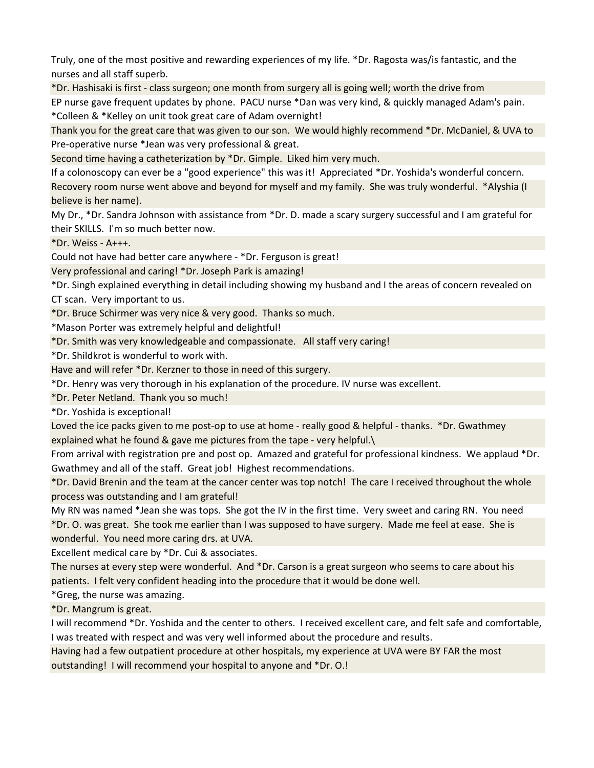Truly, one of the most positive and rewarding experiences of my life. \*Dr. Ragosta was/is fantastic, and the nurses and all staff superb.

\*Dr. Hashisaki is first - class surgeon; one month from surgery all is going well; worth the drive from EP nurse gave frequent updates by phone. PACU nurse \*Dan was very kind, & quickly managed Adam's pain. \*Colleen & \*Kelley on unit took great care of Adam overnight!

Thank you for the great care that was given to our son. We would highly recommend \*Dr. McDaniel, & UVA to Pre-operative nurse \*Jean was very professional & great.

Second time having a catheterization by \*Dr. Gimple. Liked him very much.

If a colonoscopy can ever be a "good experience" this was it! Appreciated \*Dr. Yoshida's wonderful concern. Recovery room nurse went above and beyond for myself and my family. She was truly wonderful. \*Alyshia (I believe is her name).

My Dr., \*Dr. Sandra Johnson with assistance from \*Dr. D. made a scary surgery successful and I am grateful for their SKILLS. I'm so much better now.

\*Dr. Weiss - A+++.

Could not have had better care anywhere - \*Dr. Ferguson is great!

Very professional and caring! \*Dr. Joseph Park is amazing!

\*Dr. Singh explained everything in detail including showing my husband and I the areas of concern revealed on CT scan. Very important to us.

\*Dr. Bruce Schirmer was very nice & very good. Thanks so much.

\*Mason Porter was extremely helpful and delightful!

\*Dr. Smith was very knowledgeable and compassionate. All staff very caring!

\*Dr. Shildkrot is wonderful to work with.

Have and will refer \*Dr. Kerzner to those in need of this surgery.

\*Dr. Henry was very thorough in his explanation of the procedure. IV nurse was excellent.

\*Dr. Peter Netland. Thank you so much!

\*Dr. Yoshida is exceptional!

Loved the ice packs given to me post-op to use at home - really good & helpful - thanks. \*Dr. Gwathmey explained what he found & gave me pictures from the tape - very helpful.\

From arrival with registration pre and post op. Amazed and grateful for professional kindness. We applaud \*Dr. Gwathmey and all of the staff. Great job! Highest recommendations.

\*Dr. David Brenin and the team at the cancer center was top notch! The care I received throughout the whole process was outstanding and I am grateful!

My RN was named \*Jean she was tops. She got the IV in the first time. Very sweet and caring RN. You need \*Dr. O. was great. She took me earlier than I was supposed to have surgery. Made me feel at ease. She is wonderful. You need more caring drs. at UVA.

Excellent medical care by \*Dr. Cui & associates.

The nurses at every step were wonderful. And \*Dr. Carson is a great surgeon who seems to care about his patients. I felt very confident heading into the procedure that it would be done well.

\*Greg, the nurse was amazing.

\*Dr. Mangrum is great.

I will recommend \*Dr. Yoshida and the center to others. I received excellent care, and felt safe and comfortable, I was treated with respect and was very well informed about the procedure and results.

Having had a few outpatient procedure at other hospitals, my experience at UVA were BY FAR the most outstanding! I will recommend your hospital to anyone and \*Dr. O.!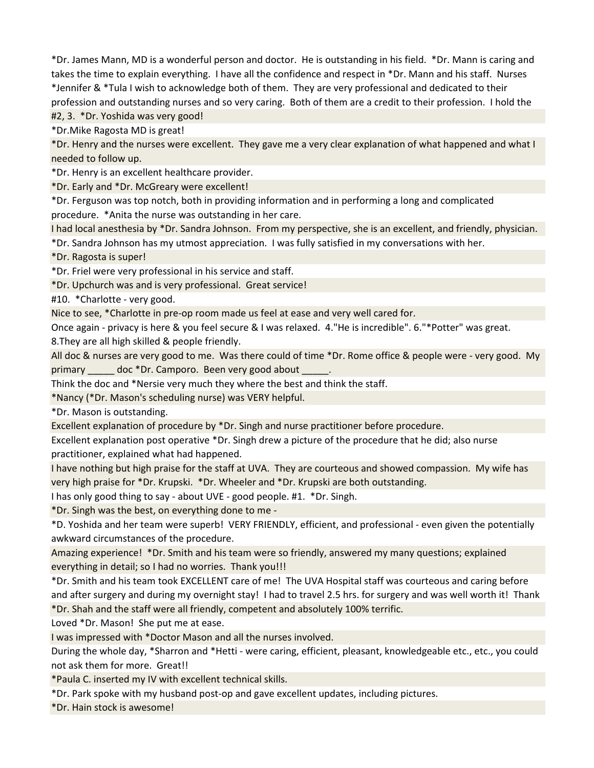\*Dr. James Mann, MD is a wonderful person and doctor. He is outstanding in his field. \*Dr. Mann is caring and takes the time to explain everything. I have all the confidence and respect in \*Dr. Mann and his staff. Nurses \*Jennifer & \*Tula I wish to acknowledge both of them. They are very professional and dedicated to their profession and outstanding nurses and so very caring. Both of them are a credit to their profession. I hold the #2, 3. \*Dr. Yoshida was very good!

\*Dr.Mike Ragosta MD is great!

\*Dr. Henry and the nurses were excellent. They gave me a very clear explanation of what happened and what I needed to follow up.

\*Dr. Henry is an excellent healthcare provider.

\*Dr. Early and \*Dr. McGreary were excellent!

\*Dr. Ferguson was top notch, both in providing information and in performing a long and complicated procedure. \*Anita the nurse was outstanding in her care.

I had local anesthesia by \*Dr. Sandra Johnson. From my perspective, she is an excellent, and friendly, physician.

\*Dr. Sandra Johnson has my utmost appreciation. I was fully satisfied in my conversations with her.

\*Dr. Ragosta is super!

\*Dr. Friel were very professional in his service and staff.

\*Dr. Upchurch was and is very professional. Great service!

#10. \*Charlotte - very good.

Nice to see, \*Charlotte in pre-op room made us feel at ease and very well cared for.

Once again - privacy is here & you feel secure & I was relaxed. 4."He is incredible". 6."\*Potter" was great. 8.They are all high skilled & people friendly.

All doc & nurses are very good to me. Was there could of time \*Dr. Rome office & people were - very good. My primary doc \*Dr. Camporo. Been very good about

Think the doc and \*Nersie very much they where the best and think the staff.

\*Nancy (\*Dr. Mason's scheduling nurse) was VERY helpful.

\*Dr. Mason is outstanding.

Excellent explanation of procedure by \*Dr. Singh and nurse practitioner before procedure.

Excellent explanation post operative \*Dr. Singh drew a picture of the procedure that he did; also nurse practitioner, explained what had happened.

I have nothing but high praise for the staff at UVA. They are courteous and showed compassion. My wife has very high praise for \*Dr. Krupski. \*Dr. Wheeler and \*Dr. Krupski are both outstanding.

I has only good thing to say - about UVE - good people. #1. \*Dr. Singh.

\*Dr. Singh was the best, on everything done to me -

\*D. Yoshida and her team were superb! VERY FRIENDLY, efficient, and professional - even given the potentially awkward circumstances of the procedure.

Amazing experience! \*Dr. Smith and his team were so friendly, answered my many questions; explained everything in detail; so I had no worries. Thank you!!!

\*Dr. Smith and his team took EXCELLENT care of me! The UVA Hospital staff was courteous and caring before and after surgery and during my overnight stay! I had to travel 2.5 hrs. for surgery and was well worth it! Thank \*Dr. Shah and the staff were all friendly, competent and absolutely 100% terrific.

Loved \*Dr. Mason! She put me at ease.

I was impressed with \*Doctor Mason and all the nurses involved.

During the whole day, \*Sharron and \*Hetti - were caring, efficient, pleasant, knowledgeable etc., etc., you could not ask them for more. Great!!

\*Paula C. inserted my IV with excellent technical skills.

\*Dr. Park spoke with my husband post-op and gave excellent updates, including pictures.

\*Dr. Hain stock is awesome!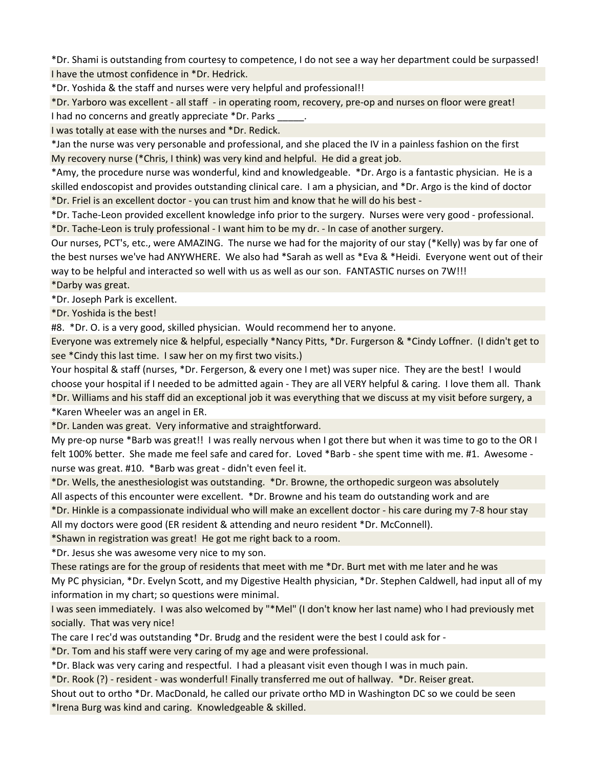\*Dr. Shami is outstanding from courtesy to competence, I do not see a way her department could be surpassed! I have the utmost confidence in \*Dr. Hedrick.

\*Dr. Yoshida & the staff and nurses were very helpful and professional!!

\*Dr. Yarboro was excellent - all staff - in operating room, recovery, pre-op and nurses on floor were great! I had no concerns and greatly appreciate \*Dr. Parks

I was totally at ease with the nurses and \*Dr. Redick.

\*Jan the nurse was very personable and professional, and she placed the IV in a painless fashion on the first My recovery nurse (\*Chris, I think) was very kind and helpful. He did a great job.

\*Amy, the procedure nurse was wonderful, kind and knowledgeable. \*Dr. Argo is a fantastic physician. He is a skilled endoscopist and provides outstanding clinical care. I am a physician, and \*Dr. Argo is the kind of doctor \*Dr. Friel is an excellent doctor - you can trust him and know that he will do his best -

\*Dr. Tache-Leon provided excellent knowledge info prior to the surgery. Nurses were very good - professional. \*Dr. Tache-Leon is truly professional - I want him to be my dr. - In case of another surgery.

Our nurses, PCT's, etc., were AMAZING. The nurse we had for the majority of our stay (\*Kelly) was by far one of the best nurses we've had ANYWHERE. We also had \*Sarah as well as \*Eva & \*Heidi. Everyone went out of their way to be helpful and interacted so well with us as well as our son. FANTASTIC nurses on 7W!!!

\*Darby was great.

\*Dr. Joseph Park is excellent.

\*Dr. Yoshida is the best!

#8. \*Dr. O. is a very good, skilled physician. Would recommend her to anyone.

Everyone was extremely nice & helpful, especially \*Nancy Pitts, \*Dr. Furgerson & \*Cindy Loffner. (I didn't get to see \*Cindy this last time. I saw her on my first two visits.)

Your hospital & staff (nurses, \*Dr. Fergerson, & every one I met) was super nice. They are the best! I would choose your hospital if I needed to be admitted again - They are all VERY helpful & caring. I love them all. Thank \*Dr. Williams and his staff did an exceptional job it was everything that we discuss at my visit before surgery, a \*Karen Wheeler was an angel in ER.

\*Dr. Landen was great. Very informative and straightforward.

My pre-op nurse \*Barb was great!! I was really nervous when I got there but when it was time to go to the OR I felt 100% better. She made me feel safe and cared for. Loved \*Barb - she spent time with me. #1. Awesome nurse was great. #10. \*Barb was great - didn't even feel it.

\*Dr. Wells, the anesthesiologist was outstanding. \*Dr. Browne, the orthopedic surgeon was absolutely All aspects of this encounter were excellent. \*Dr. Browne and his team do outstanding work and are

\*Dr. Hinkle is a compassionate individual who will make an excellent doctor - his care during my 7-8 hour stay All my doctors were good (ER resident & attending and neuro resident \*Dr. McConnell).

\*Shawn in registration was great! He got me right back to a room.

\*Dr. Jesus she was awesome very nice to my son.

These ratings are for the group of residents that meet with me \*Dr. Burt met with me later and he was My PC physician, \*Dr. Evelyn Scott, and my Digestive Health physician, \*Dr. Stephen Caldwell, had input all of my information in my chart; so questions were minimal.

I was seen immediately. I was also welcomed by "\*Mel" (I don't know her last name) who I had previously met socially. That was very nice!

The care I rec'd was outstanding \*Dr. Brudg and the resident were the best I could ask for -

\*Dr. Tom and his staff were very caring of my age and were professional.

\*Dr. Black was very caring and respectful. I had a pleasant visit even though I was in much pain.

\*Dr. Rook (?) - resident - was wonderful! Finally transferred me out of hallway. \*Dr. Reiser great.

Shout out to ortho \*Dr. MacDonald, he called our private ortho MD in Washington DC so we could be seen \*Irena Burg was kind and caring. Knowledgeable & skilled.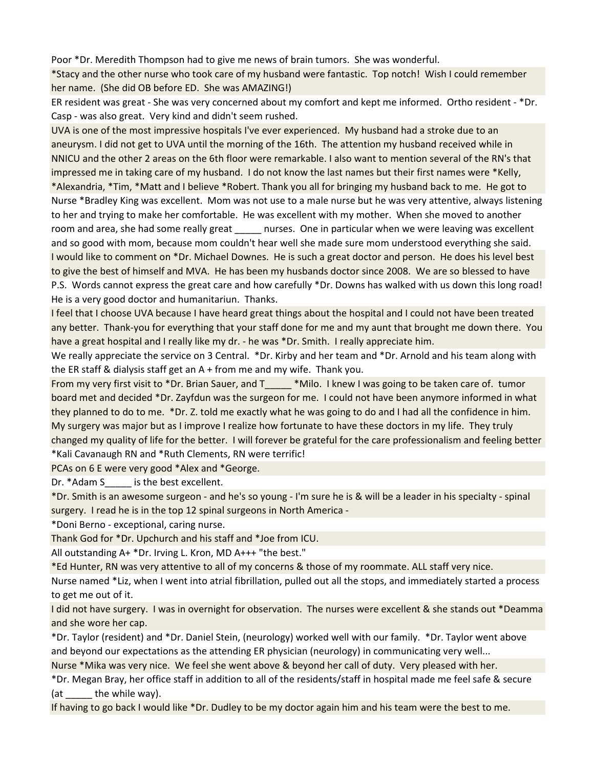Poor \*Dr. Meredith Thompson had to give me news of brain tumors. She was wonderful.

\*Stacy and the other nurse who took care of my husband were fantastic. Top notch! Wish I could remember her name. (She did OB before ED. She was AMAZING!)

ER resident was great - She was very concerned about my comfort and kept me informed. Ortho resident - \*Dr. Casp - was also great. Very kind and didn't seem rushed.

UVA is one of the most impressive hospitals I've ever experienced. My husband had a stroke due to an aneurysm. I did not get to UVA until the morning of the 16th. The attention my husband received while in NNICU and the other 2 areas on the 6th floor were remarkable. I also want to mention several of the RN's that impressed me in taking care of my husband. I do not know the last names but their first names were \*Kelly, \*Alexandria, \*Tim, \*Matt and I believe \*Robert. Thank you all for bringing my husband back to me. He got to Nurse \*Bradley King was excellent. Mom was not use to a male nurse but he was very attentive, always listening to her and trying to make her comfortable. He was excellent with my mother. When she moved to another room and area, she had some really great enties. One in particular when we were leaving was excellent and so good with mom, because mom couldn't hear well she made sure mom understood everything she said. I would like to comment on \*Dr. Michael Downes. He is such a great doctor and person. He does his level best to give the best of himself and MVA. He has been my husbands doctor since 2008. We are so blessed to have P.S. Words cannot express the great care and how carefully \*Dr. Downs has walked with us down this long road! He is a very good doctor and humanitariun. Thanks.

I feel that I choose UVA because I have heard great things about the hospital and I could not have been treated any better. Thank-you for everything that your staff done for me and my aunt that brought me down there. You have a great hospital and I really like my dr. - he was \*Dr. Smith. I really appreciate him.

We really appreciate the service on 3 Central. \*Dr. Kirby and her team and \*Dr. Arnold and his team along with the ER staff & dialysis staff get an A + from me and my wife. Thank you.

From my very first visit to \*Dr. Brian Sauer, and T\_\_\_\_\_ \*Milo. I knew I was going to be taken care of. tumor board met and decided \*Dr. Zayfdun was the surgeon for me. I could not have been anymore informed in what they planned to do to me. \*Dr. Z. told me exactly what he was going to do and I had all the confidence in him. My surgery was major but as I improve I realize how fortunate to have these doctors in my life. They truly changed my quality of life for the better. I will forever be grateful for the care professionalism and feeling better \*Kali Cavanaugh RN and \*Ruth Clements, RN were terrific!

PCAs on 6 E were very good \*Alex and \*George.

Dr. \*Adam S \_\_\_\_\_ is the best excellent.

\*Dr. Smith is an awesome surgeon - and he's so young - I'm sure he is & will be a leader in his specialty - spinal surgery. I read he is in the top 12 spinal surgeons in North America -

\*Doni Berno - exceptional, caring nurse.

Thank God for \*Dr. Upchurch and his staff and \*Joe from ICU.

All outstanding A+ \*Dr. Irving L. Kron, MD A+++ "the best."

\*Ed Hunter, RN was very attentive to all of my concerns & those of my roommate. ALL staff very nice.

Nurse named \*Liz, when I went into atrial fibrillation, pulled out all the stops, and immediately started a process to get me out of it.

I did not have surgery. I was in overnight for observation. The nurses were excellent & she stands out \*Deamma and she wore her cap.

\*Dr. Taylor (resident) and \*Dr. Daniel Stein, (neurology) worked well with our family. \*Dr. Taylor went above and beyond our expectations as the attending ER physician (neurology) in communicating very well...

Nurse \*Mika was very nice. We feel she went above & beyond her call of duty. Very pleased with her.

\*Dr. Megan Bray, her office staff in addition to all of the residents/staff in hospital made me feel safe & secure  $(\text{at } \text{the while way}).$ 

If having to go back I would like \*Dr. Dudley to be my doctor again him and his team were the best to me.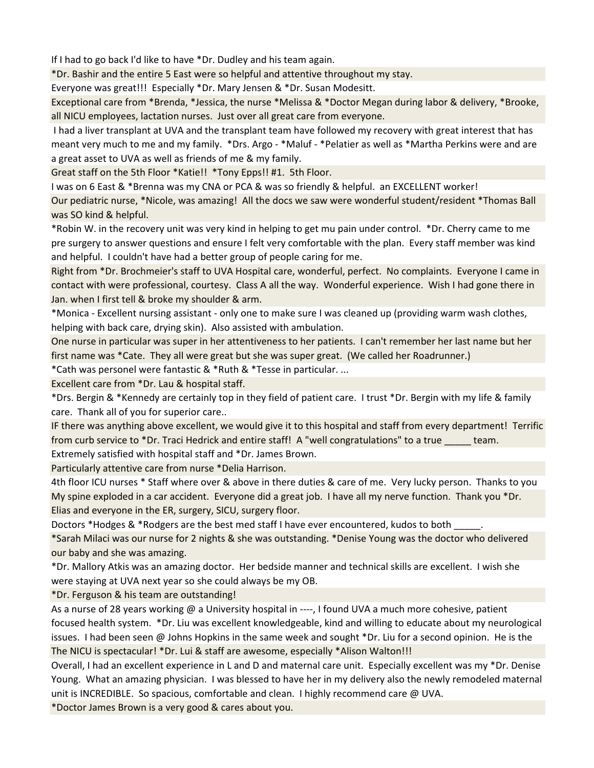If I had to go back I'd like to have \*Dr. Dudley and his team again.

\*Dr. Bashir and the entire 5 East were so helpful and attentive throughout my stay.

Everyone was great!!! Especially \*Dr. Mary Jensen & \*Dr. Susan Modesitt.

Exceptional care from \*Brenda, \*Jessica, the nurse \*Melissa & \*Doctor Megan during labor & delivery, \*Brooke, all NICU employees, lactation nurses. Just over all great care from everyone.

 I had a liver transplant at UVA and the transplant team have followed my recovery with great interest that has meant very much to me and my family. \*Drs. Argo - \*Maluf - \*Pelatier as well as \*Martha Perkins were and are a great asset to UVA as well as friends of me & my family.

Great staff on the 5th Floor \*Katie!! \*Tony Epps!! #1. 5th Floor.

I was on 6 East & \*Brenna was my CNA or PCA & was so friendly & helpful. an EXCELLENT worker!

Our pediatric nurse, \*Nicole, was amazing! All the docs we saw were wonderful student/resident \*Thomas Ball was SO kind & helpful.

\*Robin W. in the recovery unit was very kind in helping to get mu pain under control. \*Dr. Cherry came to me pre surgery to answer questions and ensure I felt very comfortable with the plan. Every staff member was kind and helpful. I couldn't have had a better group of people caring for me.

Right from \*Dr. Brochmeier's staff to UVA Hospital care, wonderful, perfect. No complaints. Everyone I came in contact with were professional, courtesy. Class A all the way. Wonderful experience. Wish I had gone there in Jan. when I first tell & broke my shoulder & arm.

\*Monica - Excellent nursing assistant - only one to make sure I was cleaned up (providing warm wash clothes, helping with back care, drying skin). Also assisted with ambulation.

One nurse in particular was super in her attentiveness to her patients. I can't remember her last name but her first name was \*Cate. They all were great but she was super great. (We called her Roadrunner.)

\*Cath was personel were fantastic & \*Ruth & \*Tesse in particular. ...

Excellent care from \*Dr. Lau & hospital staff.

\*Drs. Bergin & \*Kennedy are certainly top in they field of patient care. I trust \*Dr. Bergin with my life & family care. Thank all of you for superior care..

IF there was anything above excellent, we would give it to this hospital and staff from every department! Terrific from curb service to \*Dr. Traci Hedrick and entire staff! A "well congratulations" to a true \_\_\_\_\_ team. Extremely satisfied with hospital staff and \*Dr. James Brown.

Particularly attentive care from nurse \*Delia Harrison.

4th floor ICU nurses \* Staff where over & above in there duties & care of me. Very lucky person. Thanks to you My spine exploded in a car accident. Everyone did a great job. I have all my nerve function. Thank you \*Dr. Elias and everyone in the ER, surgery, SICU, surgery floor.

Doctors \*Hodges & \*Rodgers are the best med staff I have ever encountered, kudos to both

\*Sarah Milaci was our nurse for 2 nights & she was outstanding. \*Denise Young was the doctor who delivered our baby and she was amazing.

\*Dr. Mallory Atkis was an amazing doctor. Her bedside manner and technical skills are excellent. I wish she were staying at UVA next year so she could always be my OB.

\*Dr. Ferguson & his team are outstanding!

As a nurse of 28 years working @ a University hospital in ----, I found UVA a much more cohesive, patient focused health system. \*Dr. Liu was excellent knowledgeable, kind and willing to educate about my neurological issues. I had been seen @ Johns Hopkins in the same week and sought \*Dr. Liu for a second opinion. He is the The NICU is spectacular! \*Dr. Lui & staff are awesome, especially \*Alison Walton!!!

Overall, I had an excellent experience in L and D and maternal care unit. Especially excellent was my \*Dr. Denise Young. What an amazing physician. I was blessed to have her in my delivery also the newly remodeled maternal unit is INCREDIBLE. So spacious, comfortable and clean. I highly recommend care @ UVA.

\*Doctor James Brown is a very good & cares about you.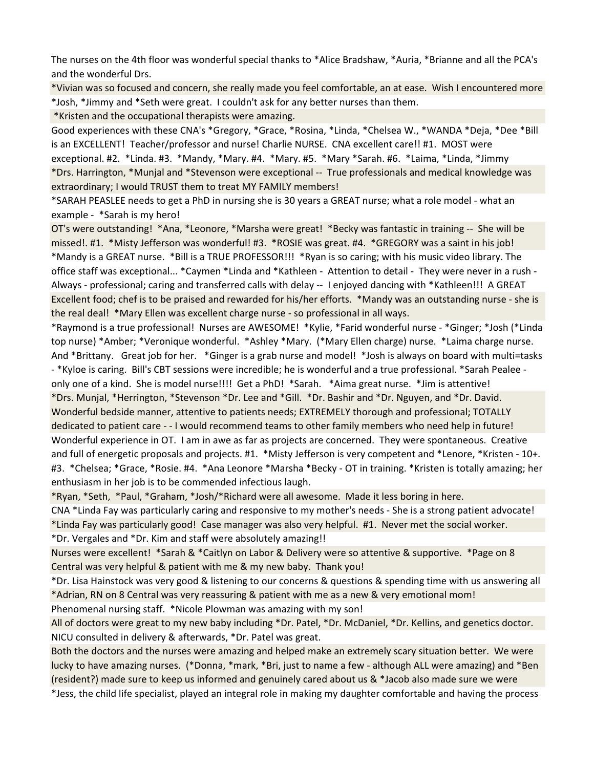The nurses on the 4th floor was wonderful special thanks to \*Alice Bradshaw, \*Auria, \*Brianne and all the PCA's and the wonderful Drs.

\*Vivian was so focused and concern, she really made you feel comfortable, an at ease. Wish I encountered more \*Josh, \*Jimmy and \*Seth were great. I couldn't ask for any better nurses than them.

\*Kristen and the occupational therapists were amazing.

Good experiences with these CNA's \*Gregory, \*Grace, \*Rosina, \*Linda, \*Chelsea W., \*WANDA \*Deja, \*Dee \*Bill is an EXCELLENT! Teacher/professor and nurse! Charlie NURSE. CNA excellent care!! #1. MOST were exceptional. #2. \*Linda. #3. \*Mandy, \*Mary. #4. \*Mary. #5. \*Mary \*Sarah. #6. \*Laima, \*Linda, \*Jimmy \*Drs. Harrington, \*Munjal and \*Stevenson were exceptional -- True professionals and medical knowledge was extraordinary; I would TRUST them to treat MY FAMILY members!

\*SARAH PEASLEE needs to get a PhD in nursing she is 30 years a GREAT nurse; what a role model - what an example - \*Sarah is my hero!

OT's were outstanding! \*Ana, \*Leonore, \*Marsha were great! \*Becky was fantastic in training -- She will be missed!. #1. \*Misty Jefferson was wonderful! #3. \*ROSIE was great. #4. \*GREGORY was a saint in his job! \*Mandy is a GREAT nurse. \*Bill is a TRUE PROFESSOR!!! \*Ryan is so caring; with his music video library. The office staff was exceptional... \*Caymen \*Linda and \*Kathleen - Attention to detail - They were never in a rush - Always - professional; caring and transferred calls with delay -- I enjoyed dancing with \*Kathleen!!! A GREAT Excellent food; chef is to be praised and rewarded for his/her efforts. \*Mandy was an outstanding nurse - she is the real deal! \*Mary Ellen was excellent charge nurse - so professional in all ways.

\*Raymond is a true professional! Nurses are AWESOME! \*Kylie, \*Farid wonderful nurse - \*Ginger; \*Josh (\*Linda top nurse) \*Amber; \*Veronique wonderful. \*Ashley \*Mary. (\*Mary Ellen charge) nurse. \*Laima charge nurse. And \*Brittany. Great job for her. \*Ginger is a grab nurse and model! \*Josh is always on board with multi=tasks - \*Kyloe is caring. Bill's CBT sessions were incredible; he is wonderful and a true professional. \*Sarah Pealee only one of a kind. She is model nurse!!!! Get a PhD! \*Sarah. \*Aima great nurse. \*Jim is attentive! \*Drs. Munjal, \*Herrington, \*Stevenson \*Dr. Lee and \*Gill. \*Dr. Bashir and \*Dr. Nguyen, and \*Dr. David. Wonderful bedside manner, attentive to patients needs; EXTREMELY thorough and professional; TOTALLY

dedicated to patient care - - I would recommend teams to other family members who need help in future! Wonderful experience in OT. I am in awe as far as projects are concerned. They were spontaneous. Creative and full of energetic proposals and projects. #1. \*Misty Jefferson is very competent and \*Lenore, \*Kristen - 10+. #3. \*Chelsea; \*Grace, \*Rosie. #4. \*Ana Leonore \*Marsha \*Becky - OT in training. \*Kristen is totally amazing; her enthusiasm in her job is to be commended infectious laugh.

\*Ryan, \*Seth, \*Paul, \*Graham, \*Josh/\*Richard were all awesome. Made it less boring in here.

CNA \*Linda Fay was particularly caring and responsive to my mother's needs - She is a strong patient advocate! \*Linda Fay was particularly good! Case manager was also very helpful. #1. Never met the social worker. \*Dr. Vergales and \*Dr. Kim and staff were absolutely amazing!!

Nurses were excellent! \*Sarah & \*Caitlyn on Labor & Delivery were so attentive & supportive. \*Page on 8 Central was very helpful & patient with me & my new baby. Thank you!

\*Dr. Lisa Hainstock was very good & listening to our concerns & questions & spending time with us answering all \*Adrian, RN on 8 Central was very reassuring & patient with me as a new & very emotional mom!

Phenomenal nursing staff. \*Nicole Plowman was amazing with my son!

All of doctors were great to my new baby including \*Dr. Patel, \*Dr. McDaniel, \*Dr. Kellins, and genetics doctor. NICU consulted in delivery & afterwards, \*Dr. Patel was great.

Both the doctors and the nurses were amazing and helped make an extremely scary situation better. We were lucky to have amazing nurses. (\*Donna, \*mark, \*Bri, just to name a few - although ALL were amazing) and \*Ben (resident?) made sure to keep us informed and genuinely cared about us & \*Jacob also made sure we were

\*Jess, the child life specialist, played an integral role in making my daughter comfortable and having the process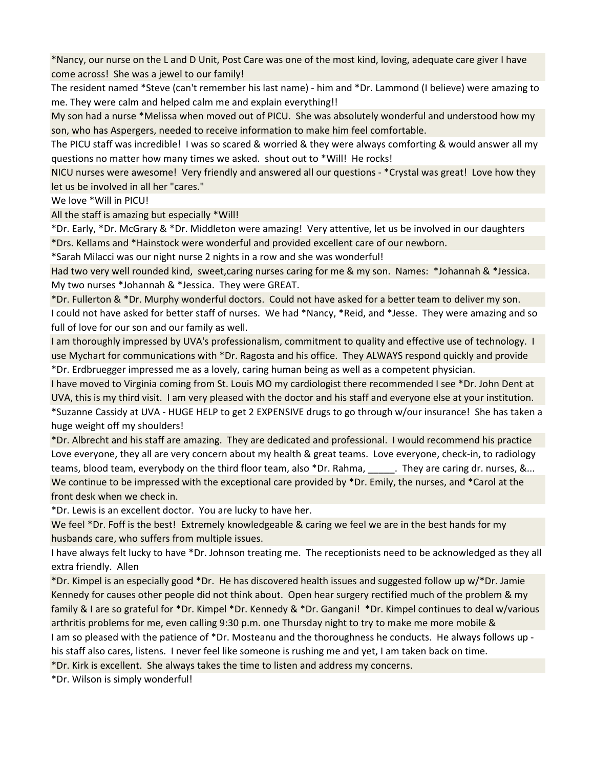\*Nancy, our nurse on the L and D Unit, Post Care was one of the most kind, loving, adequate care giver I have come across! She was a jewel to our family!

The resident named \*Steve (can't remember his last name) - him and \*Dr. Lammond (I believe) were amazing to me. They were calm and helped calm me and explain everything!!

My son had a nurse \*Melissa when moved out of PICU. She was absolutely wonderful and understood how my son, who has Aspergers, needed to receive information to make him feel comfortable.

The PICU staff was incredible! I was so scared & worried & they were always comforting & would answer all my questions no matter how many times we asked. shout out to \*Will! He rocks!

NICU nurses were awesome! Very friendly and answered all our questions - \*Crystal was great! Love how they let us be involved in all her "cares."

We love \*Will in PICU!

All the staff is amazing but especially \*Will!

\*Dr. Early, \*Dr. McGrary & \*Dr. Middleton were amazing! Very attentive, let us be involved in our daughters \*Drs. Kellams and \*Hainstock were wonderful and provided excellent care of our newborn.

\*Sarah Milacci was our night nurse 2 nights in a row and she was wonderful!

Had two very well rounded kind, sweet,caring nurses caring for me & my son. Names: \*Johannah & \*Jessica. My two nurses \*Johannah & \*Jessica. They were GREAT.

\*Dr. Fullerton & \*Dr. Murphy wonderful doctors. Could not have asked for a better team to deliver my son. I could not have asked for better staff of nurses. We had \*Nancy, \*Reid, and \*Jesse. They were amazing and so full of love for our son and our family as well.

I am thoroughly impressed by UVA's professionalism, commitment to quality and effective use of technology. I use Mychart for communications with \*Dr. Ragosta and his office. They ALWAYS respond quickly and provide \*Dr. Erdbruegger impressed me as a lovely, caring human being as well as a competent physician.

I have moved to Virginia coming from St. Louis MO my cardiologist there recommended I see \*Dr. John Dent at UVA, this is my third visit. I am very pleased with the doctor and his staff and everyone else at your institution. \*Suzanne Cassidy at UVA - HUGE HELP to get 2 EXPENSIVE drugs to go through w/our insurance! She has taken a huge weight off my shoulders!

\*Dr. Albrecht and his staff are amazing. They are dedicated and professional. I would recommend his practice Love everyone, they all are very concern about my health & great teams. Love everyone, check-in, to radiology teams, blood team, everybody on the third floor team, also \*Dr. Rahma, \_\_\_\_\_. They are caring dr. nurses, &... We continue to be impressed with the exceptional care provided by \*Dr. Emily, the nurses, and \*Carol at the front desk when we check in.

\*Dr. Lewis is an excellent doctor. You are lucky to have her.

We feel \*Dr. Foff is the best! Extremely knowledgeable & caring we feel we are in the best hands for my husbands care, who suffers from multiple issues.

I have always felt lucky to have \*Dr. Johnson treating me. The receptionists need to be acknowledged as they all extra friendly. Allen

\*Dr. Kimpel is an especially good \*Dr. He has discovered health issues and suggested follow up w/\*Dr. Jamie Kennedy for causes other people did not think about. Open hear surgery rectified much of the problem & my family & I are so grateful for \*Dr. Kimpel \*Dr. Kennedy & \*Dr. Gangani! \*Dr. Kimpel continues to deal w/various arthritis problems for me, even calling 9:30 p.m. one Thursday night to try to make me more mobile & I am so pleased with the patience of \*Dr. Mosteanu and the thoroughness he conducts. He always follows up his staff also cares, listens. I never feel like someone is rushing me and yet, I am taken back on time.

\*Dr. Kirk is excellent. She always takes the time to listen and address my concerns.

\*Dr. Wilson is simply wonderful!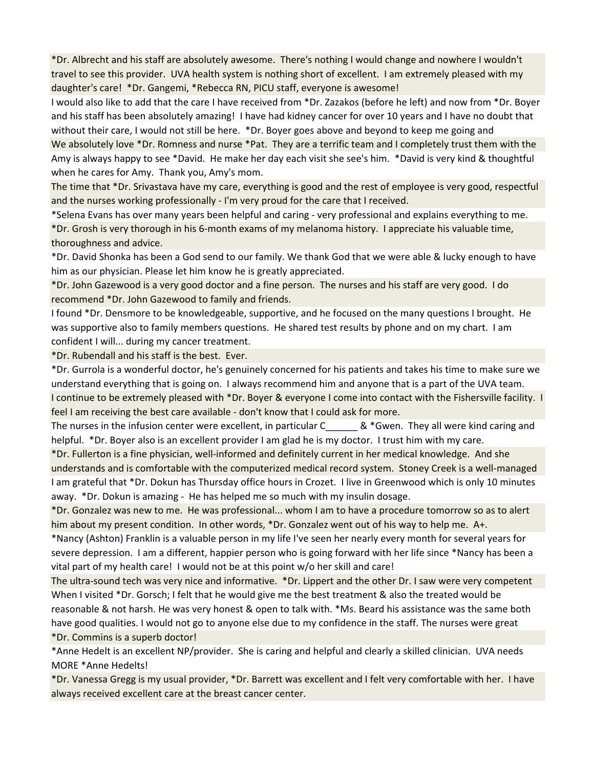\*Dr. Albrecht and his staff are absolutely awesome. There's nothing I would change and nowhere I wouldn't travel to see this provider. UVA health system is nothing short of excellent. I am extremely pleased with my daughter's care! \*Dr. Gangemi, \*Rebecca RN, PICU staff, everyone is awesome!

I would also like to add that the care I have received from \*Dr. Zazakos (before he left) and now from \*Dr. Boyer and his staff has been absolutely amazing! I have had kidney cancer for over 10 years and I have no doubt that without their care, I would not still be here. \*Dr. Boyer goes above and beyond to keep me going and We absolutely love \*Dr. Romness and nurse \*Pat. They are a terrific team and I completely trust them with the Amy is always happy to see \*David. He make her day each visit she see's him. \*David is very kind & thoughtful when he cares for Amy. Thank you, Amy's mom.

The time that \*Dr. Srivastava have my care, everything is good and the rest of employee is very good, respectful and the nurses working professionally - I'm very proud for the care that I received.

\*Selena Evans has over many years been helpful and caring - very professional and explains everything to me. \*Dr. Grosh is very thorough in his 6-month exams of my melanoma history. I appreciate his valuable time, thoroughness and advice.

\*Dr. David Shonka has been a God send to our family. We thank God that we were able & lucky enough to have him as our physician. Please let him know he is greatly appreciated.

\*Dr. John Gazewood is a very good doctor and a fine person. The nurses and his staff are very good. I do recommend \*Dr. John Gazewood to family and friends.

I found \*Dr. Densmore to be knowledgeable, supportive, and he focused on the many questions I brought. He was supportive also to family members questions. He shared test results by phone and on my chart. I am confident I will... during my cancer treatment.

\*Dr. Rubendall and his staff is the best. Ever.

\*Dr. Gurrola is a wonderful doctor, he's genuinely concerned for his patients and takes his time to make sure we understand everything that is going on. I always recommend him and anyone that is a part of the UVA team. I continue to be extremely pleased with \*Dr. Boyer & everyone I come into contact with the Fishersville facility. I feel I am receiving the best care available - don't know that I could ask for more.

The nurses in the infusion center were excellent, in particular  $C = 8$  \*Gwen. They all were kind caring and helpful. \*Dr. Boyer also is an excellent provider I am glad he is my doctor. I trust him with my care.

\*Dr. Fullerton is a fine physician, well-informed and definitely current in her medical knowledge. And she understands and is comfortable with the computerized medical record system. Stoney Creek is a well-managed I am grateful that \*Dr. Dokun has Thursday office hours in Crozet. I live in Greenwood which is only 10 minutes away. \*Dr. Dokun is amazing - He has helped me so much with my insulin dosage.

\*Dr. Gonzalez was new to me. He was professional... whom I am to have a procedure tomorrow so as to alert him about my present condition. In other words, \*Dr. Gonzalez went out of his way to help me. A+.

\*Nancy (Ashton) Franklin is a valuable person in my life I've seen her nearly every month for several years for severe depression. I am a different, happier person who is going forward with her life since \*Nancy has been a vital part of my health care! I would not be at this point w/o her skill and care!

The ultra-sound tech was very nice and informative. \*Dr. Lippert and the other Dr. I saw were very competent When I visited \*Dr. Gorsch; I felt that he would give me the best treatment & also the treated would be reasonable & not harsh. He was very honest & open to talk with. \*Ms. Beard his assistance was the same both have good qualities. I would not go to anyone else due to my confidence in the staff. The nurses were great \*Dr. Commins is a superb doctor!

\*Anne Hedelt is an excellent NP/provider. She is caring and helpful and clearly a skilled clinician. UVA needs MORE \*Anne Hedelts!

\*Dr. Vanessa Gregg is my usual provider, \*Dr. Barrett was excellent and I felt very comfortable with her. I have always received excellent care at the breast cancer center.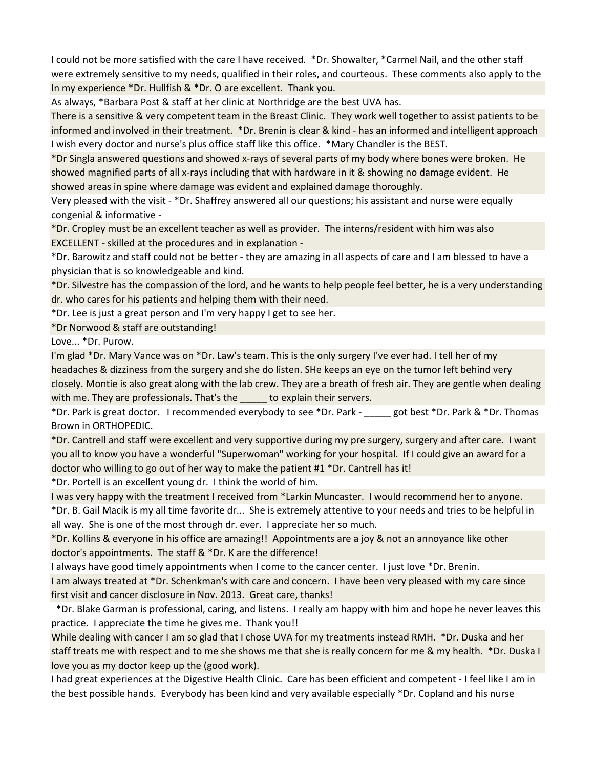I could not be more satisfied with the care I have received. \*Dr. Showalter, \*Carmel Nail, and the other staff were extremely sensitive to my needs, qualified in their roles, and courteous. These comments also apply to the In my experience \*Dr. Hullfish & \*Dr. O are excellent. Thank you.

As always, \*Barbara Post & staff at her clinic at Northridge are the best UVA has.

There is a sensitive & very competent team in the Breast Clinic. They work well together to assist patients to be informed and involved in their treatment. \*Dr. Brenin is clear & kind - has an informed and intelligent approach I wish every doctor and nurse's plus office staff like this office. \*Mary Chandler is the BEST.

\*Dr Singla answered questions and showed x-rays of several parts of my body where bones were broken. He showed magnified parts of all x-rays including that with hardware in it & showing no damage evident. He showed areas in spine where damage was evident and explained damage thoroughly.

Very pleased with the visit - \*Dr. Shaffrey answered all our questions; his assistant and nurse were equally congenial & informative -

\*Dr. Cropley must be an excellent teacher as well as provider. The interns/resident with him was also EXCELLENT - skilled at the procedures and in explanation -

\*Dr. Barowitz and staff could not be better - they are amazing in all aspects of care and I am blessed to have a physician that is so knowledgeable and kind.

\*Dr. Silvestre has the compassion of the lord, and he wants to help people feel better, he is a very understanding dr. who cares for his patients and helping them with their need.

\*Dr. Lee is just a great person and I'm very happy I get to see her.

\*Dr Norwood & staff are outstanding!

Love... \*Dr. Purow.

I'm glad \*Dr. Mary Vance was on \*Dr. Law's team. This is the only surgery I've ever had. I tell her of my headaches & dizziness from the surgery and she do listen. SHe keeps an eye on the tumor left behind very closely. Montie is also great along with the lab crew. They are a breath of fresh air. They are gentle when dealing with me. They are professionals. That's the same to explain their servers.

\*Dr. Park is great doctor. I recommended everybody to see \*Dr. Park - \_\_\_\_\_ got best \*Dr. Park & \*Dr. Thomas Brown in ORTHOPEDIC.

\*Dr. Cantrell and staff were excellent and very supportive during my pre surgery, surgery and after care. I want you all to know you have a wonderful "Superwoman" working for your hospital. If I could give an award for a doctor who willing to go out of her way to make the patient #1 \*Dr. Cantrell has it!

\*Dr. Portell is an excellent young dr. I think the world of him.

I was very happy with the treatment I received from \*Larkin Muncaster. I would recommend her to anyone.

\*Dr. B. Gail Macik is my all time favorite dr... She is extremely attentive to your needs and tries to be helpful in all way. She is one of the most through dr. ever. I appreciate her so much.

\*Dr. Kollins & everyone in his office are amazing!! Appointments are a joy & not an annoyance like other doctor's appointments. The staff & \*Dr. K are the difference!

I always have good timely appointments when I come to the cancer center. I just love \*Dr. Brenin.

I am always treated at \*Dr. Schenkman's with care and concern. I have been very pleased with my care since first visit and cancer disclosure in Nov. 2013. Great care, thanks!

 \*Dr. Blake Garman is professional, caring, and listens. I really am happy with him and hope he never leaves this practice. I appreciate the time he gives me. Thank you!!

While dealing with cancer I am so glad that I chose UVA for my treatments instead RMH. \*Dr. Duska and her staff treats me with respect and to me she shows me that she is really concern for me & my health. \*Dr. Duska I love you as my doctor keep up the (good work).

I had great experiences at the Digestive Health Clinic. Care has been efficient and competent - I feel like I am in the best possible hands. Everybody has been kind and very available especially \*Dr. Copland and his nurse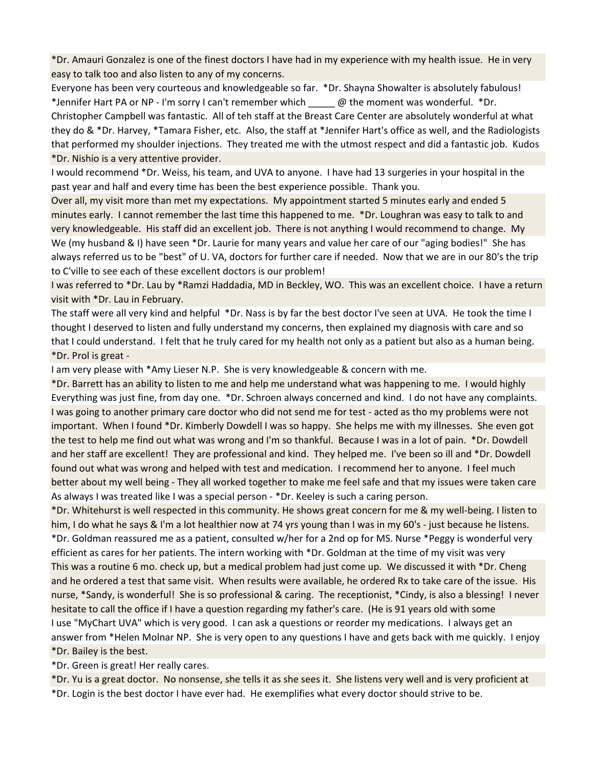\*Dr. Amauri Gonzalez is one of the finest doctors I have had in my experience with my health issue. He in very easy to talk too and also listen to any of my concerns.

Everyone has been very courteous and knowledgeable so far. \*Dr. Shayna Showalter is absolutely fabulous! \*Jennifer Hart PA or NP - I'm sorry I can't remember which \_\_\_\_\_ @ the moment was wonderful. \*Dr. Christopher Campbell was fantastic. All of teh staff at the Breast Care Center are absolutely wonderful at what they do & \*Dr. Harvey, \*Tamara Fisher, etc. Also, the staff at \*Jennifer Hart's office as well, and the Radiologists that performed my shoulder injections. They treated me with the utmost respect and did a fantastic job. Kudos \*Dr. Nishio is a very attentive provider.

I would recommend \*Dr. Weiss, his team, and UVA to anyone. I have had 13 surgeries in your hospital in the past year and half and every time has been the best experience possible. Thank you.

Over all, my visit more than met my expectations. My appointment started 5 minutes early and ended 5 minutes early. I cannot remember the last time this happened to me. \*Dr. Loughran was easy to talk to and very knowledgeable. His staff did an excellent job. There is not anything I would recommend to change. My We (my husband & I) have seen \*Dr. Laurie for many years and value her care of our "aging bodies!" She has always referred us to be "best" of U. VA, doctors for further care if needed. Now that we are in our 80's the trip to C'ville to see each of these excellent doctors is our problem!

I was referred to \*Dr. Lau by \*Ramzi Haddadia, MD in Beckley, WO. This was an excellent choice. I have a return visit with \*Dr. Lau in February.

The staff were all very kind and helpful \*Dr. Nass is by far the best doctor I've seen at UVA. He took the time I thought I deserved to listen and fully understand my concerns, then explained my diagnosis with care and so that I could understand. I felt that he truly cared for my health not only as a patient but also as a human being. \*Dr. Prol is great -

I am very please with \*Amy Lieser N.P. She is very knowledgeable & concern with me.

\*Dr. Barrett has an ability to listen to me and help me understand what was happening to me. I would highly Everything was just fine, from day one. \*Dr. Schroen always concerned and kind. I do not have any complaints. I was going to another primary care doctor who did not send me for test - acted as tho my problems were not important. When I found \*Dr. Kimberly Dowdell I was so happy. She helps me with my illnesses. She even got the test to help me find out what was wrong and I'm so thankful. Because I was in a lot of pain. \*Dr. Dowdell and her staff are excellent! They are professional and kind. They helped me. I've been so ill and \*Dr. Dowdell found out what was wrong and helped with test and medication. I recommend her to anyone. I feel much better about my well being - They all worked together to make me feel safe and that my issues were taken care As always I was treated like I was a special person - \*Dr. Keeley is such a caring person.

\*Dr. Whitehurst is well respected in this community. He shows great concern for me & my well-being. I listen to him, I do what he says & I'm a lot healthier now at 74 yrs young than I was in my 60's - just because he listens. \*Dr. Goldman reassured me as a patient, consulted w/her for a 2nd op for MS. Nurse \*Peggy is wonderful very efficient as cares for her patients. The intern working with \*Dr. Goldman at the time of my visit was very This was a routine 6 mo. check up, but a medical problem had just come up. We discussed it with \*Dr. Cheng and he ordered a test that same visit. When results were available, he ordered Rx to take care of the issue. His nurse, \*Sandy, is wonderful! She is so professional & caring. The receptionist, \*Cindy, is also a blessing! I never hesitate to call the office if I have a question regarding my father's care. (He is 91 years old with some I use "MyChart UVA" which is very good. I can ask a questions or reorder my medications. I always get an answer from \*Helen Molnar NP. She is very open to any questions I have and gets back with me quickly. I enjoy \*Dr. Bailey is the best.

\*Dr. Green is great! Her really cares.

\*Dr. Yu is a great doctor. No nonsense, she tells it as she sees it. She listens very well and is very proficient at

\*Dr. Login is the best doctor I have ever had. He exemplifies what every doctor should strive to be.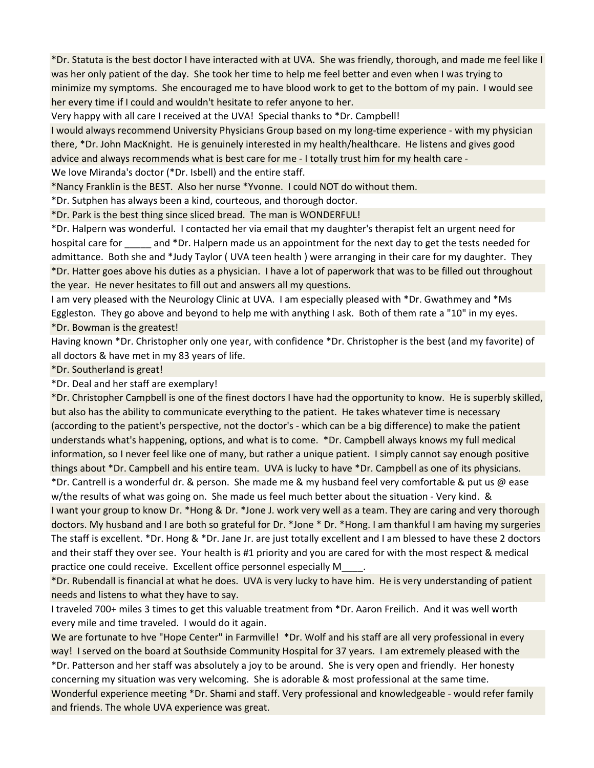\*Dr. Statuta is the best doctor I have interacted with at UVA. She was friendly, thorough, and made me feel like I was her only patient of the day. She took her time to help me feel better and even when I was trying to minimize my symptoms. She encouraged me to have blood work to get to the bottom of my pain. I would see her every time if I could and wouldn't hesitate to refer anyone to her.

Very happy with all care I received at the UVA! Special thanks to \*Dr. Campbell!

I would always recommend University Physicians Group based on my long-time experience - with my physician there, \*Dr. John MacKnight. He is genuinely interested in my health/healthcare. He listens and gives good advice and always recommends what is best care for me - I totally trust him for my health care - We love Miranda's doctor (\*Dr. Isbell) and the entire staff.

\*Nancy Franklin is the BEST. Also her nurse \*Yvonne. I could NOT do without them.

\*Dr. Sutphen has always been a kind, courteous, and thorough doctor.

\*Dr. Park is the best thing since sliced bread. The man is WONDERFUL!

\*Dr. Halpern was wonderful. I contacted her via email that my daughter's therapist felt an urgent need for hospital care for and \*Dr. Halpern made us an appointment for the next day to get the tests needed for admittance. Both she and \*Judy Taylor ( UVA teen health ) were arranging in their care for my daughter. They \*Dr. Hatter goes above his duties as a physician. I have a lot of paperwork that was to be filled out throughout the year. He never hesitates to fill out and answers all my questions.

I am very pleased with the Neurology Clinic at UVA. I am especially pleased with \*Dr. Gwathmey and \*Ms Eggleston. They go above and beyond to help me with anything I ask. Both of them rate a "10" in my eyes. \*Dr. Bowman is the greatest!

Having known \*Dr. Christopher only one year, with confidence \*Dr. Christopher is the best (and my favorite) of all doctors & have met in my 83 years of life.

\*Dr. Southerland is great!

\*Dr. Deal and her staff are exemplary!

\*Dr. Christopher Campbell is one of the finest doctors I have had the opportunity to know. He is superbly skilled, but also has the ability to communicate everything to the patient. He takes whatever time is necessary (according to the patient's perspective, not the doctor's - which can be a big difference) to make the patient understands what's happening, options, and what is to come. \*Dr. Campbell always knows my full medical information, so I never feel like one of many, but rather a unique patient. I simply cannot say enough positive things about \*Dr. Campbell and his entire team. UVA is lucky to have \*Dr. Campbell as one of its physicians. \*Dr. Cantrell is a wonderful dr. & person. She made me & my husband feel very comfortable & put us @ ease w/the results of what was going on. She made us feel much better about the situation - Very kind. & I want your group to know Dr. \*Hong & Dr. \*Jone J. work very well as a team. They are caring and very thorough doctors. My husband and I are both so grateful for Dr. \*Jone \* Dr. \*Hong. I am thankful I am having my surgeries The staff is excellent. \*Dr. Hong & \*Dr. Jane Jr. are just totally excellent and I am blessed to have these 2 doctors and their staff they over see. Your health is #1 priority and you are cared for with the most respect & medical practice one could receive. Excellent office personnel especially M\_\_\_\_.

\*Dr. Rubendall is financial at what he does. UVA is very lucky to have him. He is very understanding of patient needs and listens to what they have to say.

I traveled 700+ miles 3 times to get this valuable treatment from \*Dr. Aaron Freilich. And it was well worth every mile and time traveled. I would do it again.

We are fortunate to hve "Hope Center" in Farmville! \*Dr. Wolf and his staff are all very professional in every way! I served on the board at Southside Community Hospital for 37 years. I am extremely pleased with the

\*Dr. Patterson and her staff was absolutely a joy to be around. She is very open and friendly. Her honesty concerning my situation was very welcoming. She is adorable & most professional at the same time. Wonderful experience meeting \*Dr. Shami and staff. Very professional and knowledgeable - would refer family and friends. The whole UVA experience was great.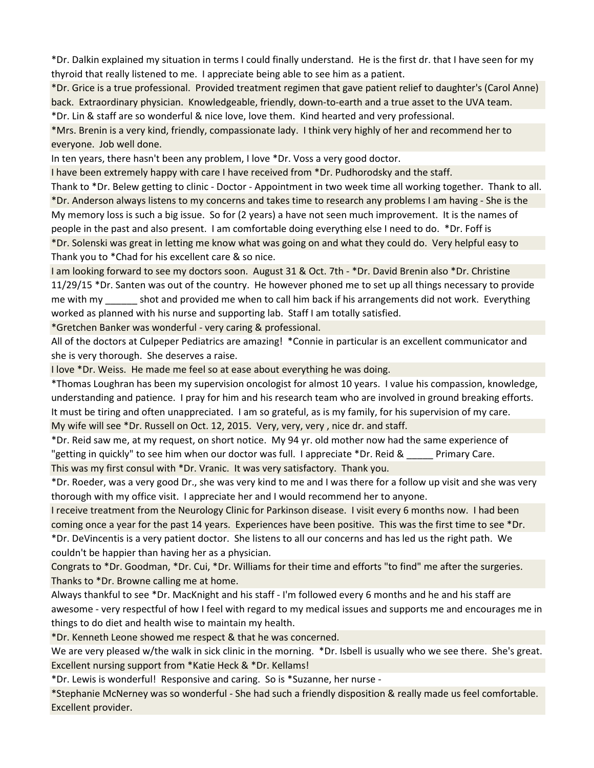\*Dr. Dalkin explained my situation in terms I could finally understand. He is the first dr. that I have seen for my thyroid that really listened to me. I appreciate being able to see him as a patient.

\*Dr. Grice is a true professional. Provided treatment regimen that gave patient relief to daughter's (Carol Anne) back. Extraordinary physician. Knowledgeable, friendly, down-to-earth and a true asset to the UVA team. \*Dr. Lin & staff are so wonderful & nice love, love them. Kind hearted and very professional.

\*Mrs. Brenin is a very kind, friendly, compassionate lady. I think very highly of her and recommend her to everyone. Job well done.

In ten years, there hasn't been any problem, I love \*Dr. Voss a very good doctor.

I have been extremely happy with care I have received from \*Dr. Pudhorodsky and the staff.

Thank to \*Dr. Belew getting to clinic - Doctor - Appointment in two week time all working together. Thank to all. \*Dr. Anderson always listens to my concerns and takes time to research any problems I am having - She is the My memory loss is such a big issue. So for (2 years) a have not seen much improvement. It is the names of people in the past and also present. I am comfortable doing everything else I need to do. \*Dr. Foff is \*Dr. Solenski was great in letting me know what was going on and what they could do. Very helpful easy to Thank you to \*Chad for his excellent care & so nice.

I am looking forward to see my doctors soon. August 31 & Oct. 7th - \*Dr. David Brenin also \*Dr. Christine 11/29/15 \*Dr. Santen was out of the country. He however phoned me to set up all things necessary to provide me with my shot and provided me when to call him back if his arrangements did not work. Everything worked as planned with his nurse and supporting lab. Staff I am totally satisfied.

\*Gretchen Banker was wonderful - very caring & professional.

All of the doctors at Culpeper Pediatrics are amazing! \*Connie in particular is an excellent communicator and she is very thorough. She deserves a raise.

I love \*Dr. Weiss. He made me feel so at ease about everything he was doing.

\*Thomas Loughran has been my supervision oncologist for almost 10 years. I value his compassion, knowledge, understanding and patience. I pray for him and his research team who are involved in ground breaking efforts. It must be tiring and often unappreciated. I am so grateful, as is my family, for his supervision of my care. My wife will see \*Dr. Russell on Oct. 12, 2015. Very, very, very , nice dr. and staff.

\*Dr. Reid saw me, at my request, on short notice. My 94 yr. old mother now had the same experience of "getting in quickly" to see him when our doctor was full. I appreciate \*Dr. Reid & \_\_\_\_\_ Primary Care.

This was my first consul with \*Dr. Vranic. It was very satisfactory. Thank you.

\*Dr. Roeder, was a very good Dr., she was very kind to me and I was there for a follow up visit and she was very thorough with my office visit. I appreciate her and I would recommend her to anyone.

I receive treatment from the Neurology Clinic for Parkinson disease. I visit every 6 months now. I had been coming once a year for the past 14 years. Experiences have been positive. This was the first time to see \*Dr. \*Dr. DeVincentis is a very patient doctor. She listens to all our concerns and has led us the right path. We

couldn't be happier than having her as a physician.

Congrats to \*Dr. Goodman, \*Dr. Cui, \*Dr. Williams for their time and efforts "to find" me after the surgeries. Thanks to \*Dr. Browne calling me at home.

Always thankful to see \*Dr. MacKnight and his staff - I'm followed every 6 months and he and his staff are awesome - very respectful of how I feel with regard to my medical issues and supports me and encourages me in things to do diet and health wise to maintain my health.

\*Dr. Kenneth Leone showed me respect & that he was concerned.

We are very pleased w/the walk in sick clinic in the morning. \*Dr. Isbell is usually who we see there. She's great. Excellent nursing support from \*Katie Heck & \*Dr. Kellams!

\*Dr. Lewis is wonderful! Responsive and caring. So is \*Suzanne, her nurse -

\*Stephanie McNerney was so wonderful - She had such a friendly disposition & really made us feel comfortable. Excellent provider.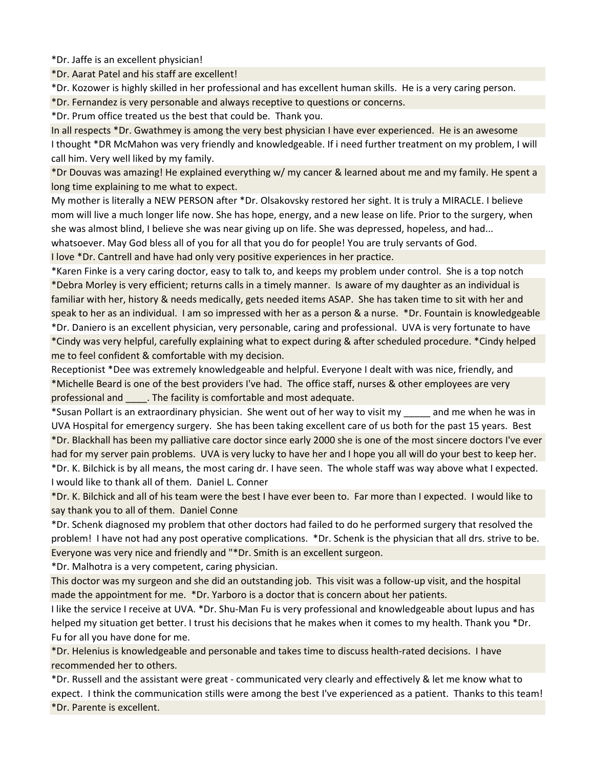\*Dr. Jaffe is an excellent physician!

\*Dr. Aarat Patel and his staff are excellent!

\*Dr. Kozower is highly skilled in her professional and has excellent human skills. He is a very caring person.

\*Dr. Fernandez is very personable and always receptive to questions or concerns.

\*Dr. Prum office treated us the best that could be. Thank you.

In all respects \*Dr. Gwathmey is among the very best physician I have ever experienced. He is an awesome I thought \*DR McMahon was very friendly and knowledgeable. If i need further treatment on my problem, I will call him. Very well liked by my family.

\*Dr Douvas was amazing! He explained everything w/ my cancer & learned about me and my family. He spent a long time explaining to me what to expect.

My mother is literally a NEW PERSON after \*Dr. Olsakovsky restored her sight. It is truly a MIRACLE. I believe mom will live a much longer life now. She has hope, energy, and a new lease on life. Prior to the surgery, when she was almost blind, I believe she was near giving up on life. She was depressed, hopeless, and had...

whatsoever. May God bless all of you for all that you do for people! You are truly servants of God.

I love \*Dr. Cantrell and have had only very positive experiences in her practice.

\*Karen Finke is a very caring doctor, easy to talk to, and keeps my problem under control. She is a top notch \*Debra Morley is very efficient; returns calls in a timely manner. Is aware of my daughter as an individual is familiar with her, history & needs medically, gets needed items ASAP. She has taken time to sit with her and speak to her as an individual. I am so impressed with her as a person & a nurse. \*Dr. Fountain is knowledgeable

\*Dr. Daniero is an excellent physician, very personable, caring and professional. UVA is very fortunate to have \*Cindy was very helpful, carefully explaining what to expect during & after scheduled procedure. \*Cindy helped me to feel confident & comfortable with my decision.

Receptionist \*Dee was extremely knowledgeable and helpful. Everyone I dealt with was nice, friendly, and \*Michelle Beard is one of the best providers I've had. The office staff, nurses & other employees are very professional and \_\_\_\_. The facility is comfortable and most adequate.

\*Susan Pollart is an extraordinary physician. She went out of her way to visit my \_\_\_\_\_ and me when he was in UVA Hospital for emergency surgery. She has been taking excellent care of us both for the past 15 years. Best \*Dr. Blackhall has been my palliative care doctor since early 2000 she is one of the most sincere doctors I've ever had for my server pain problems. UVA is very lucky to have her and I hope you all will do your best to keep her.

\*Dr. K. Bilchick is by all means, the most caring dr. I have seen. The whole staff was way above what I expected. I would like to thank all of them. Daniel L. Conner

\*Dr. K. Bilchick and all of his team were the best I have ever been to. Far more than I expected. I would like to say thank you to all of them. Daniel Conne

\*Dr. Schenk diagnosed my problem that other doctors had failed to do he performed surgery that resolved the problem! I have not had any post operative complications. \*Dr. Schenk is the physician that all drs. strive to be. Everyone was very nice and friendly and "\*Dr. Smith is an excellent surgeon.

\*Dr. Malhotra is a very competent, caring physician.

This doctor was my surgeon and she did an outstanding job. This visit was a follow-up visit, and the hospital made the appointment for me. \*Dr. Yarboro is a doctor that is concern about her patients.

I like the service I receive at UVA. \*Dr. Shu-Man Fu is very professional and knowledgeable about lupus and has helped my situation get better. I trust his decisions that he makes when it comes to my health. Thank you \*Dr. Fu for all you have done for me.

\*Dr. Helenius is knowledgeable and personable and takes time to discuss health-rated decisions. I have recommended her to others.

\*Dr. Russell and the assistant were great - communicated very clearly and effectively & let me know what to expect. I think the communication stills were among the best I've experienced as a patient. Thanks to this team! \*Dr. Parente is excellent.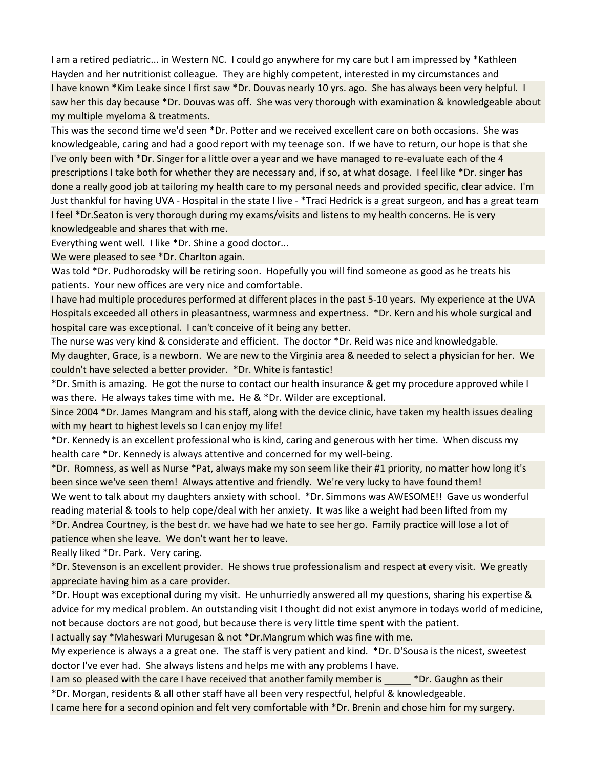I am a retired pediatric... in Western NC. I could go anywhere for my care but I am impressed by \*Kathleen Hayden and her nutritionist colleague. They are highly competent, interested in my circumstances and I have known \*Kim Leake since I first saw \*Dr. Douvas nearly 10 yrs. ago. She has always been very helpful. I saw her this day because \*Dr. Douvas was off. She was very thorough with examination & knowledgeable about my multiple myeloma & treatments.

This was the second time we'd seen \*Dr. Potter and we received excellent care on both occasions. She was knowledgeable, caring and had a good report with my teenage son. If we have to return, our hope is that she I've only been with \*Dr. Singer for a little over a year and we have managed to re-evaluate each of the 4 prescriptions I take both for whether they are necessary and, if so, at what dosage. I feel like \*Dr. singer has done a really good job at tailoring my health care to my personal needs and provided specific, clear advice. I'm Just thankful for having UVA - Hospital in the state I live - \*Traci Hedrick is a great surgeon, and has a great team I feel \*Dr.Seaton is very thorough during my exams/visits and listens to my health concerns. He is very knowledgeable and shares that with me.

Everything went well. I like \*Dr. Shine a good doctor...

We were pleased to see \*Dr. Charlton again.

Was told \*Dr. Pudhorodsky will be retiring soon. Hopefully you will find someone as good as he treats his patients. Your new offices are very nice and comfortable.

I have had multiple procedures performed at different places in the past 5-10 years. My experience at the UVA Hospitals exceeded all others in pleasantness, warmness and expertness. \*Dr. Kern and his whole surgical and hospital care was exceptional. I can't conceive of it being any better.

The nurse was very kind & considerate and efficient. The doctor \*Dr. Reid was nice and knowledgable. My daughter, Grace, is a newborn. We are new to the Virginia area & needed to select a physician for her. We couldn't have selected a better provider. \*Dr. White is fantastic!

\*Dr. Smith is amazing. He got the nurse to contact our health insurance & get my procedure approved while I was there. He always takes time with me. He & \*Dr. Wilder are exceptional.

Since 2004 \*Dr. James Mangram and his staff, along with the device clinic, have taken my health issues dealing with my heart to highest levels so I can enjoy my life!

\*Dr. Kennedy is an excellent professional who is kind, caring and generous with her time. When discuss my health care \*Dr. Kennedy is always attentive and concerned for my well-being.

\*Dr. Romness, as well as Nurse \*Pat, always make my son seem like their #1 priority, no matter how long it's been since we've seen them! Always attentive and friendly. We're very lucky to have found them! We went to talk about my daughters anxiety with school. \*Dr. Simmons was AWESOME!! Gave us wonderful reading material & tools to help cope/deal with her anxiety. It was like a weight had been lifted from my \*Dr. Andrea Courtney, is the best dr. we have had we hate to see her go. Family practice will lose a lot of patience when she leave. We don't want her to leave.

Really liked \*Dr. Park. Very caring.

\*Dr. Stevenson is an excellent provider. He shows true professionalism and respect at every visit. We greatly appreciate having him as a care provider.

\*Dr. Houpt was exceptional during my visit. He unhurriedly answered all my questions, sharing his expertise & advice for my medical problem. An outstanding visit I thought did not exist anymore in todays world of medicine, not because doctors are not good, but because there is very little time spent with the patient.

I actually say \*Maheswari Murugesan & not \*Dr.Mangrum which was fine with me.

My experience is always a a great one. The staff is very patient and kind. \*Dr. D'Sousa is the nicest, sweetest doctor I've ever had. She always listens and helps me with any problems I have.

I am so pleased with the care I have received that another family member is  $\bullet$  Pr. Gaughn as their \*Dr. Morgan, residents & all other staff have all been very respectful, helpful & knowledgeable.

I came here for a second opinion and felt very comfortable with \*Dr. Brenin and chose him for my surgery.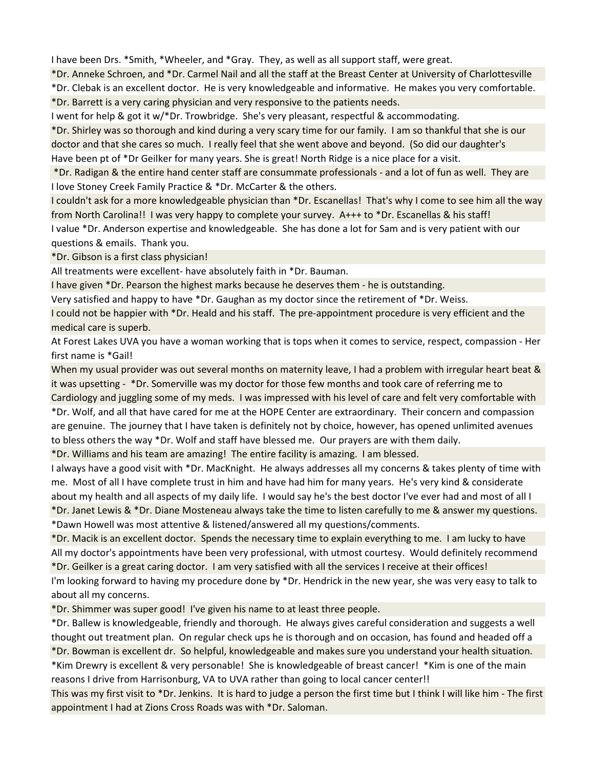I have been Drs. \*Smith, \*Wheeler, and \*Gray. They, as well as all support staff, were great.

\*Dr. Anneke Schroen, and \*Dr. Carmel Nail and all the staff at the Breast Center at University of Charlottesville \*Dr. Clebak is an excellent doctor. He is very knowledgeable and informative. He makes you very comfortable. \*Dr. Barrett is a very caring physician and very responsive to the patients needs.

I went for help & got it w/\*Dr. Trowbridge. She's very pleasant, respectful & accommodating.

\*Dr. Shirley was so thorough and kind during a very scary time for our family. I am so thankful that she is our doctor and that she cares so much. I really feel that she went above and beyond. (So did our daughter's Have been pt of \*Dr Geilker for many years. She is great! North Ridge is a nice place for a visit.

 \*Dr. Radigan & the entire hand center staff are consummate professionals - and a lot of fun as well. They are I love Stoney Creek Family Practice & \*Dr. McCarter & the others.

I couldn't ask for a more knowledgeable physician than \*Dr. Escanellas! That's why I come to see him all the way from North Carolina!! I was very happy to complete your survey. A+++ to \*Dr. Escanellas & his staff!

I value \*Dr. Anderson expertise and knowledgeable. She has done a lot for Sam and is very patient with our questions & emails. Thank you.

\*Dr. Gibson is a first class physician!

All treatments were excellent- have absolutely faith in \*Dr. Bauman.

I have given \*Dr. Pearson the highest marks because he deserves them - he is outstanding.

Very satisfied and happy to have \*Dr. Gaughan as my doctor since the retirement of \*Dr. Weiss.

I could not be happier with \*Dr. Heald and his staff. The pre-appointment procedure is very efficient and the medical care is superb.

At Forest Lakes UVA you have a woman working that is tops when it comes to service, respect, compassion - Her first name is \*Gail!

When my usual provider was out several months on maternity leave, I had a problem with irregular heart beat & it was upsetting - \*Dr. Somerville was my doctor for those few months and took care of referring me to Cardiology and juggling some of my meds. I was impressed with his level of care and felt very comfortable with \*Dr. Wolf, and all that have cared for me at the HOPE Center are extraordinary. Their concern and compassion are genuine. The journey that I have taken is definitely not by choice, however, has opened unlimited avenues to bless others the way \*Dr. Wolf and staff have blessed me. Our prayers are with them daily.

\*Dr. Williams and his team are amazing! The entire facility is amazing. I am blessed.

I always have a good visit with \*Dr. MacKnight. He always addresses all my concerns & takes plenty of time with me. Most of all I have complete trust in him and have had him for many years. He's very kind & considerate about my health and all aspects of my daily life. I would say he's the best doctor I've ever had and most of all I \*Dr. Janet Lewis & \*Dr. Diane Mosteneau always take the time to listen carefully to me & answer my questions. \*Dawn Howell was most attentive & listened/answered all my questions/comments.

\*Dr. Macik is an excellent doctor. Spends the necessary time to explain everything to me. I am lucky to have All my doctor's appointments have been very professional, with utmost courtesy. Would definitely recommend

\*Dr. Geilker is a great caring doctor. I am very satisfied with all the services I receive at their offices! I'm looking forward to having my procedure done by \*Dr. Hendrick in the new year, she was very easy to talk to

about all my concerns.

\*Dr. Shimmer was super good! I've given his name to at least three people.

\*Dr. Ballew is knowledgeable, friendly and thorough. He always gives careful consideration and suggests a well thought out treatment plan. On regular check ups he is thorough and on occasion, has found and headed off a \*Dr. Bowman is excellent dr. So helpful, knowledgeable and makes sure you understand your health situation.

\*Kim Drewry is excellent & very personable! She is knowledgeable of breast cancer! \*Kim is one of the main reasons I drive from Harrisonburg, VA to UVA rather than going to local cancer center!!

This was my first visit to \*Dr. Jenkins. It is hard to judge a person the first time but I think I will like him - The first appointment I had at Zions Cross Roads was with \*Dr. Saloman.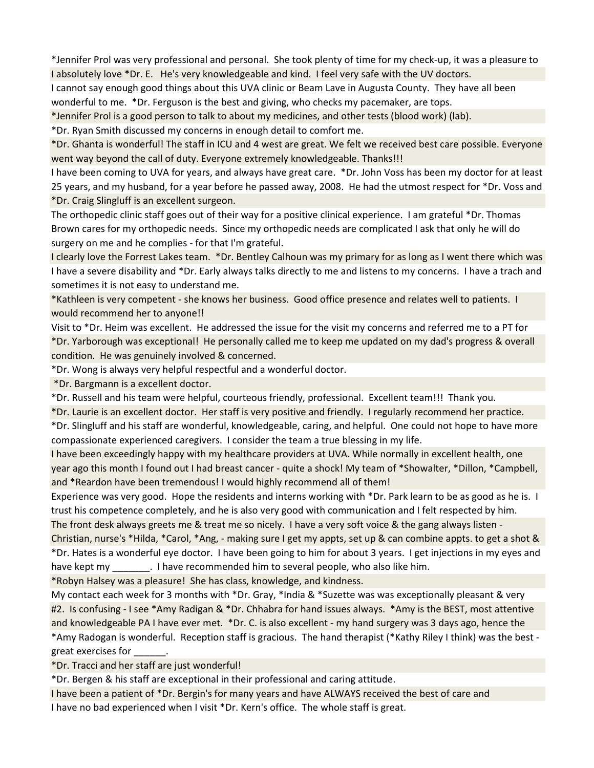\*Jennifer Prol was very professional and personal. She took plenty of time for my check-up, it was a pleasure to I absolutely love \*Dr. E. He's very knowledgeable and kind. I feel very safe with the UV doctors.

I cannot say enough good things about this UVA clinic or Beam Lave in Augusta County. They have all been wonderful to me. \*Dr. Ferguson is the best and giving, who checks my pacemaker, are tops.

\*Jennifer Prol is a good person to talk to about my medicines, and other tests (blood work) (lab).

\*Dr. Ryan Smith discussed my concerns in enough detail to comfort me.

\*Dr. Ghanta is wonderful! The staff in ICU and 4 west are great. We felt we received best care possible. Everyone went way beyond the call of duty. Everyone extremely knowledgeable. Thanks!!!

I have been coming to UVA for years, and always have great care. \*Dr. John Voss has been my doctor for at least 25 years, and my husband, for a year before he passed away, 2008. He had the utmost respect for \*Dr. Voss and \*Dr. Craig Slingluff is an excellent surgeon.

The orthopedic clinic staff goes out of their way for a positive clinical experience. I am grateful \*Dr. Thomas Brown cares for my orthopedic needs. Since my orthopedic needs are complicated I ask that only he will do surgery on me and he complies - for that I'm grateful.

I clearly love the Forrest Lakes team. \*Dr. Bentley Calhoun was my primary for as long as I went there which was I have a severe disability and \*Dr. Early always talks directly to me and listens to my concerns. I have a trach and sometimes it is not easy to understand me.

\*Kathleen is very competent - she knows her business. Good office presence and relates well to patients. I would recommend her to anyone!!

Visit to \*Dr. Heim was excellent. He addressed the issue for the visit my concerns and referred me to a PT for \*Dr. Yarborough was exceptional! He personally called me to keep me updated on my dad's progress & overall condition. He was genuinely involved & concerned.

\*Dr. Wong is always very helpful respectful and a wonderful doctor.

\*Dr. Bargmann is a excellent doctor.

\*Dr. Russell and his team were helpful, courteous friendly, professional. Excellent team!!! Thank you.

\*Dr. Laurie is an excellent doctor. Her staff is very positive and friendly. I regularly recommend her practice.

\*Dr. Slingluff and his staff are wonderful, knowledgeable, caring, and helpful. One could not hope to have more compassionate experienced caregivers. I consider the team a true blessing in my life.

I have been exceedingly happy with my healthcare providers at UVA. While normally in excellent health, one year ago this month I found out I had breast cancer - quite a shock! My team of \*Showalter, \*Dillon, \*Campbell, and \*Reardon have been tremendous! I would highly recommend all of them!

Experience was very good. Hope the residents and interns working with \*Dr. Park learn to be as good as he is. I trust his competence completely, and he is also very good with communication and I felt respected by him. The front desk always greets me & treat me so nicely. I have a very soft voice & the gang always listen -

Christian, nurse's \*Hilda, \*Carol, \*Ang, - making sure I get my appts, set up & can combine appts. to get a shot & \*Dr. Hates is a wonderful eye doctor. I have been going to him for about 3 years. I get injections in my eyes and have kept my eldow in thave recommended him to several people, who also like him.

\*Robyn Halsey was a pleasure! She has class, knowledge, and kindness.

My contact each week for 3 months with \*Dr. Gray, \*India & \*Suzette was was exceptionally pleasant & very #2. Is confusing - I see \*Amy Radigan & \*Dr. Chhabra for hand issues always. \*Amy is the BEST, most attentive and knowledgeable PA I have ever met. \*Dr. C. is also excellent - my hand surgery was 3 days ago, hence the \*Amy Radogan is wonderful. Reception staff is gracious. The hand therapist (\*Kathy Riley I think) was the best great exercises for

\*Dr. Tracci and her staff are just wonderful!

\*Dr. Bergen & his staff are exceptional in their professional and caring attitude.

I have been a patient of \*Dr. Bergin's for many years and have ALWAYS received the best of care and I have no bad experienced when I visit \*Dr. Kern's office. The whole staff is great.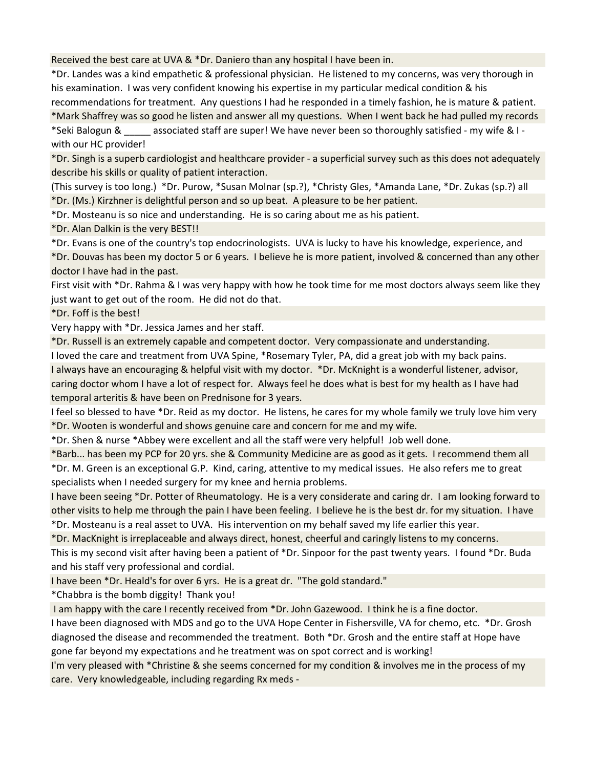Received the best care at UVA & \*Dr. Daniero than any hospital I have been in.

\*Dr. Landes was a kind empathetic & professional physician. He listened to my concerns, was very thorough in his examination. I was very confident knowing his expertise in my particular medical condition & his recommendations for treatment. Any questions I had he responded in a timely fashion, he is mature & patient.

\*Mark Shaffrey was so good he listen and answer all my questions. When I went back he had pulled my records

\*Seki Balogun & \_\_\_\_\_ associated staff are super! We have never been so thoroughly satisfied - my wife & I with our HC provider!

\*Dr. Singh is a superb cardiologist and healthcare provider - a superficial survey such as this does not adequately describe his skills or quality of patient interaction.

(This survey is too long.) \*Dr. Purow, \*Susan Molnar (sp.?), \*Christy Gles, \*Amanda Lane, \*Dr. Zukas (sp.?) all \*Dr. (Ms.) Kirzhner is delightful person and so up beat. A pleasure to be her patient.

\*Dr. Mosteanu is so nice and understanding. He is so caring about me as his patient.

\*Dr. Alan Dalkin is the very BEST!!

\*Dr. Evans is one of the country's top endocrinologists. UVA is lucky to have his knowledge, experience, and

\*Dr. Douvas has been my doctor 5 or 6 years. I believe he is more patient, involved & concerned than any other doctor I have had in the past.

First visit with \*Dr. Rahma & I was very happy with how he took time for me most doctors always seem like they just want to get out of the room. He did not do that.

\*Dr. Foff is the best!

Very happy with \*Dr. Jessica James and her staff.

\*Dr. Russell is an extremely capable and competent doctor. Very compassionate and understanding.

I loved the care and treatment from UVA Spine, \*Rosemary Tyler, PA, did a great job with my back pains. I always have an encouraging & helpful visit with my doctor. \*Dr. McKnight is a wonderful listener, advisor, caring doctor whom I have a lot of respect for. Always feel he does what is best for my health as I have had temporal arteritis & have been on Prednisone for 3 years.

I feel so blessed to have \*Dr. Reid as my doctor. He listens, he cares for my whole family we truly love him very \*Dr. Wooten is wonderful and shows genuine care and concern for me and my wife.

\*Dr. Shen & nurse \*Abbey were excellent and all the staff were very helpful! Job well done.

\*Barb... has been my PCP for 20 yrs. she & Community Medicine are as good as it gets. I recommend them all \*Dr. M. Green is an exceptional G.P. Kind, caring, attentive to my medical issues. He also refers me to great specialists when I needed surgery for my knee and hernia problems.

I have been seeing \*Dr. Potter of Rheumatology. He is a very considerate and caring dr. I am looking forward to other visits to help me through the pain I have been feeling. I believe he is the best dr. for my situation. I have \*Dr. Mosteanu is a real asset to UVA. His intervention on my behalf saved my life earlier this year.

\*Dr. MacKnight is irreplaceable and always direct, honest, cheerful and caringly listens to my concerns.

This is my second visit after having been a patient of \*Dr. Sinpoor for the past twenty years. I found \*Dr. Buda and his staff very professional and cordial.

I have been \*Dr. Heald's for over 6 yrs. He is a great dr. "The gold standard."

\*Chabbra is the bomb diggity! Thank you!

I am happy with the care I recently received from \*Dr. John Gazewood. I think he is a fine doctor.

I have been diagnosed with MDS and go to the UVA Hope Center in Fishersville, VA for chemo, etc. \*Dr. Grosh diagnosed the disease and recommended the treatment. Both \*Dr. Grosh and the entire staff at Hope have gone far beyond my expectations and he treatment was on spot correct and is working!

I'm very pleased with \*Christine & she seems concerned for my condition & involves me in the process of my care. Very knowledgeable, including regarding Rx meds -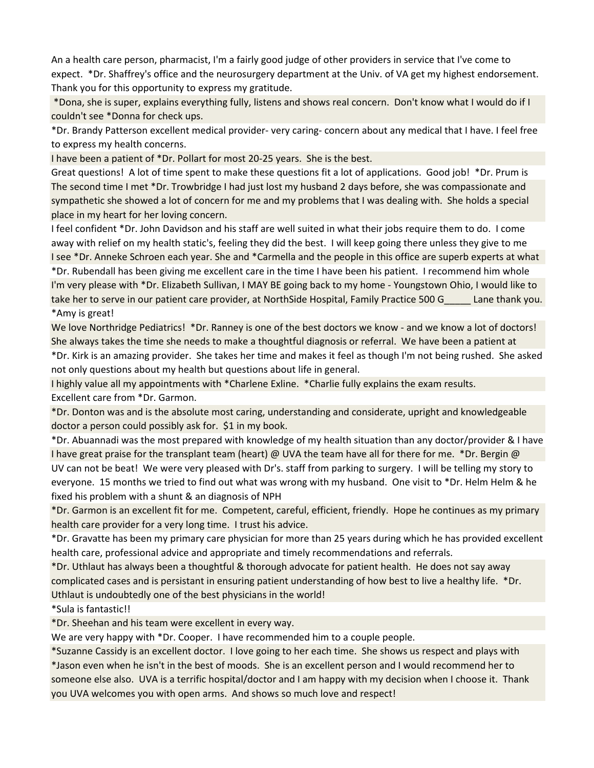An a health care person, pharmacist, I'm a fairly good judge of other providers in service that I've come to expect. \*Dr. Shaffrey's office and the neurosurgery department at the Univ. of VA get my highest endorsement. Thank you for this opportunity to express my gratitude.

 \*Dona, she is super, explains everything fully, listens and shows real concern. Don't know what I would do if I couldn't see \*Donna for check ups.

\*Dr. Brandy Patterson excellent medical provider- very caring- concern about any medical that I have. I feel free to express my health concerns.

I have been a patient of \*Dr. Pollart for most 20-25 years. She is the best.

Great questions! A lot of time spent to make these questions fit a lot of applications. Good job! \*Dr. Prum is The second time I met \*Dr. Trowbridge I had just lost my husband 2 days before, she was compassionate and sympathetic she showed a lot of concern for me and my problems that I was dealing with. She holds a special place in my heart for her loving concern.

I feel confident \*Dr. John Davidson and his staff are well suited in what their jobs require them to do. I come away with relief on my health static's, feeling they did the best. I will keep going there unless they give to me I see \*Dr. Anneke Schroen each year. She and \*Carmella and the people in this office are superb experts at what \*Dr. Rubendall has been giving me excellent care in the time I have been his patient. I recommend him whole I'm very please with \*Dr. Elizabeth Sullivan, I MAY BE going back to my home - Youngstown Ohio, I would like to take her to serve in our patient care provider, at NorthSide Hospital, Family Practice 500 G\_\_\_\_\_ Lane thank you.

## \*Amy is great!

We love Northridge Pediatrics! \*Dr. Ranney is one of the best doctors we know - and we know a lot of doctors! She always takes the time she needs to make a thoughtful diagnosis or referral. We have been a patient at

\*Dr. Kirk is an amazing provider. She takes her time and makes it feel as though I'm not being rushed. She asked not only questions about my health but questions about life in general.

I highly value all my appointments with \*Charlene Exline. \*Charlie fully explains the exam results. Excellent care from \*Dr. Garmon.

\*Dr. Donton was and is the absolute most caring, understanding and considerate, upright and knowledgeable doctor a person could possibly ask for. \$1 in my book.

\*Dr. Abuannadi was the most prepared with knowledge of my health situation than any doctor/provider & I have I have great praise for the transplant team (heart) @ UVA the team have all for there for me. \*Dr. Bergin @

UV can not be beat! We were very pleased with Dr's. staff from parking to surgery. I will be telling my story to everyone. 15 months we tried to find out what was wrong with my husband. One visit to \*Dr. Helm Helm & he fixed his problem with a shunt & an diagnosis of NPH

\*Dr. Garmon is an excellent fit for me. Competent, careful, efficient, friendly. Hope he continues as my primary health care provider for a very long time. I trust his advice.

\*Dr. Gravatte has been my primary care physician for more than 25 years during which he has provided excellent health care, professional advice and appropriate and timely recommendations and referrals.

\*Dr. Uthlaut has always been a thoughtful & thorough advocate for patient health. He does not say away complicated cases and is persistant in ensuring patient understanding of how best to live a healthy life. \*Dr. Uthlaut is undoubtedly one of the best physicians in the world!

\*Sula is fantastic!!

\*Dr. Sheehan and his team were excellent in every way.

We are very happy with \*Dr. Cooper. I have recommended him to a couple people.

\*Suzanne Cassidy is an excellent doctor. I love going to her each time. She shows us respect and plays with

\*Jason even when he isn't in the best of moods. She is an excellent person and I would recommend her to someone else also. UVA is a terrific hospital/doctor and I am happy with my decision when I choose it. Thank you UVA welcomes you with open arms. And shows so much love and respect!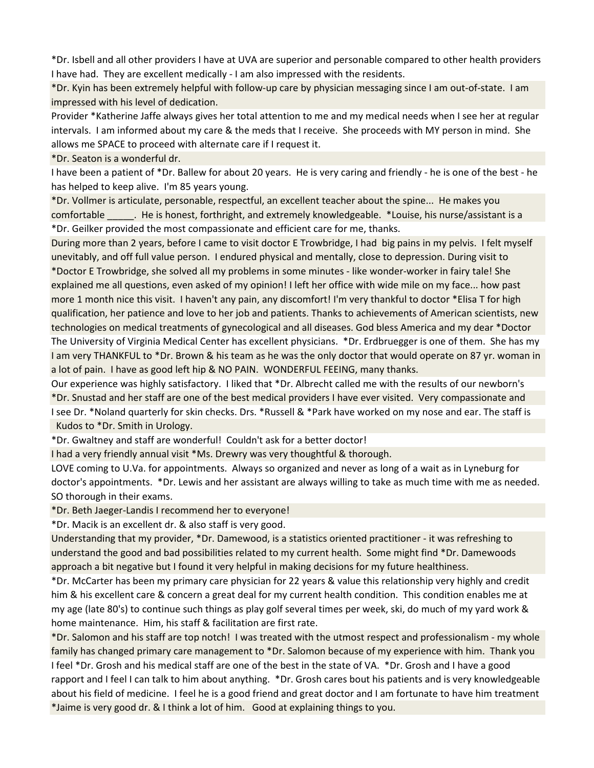\*Dr. Isbell and all other providers I have at UVA are superior and personable compared to other health providers I have had. They are excellent medically - I am also impressed with the residents.

\*Dr. Kyin has been extremely helpful with follow-up care by physician messaging since I am out-of-state. I am impressed with his level of dedication.

Provider \*Katherine Jaffe always gives her total attention to me and my medical needs when I see her at regular intervals. I am informed about my care & the meds that I receive. She proceeds with MY person in mind. She allows me SPACE to proceed with alternate care if I request it.

\*Dr. Seaton is a wonderful dr.

I have been a patient of \*Dr. Ballew for about 20 years. He is very caring and friendly - he is one of the best - he has helped to keep alive. I'm 85 years young.

\*Dr. Vollmer is articulate, personable, respectful, an excellent teacher about the spine... He makes you comfortable \_\_\_\_\_. He is honest, forthright, and extremely knowledgeable. \*Louise, his nurse/assistant is a \*Dr. Geilker provided the most compassionate and efficient care for me, thanks.

During more than 2 years, before I came to visit doctor E Trowbridge, I had big pains in my pelvis. I felt myself unevitably, and off full value person. I endured physical and mentally, close to depression. During visit to \*Doctor E Trowbridge, she solved all my problems in some minutes - like wonder-worker in fairy tale! She explained me all questions, even asked of my opinion! I left her office with wide mile on my face... how past more 1 month nice this visit. I haven't any pain, any discomfort! I'm very thankful to doctor \*Elisa T for high qualification, her patience and love to her job and patients. Thanks to achievements of American scientists, new technologies on medical treatments of gynecological and all diseases. God bless America and my dear \*Doctor The University of Virginia Medical Center has excellent physicians. \*Dr. Erdbruegger is one of them. She has my I am very THANKFUL to \*Dr. Brown & his team as he was the only doctor that would operate on 87 yr. woman in a lot of pain. I have as good left hip & NO PAIN. WONDERFUL FEEING, many thanks.

Our experience was highly satisfactory. I liked that \*Dr. Albrecht called me with the results of our newborn's \*Dr. Snustad and her staff are one of the best medical providers I have ever visited. Very compassionate and I see Dr. \*Noland quarterly for skin checks. Drs. \*Russell & \*Park have worked on my nose and ear. The staff is Kudos to \*Dr. Smith in Urology.

\*Dr. Gwaltney and staff are wonderful! Couldn't ask for a better doctor!

I had a very friendly annual visit \*Ms. Drewry was very thoughtful & thorough.

LOVE coming to U.Va. for appointments. Always so organized and never as long of a wait as in Lyneburg for doctor's appointments. \*Dr. Lewis and her assistant are always willing to take as much time with me as needed. SO thorough in their exams.

\*Dr. Beth Jaeger-Landis I recommend her to everyone!

\*Dr. Macik is an excellent dr. & also staff is very good.

Understanding that my provider, \*Dr. Damewood, is a statistics oriented practitioner - it was refreshing to understand the good and bad possibilities related to my current health. Some might find \*Dr. Damewoods approach a bit negative but I found it very helpful in making decisions for my future healthiness.

\*Dr. McCarter has been my primary care physician for 22 years & value this relationship very highly and credit him & his excellent care & concern a great deal for my current health condition. This condition enables me at my age (late 80's) to continue such things as play golf several times per week, ski, do much of my yard work & home maintenance. Him, his staff & facilitation are first rate.

\*Dr. Salomon and his staff are top notch! I was treated with the utmost respect and professionalism - my whole family has changed primary care management to \*Dr. Salomon because of my experience with him. Thank you I feel \*Dr. Grosh and his medical staff are one of the best in the state of VA. \*Dr. Grosh and I have a good rapport and I feel I can talk to him about anything. \*Dr. Grosh cares bout his patients and is very knowledgeable about his field of medicine. I feel he is a good friend and great doctor and I am fortunate to have him treatment \*Jaime is very good dr. & I think a lot of him. Good at explaining things to you.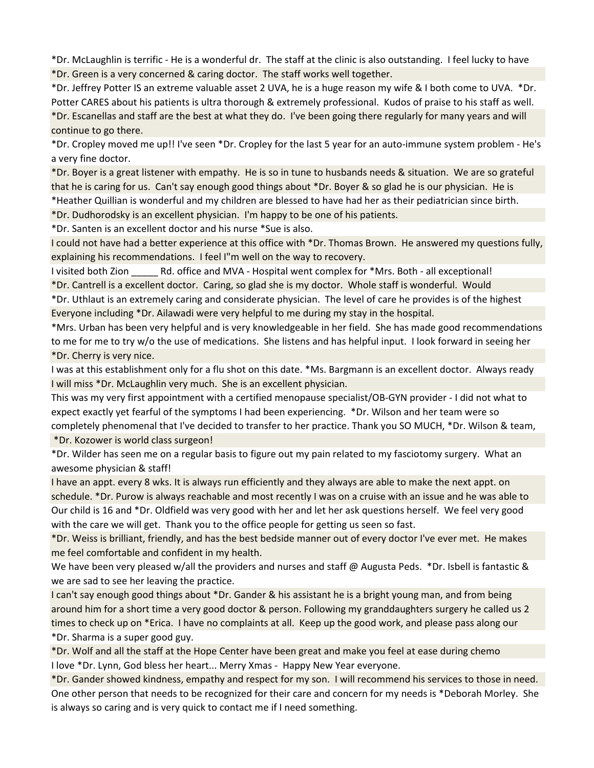\*Dr. McLaughlin is terrific - He is a wonderful dr. The staff at the clinic is also outstanding. I feel lucky to have \*Dr. Green is a very concerned & caring doctor. The staff works well together.

\*Dr. Jeffrey Potter IS an extreme valuable asset 2 UVA, he is a huge reason my wife & I both come to UVA. \*Dr. Potter CARES about his patients is ultra thorough & extremely professional. Kudos of praise to his staff as well. \*Dr. Escanellas and staff are the best at what they do. I've been going there regularly for many years and will continue to go there.

\*Dr. Cropley moved me up!! I've seen \*Dr. Cropley for the last 5 year for an auto-immune system problem - He's a very fine doctor.

\*Dr. Boyer is a great listener with empathy. He is so in tune to husbands needs & situation. We are so grateful that he is caring for us. Can't say enough good things about \*Dr. Boyer & so glad he is our physician. He is

\*Heather Quillian is wonderful and my children are blessed to have had her as their pediatrician since birth.

\*Dr. Dudhorodsky is an excellent physician. I'm happy to be one of his patients.

\*Dr. Santen is an excellent doctor and his nurse \*Sue is also.

I could not have had a better experience at this office with \*Dr. Thomas Brown. He answered my questions fully, explaining his recommendations. I feel I"m well on the way to recovery.

I visited both Zion **Rd. office and MVA - Hospital went complex for \*Mrs. Both - all exceptional!** \*Dr. Cantrell is a excellent doctor. Caring, so glad she is my doctor. Whole staff is wonderful. Would

\*Dr. Uthlaut is an extremely caring and considerate physician. The level of care he provides is of the highest Everyone including \*Dr. Ailawadi were very helpful to me during my stay in the hospital.

\*Mrs. Urban has been very helpful and is very knowledgeable in her field. She has made good recommendations to me for me to try w/o the use of medications. She listens and has helpful input. I look forward in seeing her \*Dr. Cherry is very nice.

I was at this establishment only for a flu shot on this date. \*Ms. Bargmann is an excellent doctor. Always ready I will miss \*Dr. McLaughlin very much. She is an excellent physician.

This was my very first appointment with a certified menopause specialist/OB-GYN provider - I did not what to expect exactly yet fearful of the symptoms I had been experiencing. \*Dr. Wilson and her team were so completely phenomenal that I've decided to transfer to her practice. Thank you SO MUCH, \*Dr. Wilson & team,

\*Dr. Kozower is world class surgeon!

\*Dr. Wilder has seen me on a regular basis to figure out my pain related to my fasciotomy surgery. What an awesome physician & staff!

I have an appt. every 8 wks. It is always run efficiently and they always are able to make the next appt. on schedule. \*Dr. Purow is always reachable and most recently I was on a cruise with an issue and he was able to Our child is 16 and \*Dr. Oldfield was very good with her and let her ask questions herself. We feel very good with the care we will get. Thank you to the office people for getting us seen so fast.

\*Dr. Weiss is brilliant, friendly, and has the best bedside manner out of every doctor I've ever met. He makes me feel comfortable and confident in my health.

We have been very pleased w/all the providers and nurses and staff @ Augusta Peds. \*Dr. Isbell is fantastic & we are sad to see her leaving the practice.

I can't say enough good things about \*Dr. Gander & his assistant he is a bright young man, and from being around him for a short time a very good doctor & person. Following my granddaughters surgery he called us 2 times to check up on \*Erica. I have no complaints at all. Keep up the good work, and please pass along our \*Dr. Sharma is a super good guy.

\*Dr. Wolf and all the staff at the Hope Center have been great and make you feel at ease during chemo I love \*Dr. Lynn, God bless her heart... Merry Xmas - Happy New Year everyone.

\*Dr. Gander showed kindness, empathy and respect for my son. I will recommend his services to those in need. One other person that needs to be recognized for their care and concern for my needs is \*Deborah Morley. She is always so caring and is very quick to contact me if I need something.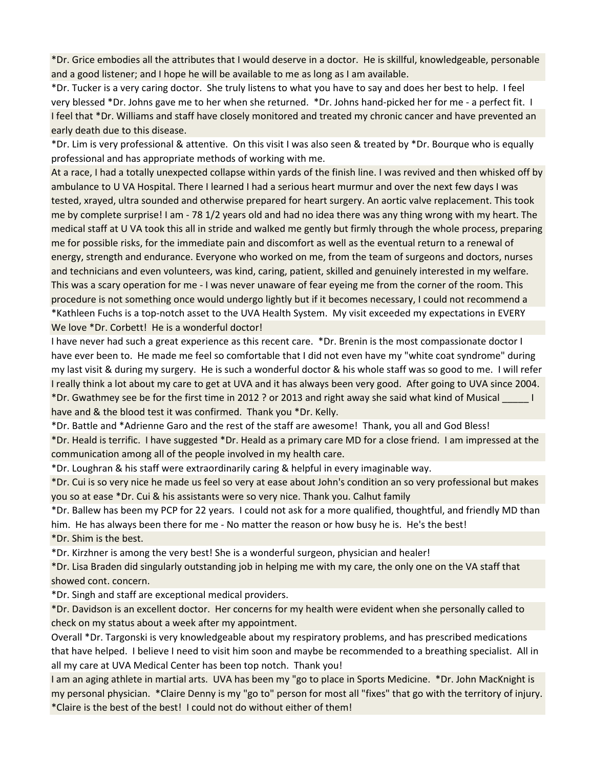\*Dr. Grice embodies all the attributes that I would deserve in a doctor. He is skillful, knowledgeable, personable and a good listener; and I hope he will be available to me as long as I am available.

\*Dr. Tucker is a very caring doctor. She truly listens to what you have to say and does her best to help. I feel very blessed \*Dr. Johns gave me to her when she returned. \*Dr. Johns hand-picked her for me - a perfect fit. I I feel that \*Dr. Williams and staff have closely monitored and treated my chronic cancer and have prevented an early death due to this disease.

\*Dr. Lim is very professional & attentive. On this visit I was also seen & treated by \*Dr. Bourque who is equally professional and has appropriate methods of working with me.

At a race, I had a totally unexpected collapse within yards of the finish line. I was revived and then whisked off by ambulance to U VA Hospital. There I learned I had a serious heart murmur and over the next few days I was tested, xrayed, ultra sounded and otherwise prepared for heart surgery. An aortic valve replacement. This took me by complete surprise! I am - 78 1/2 years old and had no idea there was any thing wrong with my heart. The medical staff at U VA took this all in stride and walked me gently but firmly through the whole process, preparing me for possible risks, for the immediate pain and discomfort as well as the eventual return to a renewal of energy, strength and endurance. Everyone who worked on me, from the team of surgeons and doctors, nurses and technicians and even volunteers, was kind, caring, patient, skilled and genuinely interested in my welfare. This was a scary operation for me - I was never unaware of fear eyeing me from the corner of the room. This procedure is not something once would undergo lightly but if it becomes necessary, I could not recommend a \*Kathleen Fuchs is a top-notch asset to the UVA Health System. My visit exceeded my expectations in EVERY We love \*Dr. Corbett! He is a wonderful doctor!

I have never had such a great experience as this recent care. \*Dr. Brenin is the most compassionate doctor I have ever been to. He made me feel so comfortable that I did not even have my "white coat syndrome" during my last visit & during my surgery. He is such a wonderful doctor & his whole staff was so good to me. I will refer I really think a lot about my care to get at UVA and it has always been very good. After going to UVA since 2004. \*Dr. Gwathmey see be for the first time in 2012 ? or 2013 and right away she said what kind of Musical \_\_\_\_\_ I have and & the blood test it was confirmed. Thank you \*Dr. Kelly.

\*Dr. Battle and \*Adrienne Garo and the rest of the staff are awesome! Thank, you all and God Bless!

\*Dr. Heald is terrific. I have suggested \*Dr. Heald as a primary care MD for a close friend. I am impressed at the communication among all of the people involved in my health care.

\*Dr. Loughran & his staff were extraordinarily caring & helpful in every imaginable way.

\*Dr. Cui is so very nice he made us feel so very at ease about John's condition an so very professional but makes you so at ease \*Dr. Cui & his assistants were so very nice. Thank you. Calhut family

\*Dr. Ballew has been my PCP for 22 years. I could not ask for a more qualified, thoughtful, and friendly MD than him. He has always been there for me - No matter the reason or how busy he is. He's the best! \*Dr. Shim is the best.

\*Dr. Kirzhner is among the very best! She is a wonderful surgeon, physician and healer!

\*Dr. Lisa Braden did singularly outstanding job in helping me with my care, the only one on the VA staff that showed cont. concern.

\*Dr. Singh and staff are exceptional medical providers.

\*Dr. Davidson is an excellent doctor. Her concerns for my health were evident when she personally called to check on my status about a week after my appointment.

Overall \*Dr. Targonski is very knowledgeable about my respiratory problems, and has prescribed medications that have helped. I believe I need to visit him soon and maybe be recommended to a breathing specialist. All in all my care at UVA Medical Center has been top notch. Thank you!

I am an aging athlete in martial arts. UVA has been my "go to place in Sports Medicine. \*Dr. John MacKnight is my personal physician. \*Claire Denny is my "go to" person for most all "fixes" that go with the territory of injury. \*Claire is the best of the best! I could not do without either of them!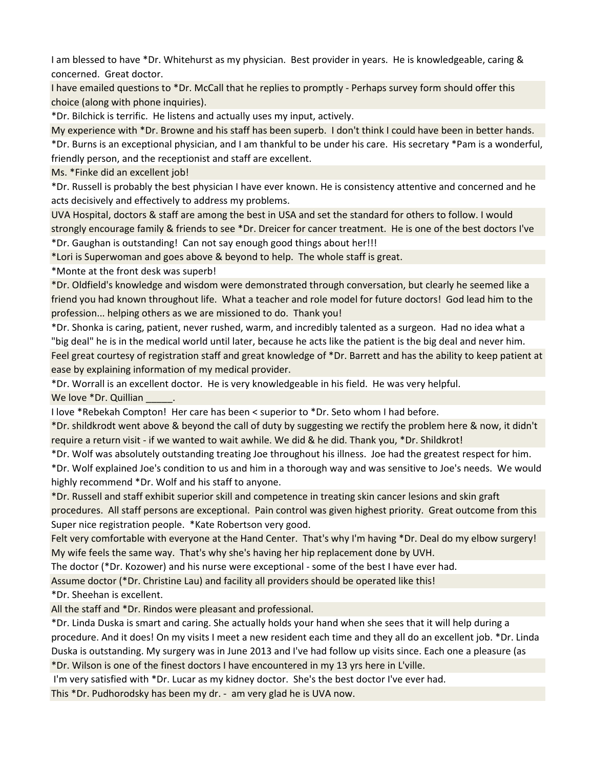I am blessed to have \*Dr. Whitehurst as my physician. Best provider in years. He is knowledgeable, caring & concerned. Great doctor.

I have emailed questions to \*Dr. McCall that he replies to promptly - Perhaps survey form should offer this choice (along with phone inquiries).

\*Dr. Bilchick is terrific. He listens and actually uses my input, actively.

My experience with \*Dr. Browne and his staff has been superb. I don't think I could have been in better hands. \*Dr. Burns is an exceptional physician, and I am thankful to be under his care. His secretary \*Pam is a wonderful, friendly person, and the receptionist and staff are excellent.

Ms. \*Finke did an excellent job!

\*Dr. Russell is probably the best physician I have ever known. He is consistency attentive and concerned and he acts decisively and effectively to address my problems.

UVA Hospital, doctors & staff are among the best in USA and set the standard for others to follow. I would strongly encourage family & friends to see \*Dr. Dreicer for cancer treatment. He is one of the best doctors I've \*Dr. Gaughan is outstanding! Can not say enough good things about her!!!

\*Lori is Superwoman and goes above & beyond to help. The whole staff is great.

\*Monte at the front desk was superb!

\*Dr. Oldfield's knowledge and wisdom were demonstrated through conversation, but clearly he seemed like a friend you had known throughout life. What a teacher and role model for future doctors! God lead him to the profession... helping others as we are missioned to do. Thank you!

\*Dr. Shonka is caring, patient, never rushed, warm, and incredibly talented as a surgeon. Had no idea what a "big deal" he is in the medical world until later, because he acts like the patient is the big deal and never him.

Feel great courtesy of registration staff and great knowledge of \*Dr. Barrett and has the ability to keep patient at ease by explaining information of my medical provider.

\*Dr. Worrall is an excellent doctor. He is very knowledgeable in his field. He was very helpful.

We love \*Dr. Quillian

I love \*Rebekah Compton! Her care has been < superior to \*Dr. Seto whom I had before.

\*Dr. shildkrodt went above & beyond the call of duty by suggesting we rectify the problem here & now, it didn't require a return visit - if we wanted to wait awhile. We did & he did. Thank you, \*Dr. Shildkrot!

\*Dr. Wolf was absolutely outstanding treating Joe throughout his illness. Joe had the greatest respect for him.

\*Dr. Wolf explained Joe's condition to us and him in a thorough way and was sensitive to Joe's needs. We would highly recommend \*Dr. Wolf and his staff to anyone.

\*Dr. Russell and staff exhibit superior skill and competence in treating skin cancer lesions and skin graft procedures. All staff persons are exceptional. Pain control was given highest priority. Great outcome from this Super nice registration people. \*Kate Robertson very good.

Felt very comfortable with everyone at the Hand Center. That's why I'm having \*Dr. Deal do my elbow surgery! My wife feels the same way. That's why she's having her hip replacement done by UVH.

The doctor (\*Dr. Kozower) and his nurse were exceptional - some of the best I have ever had.

Assume doctor (\*Dr. Christine Lau) and facility all providers should be operated like this!

\*Dr. Sheehan is excellent.

All the staff and \*Dr. Rindos were pleasant and professional.

\*Dr. Linda Duska is smart and caring. She actually holds your hand when she sees that it will help during a procedure. And it does! On my visits I meet a new resident each time and they all do an excellent job. \*Dr. Linda Duska is outstanding. My surgery was in June 2013 and I've had follow up visits since. Each one a pleasure (as

\*Dr. Wilson is one of the finest doctors I have encountered in my 13 yrs here in L'ville.

I'm very satisfied with \*Dr. Lucar as my kidney doctor. She's the best doctor I've ever had.

This \*Dr. Pudhorodsky has been my dr. - am very glad he is UVA now.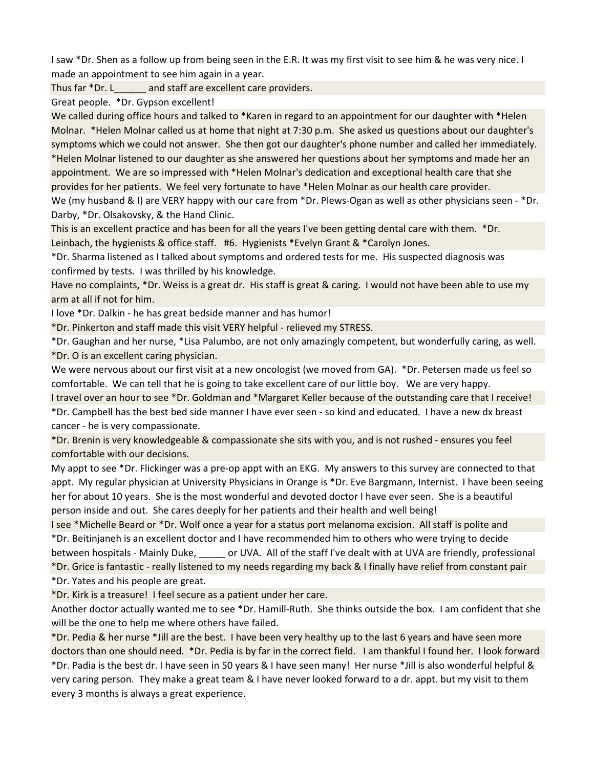I saw \*Dr. Shen as a follow up from being seen in the E.R. It was my first visit to see him & he was very nice. I made an appointment to see him again in a year.

Thus far \*Dr. L\_\_\_\_\_\_\_ and staff are excellent care providers.

Great people. \*Dr. Gypson excellent!

We called during office hours and talked to \*Karen in regard to an appointment for our daughter with \*Helen Molnar. \*Helen Molnar called us at home that night at 7:30 p.m. She asked us questions about our daughter's symptoms which we could not answer. She then got our daughter's phone number and called her immediately. \*Helen Molnar listened to our daughter as she answered her questions about her symptoms and made her an appointment. We are so impressed with \*Helen Molnar's dedication and exceptional health care that she provides for her patients. We feel very fortunate to have \*Helen Molnar as our health care provider.

We (my husband & I) are VERY happy with our care from \*Dr. Plews-Ogan as well as other physicians seen - \*Dr. Darby, \*Dr. Olsakovsky, & the Hand Clinic.

This is an excellent practice and has been for all the years I've been getting dental care with them. \*Dr. Leinbach, the hygienists & office staff. #6. Hygienists \*Evelyn Grant & \*Carolyn Jones.

\*Dr. Sharma listened as I talked about symptoms and ordered tests for me. His suspected diagnosis was confirmed by tests. I was thrilled by his knowledge.

Have no complaints, \*Dr. Weiss is a great dr. His staff is great & caring. I would not have been able to use my arm at all if not for him.

I love \*Dr. Dalkin - he has great bedside manner and has humor!

\*Dr. Pinkerton and staff made this visit VERY helpful - relieved my STRESS.

\*Dr. Gaughan and her nurse, \*Lisa Palumbo, are not only amazingly competent, but wonderfully caring, as well. \*Dr. O is an excellent caring physician.

We were nervous about our first visit at a new oncologist (we moved from GA). \*Dr. Petersen made us feel so comfortable. We can tell that he is going to take excellent care of our little boy. We are very happy.

I travel over an hour to see \*Dr. Goldman and \*Margaret Keller because of the outstanding care that I receive! \*Dr. Campbell has the best bed side manner I have ever seen - so kind and educated. I have a new dx breast cancer - he is very compassionate.

\*Dr. Brenin is very knowledgeable & compassionate she sits with you, and is not rushed - ensures you feel comfortable with our decisions.

My appt to see \*Dr. Flickinger was a pre-op appt with an EKG. My answers to this survey are connected to that appt. My regular physician at University Physicians in Orange is \*Dr. Eve Bargmann, Internist. I have been seeing her for about 10 years. She is the most wonderful and devoted doctor I have ever seen. She is a beautiful person inside and out. She cares deeply for her patients and their health and well being!

I see \*Michelle Beard or \*Dr. Wolf once a year for a status port melanoma excision. All staff is polite and \*Dr. Beitinjaneh is an excellent doctor and I have recommended him to others who were trying to decide between hospitals - Mainly Duke, \_\_\_\_\_ or UVA. All of the staff I've dealt with at UVA are friendly, professional \*Dr. Grice is fantastic - really listened to my needs regarding my back & I finally have relief from constant pair \*Dr. Yates and his people are great.

\*Dr. Kirk is a treasure! I feel secure as a patient under her care.

Another doctor actually wanted me to see \*Dr. Hamill-Ruth. She thinks outside the box. I am confident that she will be the one to help me where others have failed.

\*Dr. Pedia & her nurse \*Jill are the best. I have been very healthy up to the last 6 years and have seen more doctors than one should need. \*Dr. Pedia is by far in the correct field. I am thankful I found her. I look forward

\*Dr. Padia is the best dr. I have seen in 50 years & I have seen many! Her nurse \*Jill is also wonderful helpful & very caring person. They make a great team & I have never looked forward to a dr. appt. but my visit to them every 3 months is always a great experience.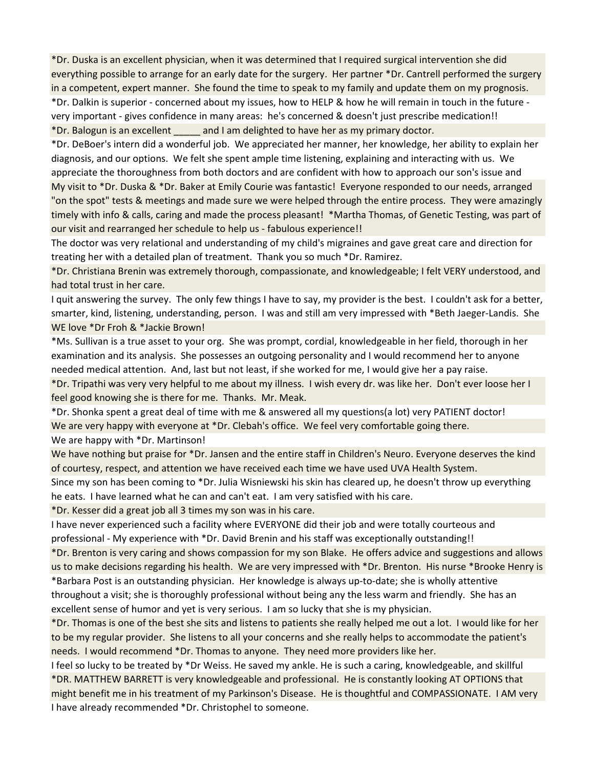\*Dr. Duska is an excellent physician, when it was determined that I required surgical intervention she did everything possible to arrange for an early date for the surgery. Her partner \*Dr. Cantrell performed the surgery in a competent, expert manner. She found the time to speak to my family and update them on my prognosis. \*Dr. Dalkin is superior - concerned about my issues, how to HELP & how he will remain in touch in the future very important - gives confidence in many areas: he's concerned & doesn't just prescribe medication!! \*Dr. Balogun is an excellent \_\_\_\_\_ and I am delighted to have her as my primary doctor.

\*Dr. DeBoer's intern did a wonderful job. We appreciated her manner, her knowledge, her ability to explain her diagnosis, and our options. We felt she spent ample time listening, explaining and interacting with us. We appreciate the thoroughness from both doctors and are confident with how to approach our son's issue and My visit to \*Dr. Duska & \*Dr. Baker at Emily Courie was fantastic! Everyone responded to our needs, arranged "on the spot" tests & meetings and made sure we were helped through the entire process. They were amazingly timely with info & calls, caring and made the process pleasant! \*Martha Thomas, of Genetic Testing, was part of our visit and rearranged her schedule to help us - fabulous experience!!

The doctor was very relational and understanding of my child's migraines and gave great care and direction for treating her with a detailed plan of treatment. Thank you so much \*Dr. Ramirez.

\*Dr. Christiana Brenin was extremely thorough, compassionate, and knowledgeable; I felt VERY understood, and had total trust in her care.

I quit answering the survey. The only few things I have to say, my provider is the best. I couldn't ask for a better, smarter, kind, listening, understanding, person. I was and still am very impressed with \*Beth Jaeger-Landis. She WE love \*Dr Froh & \*Jackie Brown!

\*Ms. Sullivan is a true asset to your org. She was prompt, cordial, knowledgeable in her field, thorough in her examination and its analysis. She possesses an outgoing personality and I would recommend her to anyone needed medical attention. And, last but not least, if she worked for me, I would give her a pay raise.

\*Dr. Tripathi was very very helpful to me about my illness. I wish every dr. was like her. Don't ever loose her I feel good knowing she is there for me. Thanks. Mr. Meak.

\*Dr. Shonka spent a great deal of time with me & answered all my questions(a lot) very PATIENT doctor! We are very happy with everyone at \*Dr. Clebah's office. We feel very comfortable going there.

We are happy with \*Dr. Martinson!

We have nothing but praise for \*Dr. Jansen and the entire staff in Children's Neuro. Everyone deserves the kind of courtesy, respect, and attention we have received each time we have used UVA Health System.

Since my son has been coming to \*Dr. Julia Wisniewski his skin has cleared up, he doesn't throw up everything he eats. I have learned what he can and can't eat. I am very satisfied with his care.

\*Dr. Kesser did a great job all 3 times my son was in his care.

I have never experienced such a facility where EVERYONE did their job and were totally courteous and professional - My experience with \*Dr. David Brenin and his staff was exceptionally outstanding!!

\*Dr. Brenton is very caring and shows compassion for my son Blake. He offers advice and suggestions and allows us to make decisions regarding his health. We are very impressed with \*Dr. Brenton. His nurse \*Brooke Henry is \*Barbara Post is an outstanding physician. Her knowledge is always up-to-date; she is wholly attentive throughout a visit; she is thoroughly professional without being any the less warm and friendly. She has an excellent sense of humor and yet is very serious. I am so lucky that she is my physician.

\*Dr. Thomas is one of the best she sits and listens to patients she really helped me out a lot. I would like for her to be my regular provider. She listens to all your concerns and she really helps to accommodate the patient's needs. I would recommend \*Dr. Thomas to anyone. They need more providers like her.

I feel so lucky to be treated by \*Dr Weiss. He saved my ankle. He is such a caring, knowledgeable, and skillful \*DR. MATTHEW BARRETT is very knowledgeable and professional. He is constantly looking AT OPTIONS that might benefit me in his treatment of my Parkinson's Disease. He is thoughtful and COMPASSIONATE. I AM very I have already recommended \*Dr. Christophel to someone.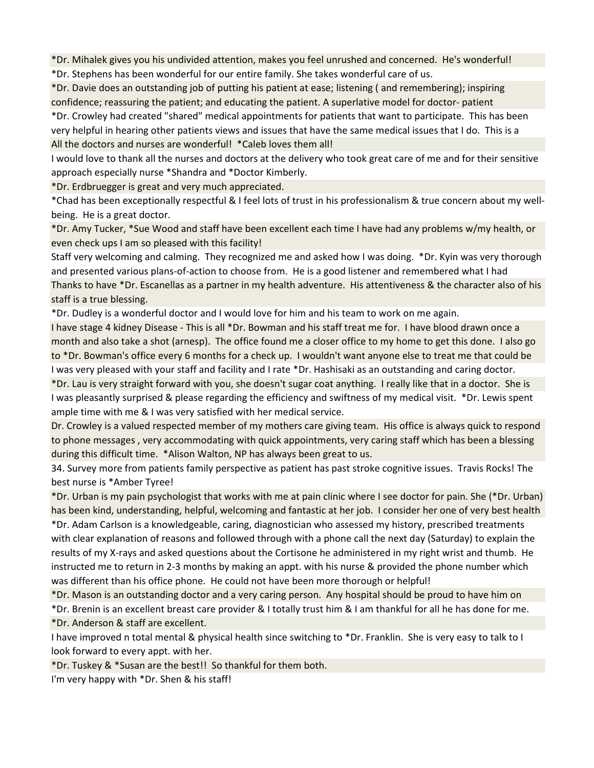\*Dr. Mihalek gives you his undivided attention, makes you feel unrushed and concerned. He's wonderful!

\*Dr. Stephens has been wonderful for our entire family. She takes wonderful care of us.

\*Dr. Davie does an outstanding job of putting his patient at ease; listening ( and remembering); inspiring confidence; reassuring the patient; and educating the patient. A superlative model for doctor- patient

\*Dr. Crowley had created "shared" medical appointments for patients that want to participate. This has been very helpful in hearing other patients views and issues that have the same medical issues that I do. This is a All the doctors and nurses are wonderful! \*Caleb loves them all!

I would love to thank all the nurses and doctors at the delivery who took great care of me and for their sensitive approach especially nurse \*Shandra and \*Doctor Kimberly.

\*Dr. Erdbruegger is great and very much appreciated.

\*Chad has been exceptionally respectful & I feel lots of trust in his professionalism & true concern about my wellbeing. He is a great doctor.

\*Dr. Amy Tucker, \*Sue Wood and staff have been excellent each time I have had any problems w/my health, or even check ups I am so pleased with this facility!

Staff very welcoming and calming. They recognized me and asked how I was doing. \*Dr. Kyin was very thorough and presented various plans-of-action to choose from. He is a good listener and remembered what I had Thanks to have \*Dr. Escanellas as a partner in my health adventure. His attentiveness & the character also of his staff is a true blessing.

\*Dr. Dudley is a wonderful doctor and I would love for him and his team to work on me again.

I have stage 4 kidney Disease - This is all \*Dr. Bowman and his staff treat me for. I have blood drawn once a month and also take a shot (arnesp). The office found me a closer office to my home to get this done. I also go to \*Dr. Bowman's office every 6 months for a check up. I wouldn't want anyone else to treat me that could be I was very pleased with your staff and facility and I rate \*Dr. Hashisaki as an outstanding and caring doctor.

\*Dr. Lau is very straight forward with you, she doesn't sugar coat anything. I really like that in a doctor. She is I was pleasantly surprised & please regarding the efficiency and swiftness of my medical visit. \*Dr. Lewis spent ample time with me & I was very satisfied with her medical service.

Dr. Crowley is a valued respected member of my mothers care giving team. His office is always quick to respond to phone messages , very accommodating with quick appointments, very caring staff which has been a blessing during this difficult time. \*Alison Walton, NP has always been great to us.

34. Survey more from patients family perspective as patient has past stroke cognitive issues. Travis Rocks! The best nurse is \*Amber Tyree!

\*Dr. Urban is my pain psychologist that works with me at pain clinic where I see doctor for pain. She (\*Dr. Urban) has been kind, understanding, helpful, welcoming and fantastic at her job. I consider her one of very best health \*Dr. Adam Carlson is a knowledgeable, caring, diagnostician who assessed my history, prescribed treatments

with clear explanation of reasons and followed through with a phone call the next day (Saturday) to explain the results of my X-rays and asked questions about the Cortisone he administered in my right wrist and thumb. He instructed me to return in 2-3 months by making an appt. with his nurse & provided the phone number which was different than his office phone. He could not have been more thorough or helpful!

\*Dr. Mason is an outstanding doctor and a very caring person. Any hospital should be proud to have him on

\*Dr. Brenin is an excellent breast care provider & I totally trust him & I am thankful for all he has done for me. \*Dr. Anderson & staff are excellent.

I have improved n total mental & physical health since switching to \*Dr. Franklin. She is very easy to talk to I look forward to every appt. with her.

\*Dr. Tuskey & \*Susan are the best!! So thankful for them both.

I'm very happy with \*Dr. Shen & his staff!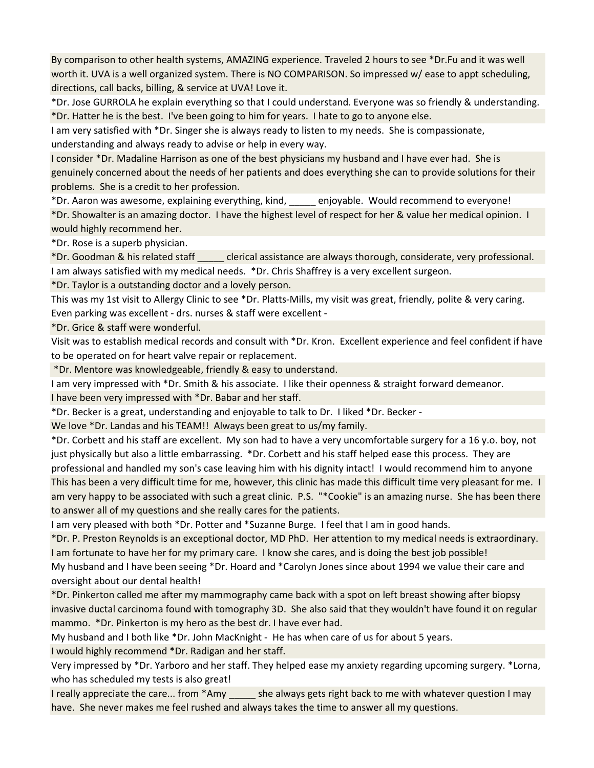By comparison to other health systems, AMAZING experience. Traveled 2 hours to see \*Dr.Fu and it was well worth it. UVA is a well organized system. There is NO COMPARISON. So impressed w/ ease to appt scheduling, directions, call backs, billing, & service at UVA! Love it.

\*Dr. Jose GURROLA he explain everything so that I could understand. Everyone was so friendly & understanding. \*Dr. Hatter he is the best. I've been going to him for years. I hate to go to anyone else.

I am very satisfied with \*Dr. Singer she is always ready to listen to my needs. She is compassionate, understanding and always ready to advise or help in every way.

I consider \*Dr. Madaline Harrison as one of the best physicians my husband and I have ever had. She is genuinely concerned about the needs of her patients and does everything she can to provide solutions for their problems. She is a credit to her profession.

\*Dr. Aaron was awesome, explaining everything, kind, \_\_\_\_\_ enjoyable. Would recommend to everyone! \*Dr. Showalter is an amazing doctor. I have the highest level of respect for her & value her medical opinion. I would highly recommend her.

\*Dr. Rose is a superb physician.

\*Dr. Goodman & his related staff \_\_\_\_\_ clerical assistance are always thorough, considerate, very professional. I am always satisfied with my medical needs. \*Dr. Chris Shaffrey is a very excellent surgeon.

\*Dr. Taylor is a outstanding doctor and a lovely person.

This was my 1st visit to Allergy Clinic to see \*Dr. Platts-Mills, my visit was great, friendly, polite & very caring. Even parking was excellent - drs. nurses & staff were excellent -

\*Dr. Grice & staff were wonderful.

Visit was to establish medical records and consult with \*Dr. Kron. Excellent experience and feel confident if have to be operated on for heart valve repair or replacement.

\*Dr. Mentore was knowledgeable, friendly & easy to understand.

I am very impressed with \*Dr. Smith & his associate. I like their openness & straight forward demeanor.

I have been very impressed with \*Dr. Babar and her staff.

\*Dr. Becker is a great, understanding and enjoyable to talk to Dr. I liked \*Dr. Becker -

We love \*Dr. Landas and his TEAM!! Always been great to us/my family.

\*Dr. Corbett and his staff are excellent. My son had to have a very uncomfortable surgery for a 16 y.o. boy, not just physically but also a little embarrassing. \*Dr. Corbett and his staff helped ease this process. They are professional and handled my son's case leaving him with his dignity intact! I would recommend him to anyone This has been a very difficult time for me, however, this clinic has made this difficult time very pleasant for me. I am very happy to be associated with such a great clinic. P.S. "\*Cookie" is an amazing nurse. She has been there to answer all of my questions and she really cares for the patients.

I am very pleased with both \*Dr. Potter and \*Suzanne Burge. I feel that I am in good hands.

\*Dr. P. Preston Reynolds is an exceptional doctor, MD PhD. Her attention to my medical needs is extraordinary. I am fortunate to have her for my primary care. I know she cares, and is doing the best job possible!

My husband and I have been seeing \*Dr. Hoard and \*Carolyn Jones since about 1994 we value their care and oversight about our dental health!

\*Dr. Pinkerton called me after my mammography came back with a spot on left breast showing after biopsy invasive ductal carcinoma found with tomography 3D. She also said that they wouldn't have found it on regular mammo. \*Dr. Pinkerton is my hero as the best dr. I have ever had.

My husband and I both like \*Dr. John MacKnight - He has when care of us for about 5 years.

I would highly recommend \*Dr. Radigan and her staff.

Very impressed by \*Dr. Yarboro and her staff. They helped ease my anxiety regarding upcoming surgery. \*Lorna, who has scheduled my tests is also great!

I really appreciate the care... from \*Amy she always gets right back to me with whatever question I may have. She never makes me feel rushed and always takes the time to answer all my questions.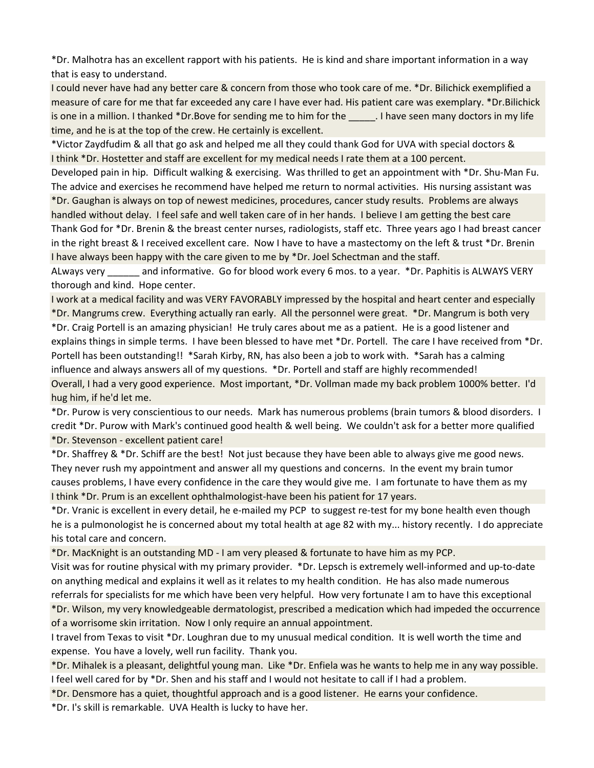\*Dr. Malhotra has an excellent rapport with his patients. He is kind and share important information in a way that is easy to understand.

I could never have had any better care & concern from those who took care of me. \*Dr. Bilichick exemplified a measure of care for me that far exceeded any care I have ever had. His patient care was exemplary. \*Dr.Bilichick is one in a million. I thanked \*Dr.Bove for sending me to him for the **Leause 1.** I have seen many doctors in my life time, and he is at the top of the crew. He certainly is excellent.

\*Victor Zaydfudim & all that go ask and helped me all they could thank God for UVA with special doctors & I think \*Dr. Hostetter and staff are excellent for my medical needs I rate them at a 100 percent.

Developed pain in hip. Difficult walking & exercising. Was thrilled to get an appointment with \*Dr. Shu-Man Fu. The advice and exercises he recommend have helped me return to normal activities. His nursing assistant was \*Dr. Gaughan is always on top of newest medicines, procedures, cancer study results. Problems are always handled without delay. I feel safe and well taken care of in her hands. I believe I am getting the best care Thank God for \*Dr. Brenin & the breast center nurses, radiologists, staff etc. Three years ago I had breast cancer in the right breast & I received excellent care. Now I have to have a mastectomy on the left & trust \*Dr. Brenin I have always been happy with the care given to me by \*Dr. Joel Schectman and the staff.

ALways very \_\_\_\_\_\_ and informative. Go for blood work every 6 mos. to a year. \*Dr. Paphitis is ALWAYS VERY thorough and kind. Hope center.

I work at a medical facility and was VERY FAVORABLY impressed by the hospital and heart center and especially \*Dr. Mangrums crew. Everything actually ran early. All the personnel were great. \*Dr. Mangrum is both very \*Dr. Craig Portell is an amazing physician! He truly cares about me as a patient. He is a good listener and explains things in simple terms. I have been blessed to have met \*Dr. Portell. The care I have received from \*Dr. Portell has been outstanding!! \*Sarah Kirby, RN, has also been a job to work with. \*Sarah has a calming influence and always answers all of my questions. \*Dr. Portell and staff are highly recommended! Overall, I had a very good experience. Most important, \*Dr. Vollman made my back problem 1000% better. I'd hug him, if he'd let me.

\*Dr. Purow is very conscientious to our needs. Mark has numerous problems (brain tumors & blood disorders. I credit \*Dr. Purow with Mark's continued good health & well being. We couldn't ask for a better more qualified

\*Dr. Stevenson - excellent patient care!

\*Dr. Shaffrey & \*Dr. Schiff are the best! Not just because they have been able to always give me good news. They never rush my appointment and answer all my questions and concerns. In the event my brain tumor causes problems, I have every confidence in the care they would give me. I am fortunate to have them as my I think \*Dr. Prum is an excellent ophthalmologist-have been his patient for 17 years.

\*Dr. Vranic is excellent in every detail, he e-mailed my PCP to suggest re-test for my bone health even though he is a pulmonologist he is concerned about my total health at age 82 with my... history recently. I do appreciate his total care and concern.

\*Dr. MacKnight is an outstanding MD - I am very pleased & fortunate to have him as my PCP.

Visit was for routine physical with my primary provider. \*Dr. Lepsch is extremely well-informed and up-to-date on anything medical and explains it well as it relates to my health condition. He has also made numerous referrals for specialists for me which have been very helpful. How very fortunate I am to have this exceptional \*Dr. Wilson, my very knowledgeable dermatologist, prescribed a medication which had impeded the occurrence of a worrisome skin irritation. Now I only require an annual appointment.

I travel from Texas to visit \*Dr. Loughran due to my unusual medical condition. It is well worth the time and expense. You have a lovely, well run facility. Thank you.

\*Dr. Mihalek is a pleasant, delightful young man. Like \*Dr. Enfiela was he wants to help me in any way possible. I feel well cared for by \*Dr. Shen and his staff and I would not hesitate to call if I had a problem.

\*Dr. Densmore has a quiet, thoughtful approach and is a good listener. He earns your confidence.

\*Dr. I's skill is remarkable. UVA Health is lucky to have her.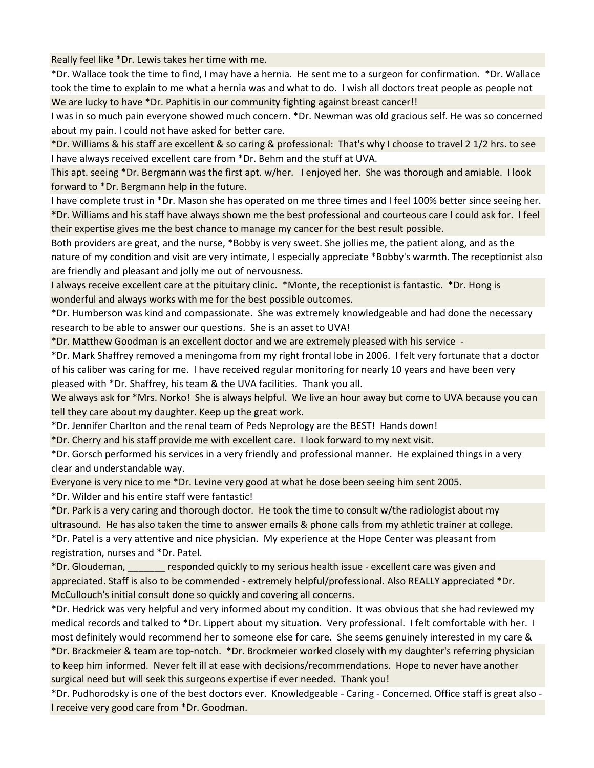Really feel like \*Dr. Lewis takes her time with me.

\*Dr. Wallace took the time to find, I may have a hernia. He sent me to a surgeon for confirmation. \*Dr. Wallace took the time to explain to me what a hernia was and what to do. I wish all doctors treat people as people not We are lucky to have \*Dr. Paphitis in our community fighting against breast cancer!!

I was in so much pain everyone showed much concern. \*Dr. Newman was old gracious self. He was so concerned about my pain. I could not have asked for better care.

\*Dr. Williams & his staff are excellent & so caring & professional: That's why I choose to travel 2 1/2 hrs. to see I have always received excellent care from \*Dr. Behm and the stuff at UVA.

This apt. seeing \*Dr. Bergmann was the first apt. w/her. I enjoyed her. She was thorough and amiable. I look forward to \*Dr. Bergmann help in the future.

I have complete trust in \*Dr. Mason she has operated on me three times and I feel 100% better since seeing her. \*Dr. Williams and his staff have always shown me the best professional and courteous care I could ask for. I feel their expertise gives me the best chance to manage my cancer for the best result possible.

Both providers are great, and the nurse, \*Bobby is very sweet. She jollies me, the patient along, and as the nature of my condition and visit are very intimate, I especially appreciate \*Bobby's warmth. The receptionist also are friendly and pleasant and jolly me out of nervousness.

I always receive excellent care at the pituitary clinic. \*Monte, the receptionist is fantastic. \*Dr. Hong is wonderful and always works with me for the best possible outcomes.

\*Dr. Humberson was kind and compassionate. She was extremely knowledgeable and had done the necessary research to be able to answer our questions. She is an asset to UVA!

\*Dr. Matthew Goodman is an excellent doctor and we are extremely pleased with his service -

\*Dr. Mark Shaffrey removed a meningoma from my right frontal lobe in 2006. I felt very fortunate that a doctor of his caliber was caring for me. I have received regular monitoring for nearly 10 years and have been very pleased with \*Dr. Shaffrey, his team & the UVA facilities. Thank you all.

We always ask for \*Mrs. Norko! She is always helpful. We live an hour away but come to UVA because you can tell they care about my daughter. Keep up the great work.

\*Dr. Jennifer Charlton and the renal team of Peds Neprology are the BEST! Hands down!

\*Dr. Cherry and his staff provide me with excellent care. I look forward to my next visit.

\*Dr. Gorsch performed his services in a very friendly and professional manner. He explained things in a very clear and understandable way.

Everyone is very nice to me \*Dr. Levine very good at what he dose been seeing him sent 2005.

\*Dr. Wilder and his entire staff were fantastic!

\*Dr. Park is a very caring and thorough doctor. He took the time to consult w/the radiologist about my ultrasound. He has also taken the time to answer emails & phone calls from my athletic trainer at college. \*Dr. Patel is a very attentive and nice physician. My experience at the Hope Center was pleasant from

registration, nurses and \*Dr. Patel.

\*Dr. Gloudeman, \_\_\_\_\_\_\_ responded quickly to my serious health issue - excellent care was given and appreciated. Staff is also to be commended - extremely helpful/professional. Also REALLY appreciated \*Dr. McCullouch's initial consult done so quickly and covering all concerns.

\*Dr. Hedrick was very helpful and very informed about my condition. It was obvious that she had reviewed my medical records and talked to \*Dr. Lippert about my situation. Very professional. I felt comfortable with her. I most definitely would recommend her to someone else for care. She seems genuinely interested in my care & \*Dr. Brackmeier & team are top-notch. \*Dr. Brockmeier worked closely with my daughter's referring physician to keep him informed. Never felt ill at ease with decisions/recommendations. Hope to never have another surgical need but will seek this surgeons expertise if ever needed. Thank you!

\*Dr. Pudhorodsky is one of the best doctors ever. Knowledgeable - Caring - Concerned. Office staff is great also - I receive very good care from \*Dr. Goodman.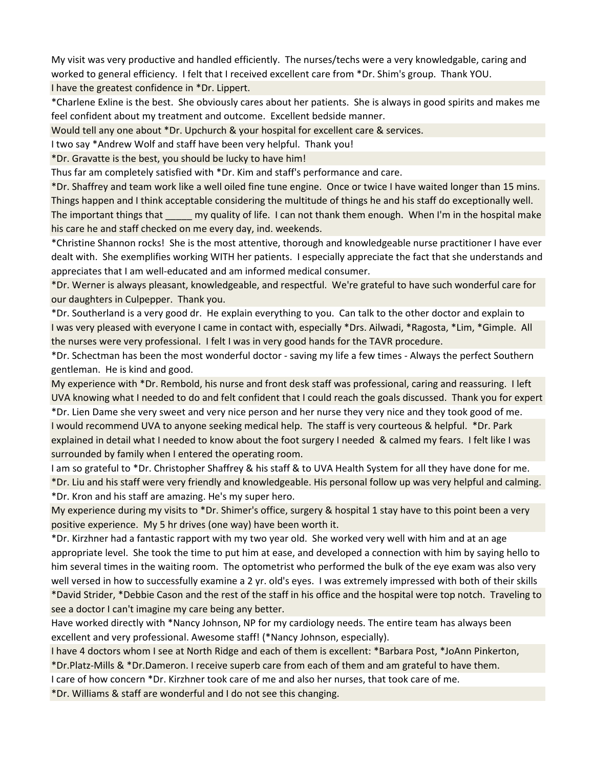My visit was very productive and handled efficiently. The nurses/techs were a very knowledgable, caring and worked to general efficiency. I felt that I received excellent care from \*Dr. Shim's group. Thank YOU.

I have the greatest confidence in \*Dr. Lippert.

\*Charlene Exline is the best. She obviously cares about her patients. She is always in good spirits and makes me feel confident about my treatment and outcome. Excellent bedside manner.

Would tell any one about \*Dr. Upchurch & your hospital for excellent care & services.

I two say \*Andrew Wolf and staff have been very helpful. Thank you!

\*Dr. Gravatte is the best, you should be lucky to have him!

Thus far am completely satisfied with \*Dr. Kim and staff's performance and care.

\*Dr. Shaffrey and team work like a well oiled fine tune engine. Once or twice I have waited longer than 15 mins. Things happen and I think acceptable considering the multitude of things he and his staff do exceptionally well. The important things that  $\cdots$  my quality of life. I can not thank them enough. When I'm in the hospital make his care he and staff checked on me every day, ind. weekends.

\*Christine Shannon rocks! She is the most attentive, thorough and knowledgeable nurse practitioner I have ever dealt with. She exemplifies working WITH her patients. I especially appreciate the fact that she understands and appreciates that I am well-educated and am informed medical consumer.

\*Dr. Werner is always pleasant, knowledgeable, and respectful. We're grateful to have such wonderful care for our daughters in Culpepper. Thank you.

\*Dr. Southerland is a very good dr. He explain everything to you. Can talk to the other doctor and explain to I was very pleased with everyone I came in contact with, especially \*Drs. Ailwadi, \*Ragosta, \*Lim, \*Gimple. All the nurses were very professional. I felt I was in very good hands for the TAVR procedure.

\*Dr. Schectman has been the most wonderful doctor - saving my life a few times - Always the perfect Southern gentleman. He is kind and good.

My experience with \*Dr. Rembold, his nurse and front desk staff was professional, caring and reassuring. I left UVA knowing what I needed to do and felt confident that I could reach the goals discussed. Thank you for expert \*Dr. Lien Dame she very sweet and very nice person and her nurse they very nice and they took good of me.

I would recommend UVA to anyone seeking medical help. The staff is very courteous & helpful. \*Dr. Park explained in detail what I needed to know about the foot surgery I needed & calmed my fears. I felt like I was surrounded by family when I entered the operating room.

I am so grateful to \*Dr. Christopher Shaffrey & his staff & to UVA Health System for all they have done for me. \*Dr. Liu and his staff were very friendly and knowledgeable. His personal follow up was very helpful and calming. \*Dr. Kron and his staff are amazing. He's my super hero.

My experience during my visits to \*Dr. Shimer's office, surgery & hospital 1 stay have to this point been a very positive experience. My 5 hr drives (one way) have been worth it.

\*Dr. Kirzhner had a fantastic rapport with my two year old. She worked very well with him and at an age appropriate level. She took the time to put him at ease, and developed a connection with him by saying hello to him several times in the waiting room. The optometrist who performed the bulk of the eye exam was also very well versed in how to successfully examine a 2 yr. old's eyes. I was extremely impressed with both of their skills \*David Strider, \*Debbie Cason and the rest of the staff in his office and the hospital were top notch. Traveling to

see a doctor I can't imagine my care being any better.

Have worked directly with \*Nancy Johnson, NP for my cardiology needs. The entire team has always been excellent and very professional. Awesome staff! (\*Nancy Johnson, especially).

I have 4 doctors whom I see at North Ridge and each of them is excellent: \*Barbara Post, \*JoAnn Pinkerton,

\*Dr.Platz-Mills & \*Dr.Dameron. I receive superb care from each of them and am grateful to have them.

I care of how concern \*Dr. Kirzhner took care of me and also her nurses, that took care of me.

\*Dr. Williams & staff are wonderful and I do not see this changing.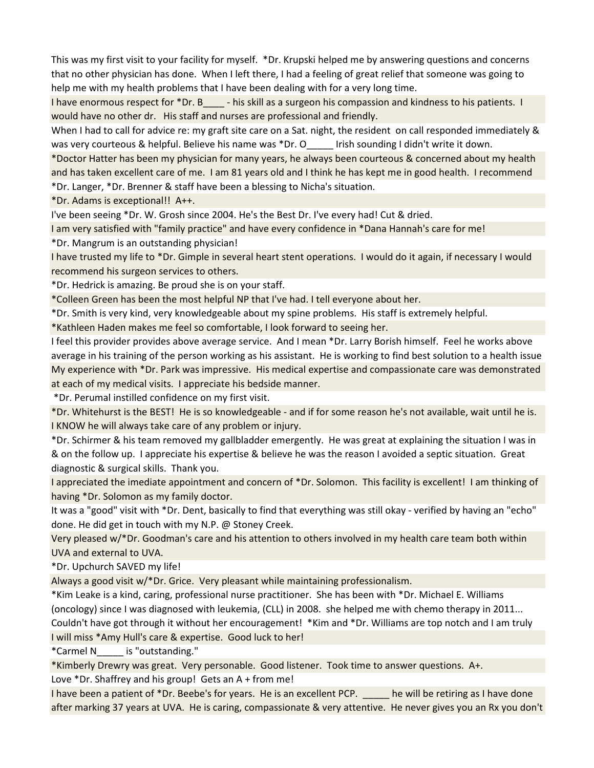This was my first visit to your facility for myself. \*Dr. Krupski helped me by answering questions and concerns that no other physician has done. When I left there, I had a feeling of great relief that someone was going to help me with my health problems that I have been dealing with for a very long time.

I have enormous respect for \*Dr. B - his skill as a surgeon his compassion and kindness to his patients. I would have no other dr. His staff and nurses are professional and friendly.

When I had to call for advice re: my graft site care on a Sat. night, the resident on call responded immediately & was very courteous & helpful. Believe his name was \*Dr. O lirish sounding I didn't write it down.

\*Doctor Hatter has been my physician for many years, he always been courteous & concerned about my health and has taken excellent care of me. I am 81 years old and I think he has kept me in good health. I recommend \*Dr. Langer, \*Dr. Brenner & staff have been a blessing to Nicha's situation.

\*Dr. Adams is exceptional!! A++.

I've been seeing \*Dr. W. Grosh since 2004. He's the Best Dr. I've every had! Cut & dried.

I am very satisfied with "family practice" and have every confidence in \*Dana Hannah's care for me!

\*Dr. Mangrum is an outstanding physician!

I have trusted my life to \*Dr. Gimple in several heart stent operations. I would do it again, if necessary I would recommend his surgeon services to others.

\*Dr. Hedrick is amazing. Be proud she is on your staff.

\*Colleen Green has been the most helpful NP that I've had. I tell everyone about her.

\*Dr. Smith is very kind, very knowledgeable about my spine problems. His staff is extremely helpful.

\*Kathleen Haden makes me feel so comfortable, I look forward to seeing her.

I feel this provider provides above average service. And I mean \*Dr. Larry Borish himself. Feel he works above average in his training of the person working as his assistant. He is working to find best solution to a health issue My experience with \*Dr. Park was impressive. His medical expertise and compassionate care was demonstrated at each of my medical visits. I appreciate his bedside manner.

\*Dr. Perumal instilled confidence on my first visit.

\*Dr. Whitehurst is the BEST! He is so knowledgeable - and if for some reason he's not available, wait until he is. I KNOW he will always take care of any problem or injury.

\*Dr. Schirmer & his team removed my gallbladder emergently. He was great at explaining the situation I was in & on the follow up. I appreciate his expertise & believe he was the reason I avoided a septic situation. Great diagnostic & surgical skills. Thank you.

I appreciated the imediate appointment and concern of \*Dr. Solomon. This facility is excellent! I am thinking of having \*Dr. Solomon as my family doctor.

It was a "good" visit with \*Dr. Dent, basically to find that everything was still okay - verified by having an "echo" done. He did get in touch with my N.P. @ Stoney Creek.

Very pleased w/\*Dr. Goodman's care and his attention to others involved in my health care team both within UVA and external to UVA.

\*Dr. Upchurch SAVED my life!

Always a good visit w/\*Dr. Grice. Very pleasant while maintaining professionalism.

\*Kim Leake is a kind, caring, professional nurse practitioner. She has been with \*Dr. Michael E. Williams (oncology) since I was diagnosed with leukemia, (CLL) in 2008. she helped me with chemo therapy in 2011... Couldn't have got through it without her encouragement! \*Kim and \*Dr. Williams are top notch and I am truly I will miss \*Amy Hull's care & expertise. Good luck to her!

\*Carmel N\_\_\_\_\_ is "outstanding."

\*Kimberly Drewry was great. Very personable. Good listener. Took time to answer questions. A+. Love \*Dr. Shaffrey and his group! Gets an A + from me!

I have been a patient of \*Dr. Beebe's for years. He is an excellent PCP. he will be retiring as I have done after marking 37 years at UVA. He is caring, compassionate & very attentive. He never gives you an Rx you don't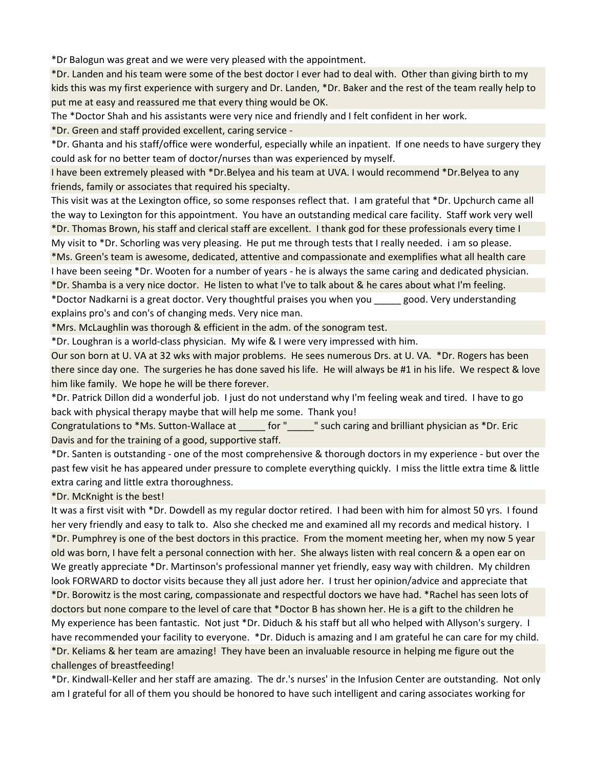\*Dr Balogun was great and we were very pleased with the appointment.

\*Dr. Landen and his team were some of the best doctor I ever had to deal with. Other than giving birth to my kids this was my first experience with surgery and Dr. Landen, \*Dr. Baker and the rest of the team really help to put me at easy and reassured me that every thing would be OK.

The \*Doctor Shah and his assistants were very nice and friendly and I felt confident in her work.

\*Dr. Green and staff provided excellent, caring service -

\*Dr. Ghanta and his staff/office were wonderful, especially while an inpatient. If one needs to have surgery they could ask for no better team of doctor/nurses than was experienced by myself.

I have been extremely pleased with \*Dr.Belyea and his team at UVA. I would recommend \*Dr.Belyea to any friends, family or associates that required his specialty.

This visit was at the Lexington office, so some responses reflect that. I am grateful that \*Dr. Upchurch came all the way to Lexington for this appointment. You have an outstanding medical care facility. Staff work very well \*Dr. Thomas Brown, his staff and clerical staff are excellent. I thank god for these professionals every time I My visit to \*Dr. Schorling was very pleasing. He put me through tests that I really needed. i am so please.

\*Ms. Green's team is awesome, dedicated, attentive and compassionate and exemplifies what all health care I have been seeing \*Dr. Wooten for a number of years - he is always the same caring and dedicated physician.

\*Dr. Shamba is a very nice doctor. He listen to what I've to talk about & he cares about what I'm feeling. \*Doctor Nadkarni is a great doctor. Very thoughtful praises you when you \_\_\_\_\_ good. Very understanding

explains pro's and con's of changing meds. Very nice man.

\*Mrs. McLaughlin was thorough & efficient in the adm. of the sonogram test.

\*Dr. Loughran is a world-class physician. My wife & I were very impressed with him.

Our son born at U. VA at 32 wks with major problems. He sees numerous Drs. at U. VA. \*Dr. Rogers has been there since day one. The surgeries he has done saved his life. He will always be #1 in his life. We respect & love him like family. We hope he will be there forever.

\*Dr. Patrick Dillon did a wonderful job. I just do not understand why I'm feeling weak and tired. I have to go back with physical therapy maybe that will help me some. Thank you!

Congratulations to \*Ms. Sutton-Wallace at  $\qquad$  for "  $\qquad$  " such caring and brilliant physician as \*Dr. Eric Davis and for the training of a good, supportive staff.

\*Dr. Santen is outstanding - one of the most comprehensive & thorough doctors in my experience - but over the past few visit he has appeared under pressure to complete everything quickly. I miss the little extra time & little extra caring and little extra thoroughness.

\*Dr. McKnight is the best!

It was a first visit with \*Dr. Dowdell as my regular doctor retired. I had been with him for almost 50 yrs. I found her very friendly and easy to talk to. Also she checked me and examined all my records and medical history. I \*Dr. Pumphrey is one of the best doctors in this practice. From the moment meeting her, when my now 5 year old was born, I have felt a personal connection with her. She always listen with real concern & a open ear on We greatly appreciate \*Dr. Martinson's professional manner yet friendly, easy way with children. My children look FORWARD to doctor visits because they all just adore her. I trust her opinion/advice and appreciate that \*Dr. Borowitz is the most caring, compassionate and respectful doctors we have had. \*Rachel has seen lots of doctors but none compare to the level of care that \*Doctor B has shown her. He is a gift to the children he My experience has been fantastic. Not just \*Dr. Diduch & his staff but all who helped with Allyson's surgery. I have recommended your facility to everyone. \*Dr. Diduch is amazing and I am grateful he can care for my child. \*Dr. Keliams & her team are amazing! They have been an invaluable resource in helping me figure out the challenges of breastfeeding!

\*Dr. Kindwall-Keller and her staff are amazing. The dr.'s nurses' in the Infusion Center are outstanding. Not only am I grateful for all of them you should be honored to have such intelligent and caring associates working for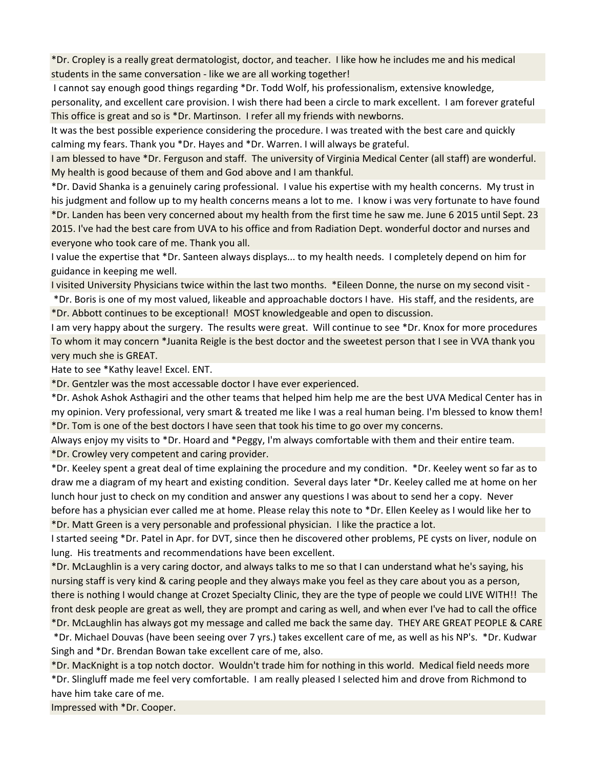\*Dr. Cropley is a really great dermatologist, doctor, and teacher. I like how he includes me and his medical students in the same conversation - like we are all working together!

I cannot say enough good things regarding \*Dr. Todd Wolf, his professionalism, extensive knowledge,

personality, and excellent care provision. I wish there had been a circle to mark excellent. I am forever grateful This office is great and so is \*Dr. Martinson. I refer all my friends with newborns.

It was the best possible experience considering the procedure. I was treated with the best care and quickly calming my fears. Thank you \*Dr. Hayes and \*Dr. Warren. I will always be grateful.

I am blessed to have \*Dr. Ferguson and staff. The university of Virginia Medical Center (all staff) are wonderful. My health is good because of them and God above and I am thankful.

\*Dr. David Shanka is a genuinely caring professional. I value his expertise with my health concerns. My trust in his judgment and follow up to my health concerns means a lot to me. I know i was very fortunate to have found \*Dr. Landen has been very concerned about my health from the first time he saw me. June 6 2015 until Sept. 23 2015. I've had the best care from UVA to his office and from Radiation Dept. wonderful doctor and nurses and everyone who took care of me. Thank you all.

I value the expertise that \*Dr. Santeen always displays... to my health needs. I completely depend on him for guidance in keeping me well.

I visited University Physicians twice within the last two months. \*Eileen Donne, the nurse on my second visit - \*Dr. Boris is one of my most valued, likeable and approachable doctors I have. His staff, and the residents, are \*Dr. Abbott continues to be exceptional! MOST knowledgeable and open to discussion.

I am very happy about the surgery. The results were great. Will continue to see \*Dr. Knox for more procedures To whom it may concern \*Juanita Reigle is the best doctor and the sweetest person that I see in VVA thank you very much she is GREAT.

Hate to see \*Kathy leave! Excel. ENT.

\*Dr. Gentzler was the most accessable doctor I have ever experienced.

\*Dr. Ashok Ashok Asthagiri and the other teams that helped him help me are the best UVA Medical Center has in my opinion. Very professional, very smart & treated me like I was a real human being. I'm blessed to know them! \*Dr. Tom is one of the best doctors I have seen that took his time to go over my concerns.

Always enjoy my visits to \*Dr. Hoard and \*Peggy, I'm always comfortable with them and their entire team. \*Dr. Crowley very competent and caring provider.

\*Dr. Keeley spent a great deal of time explaining the procedure and my condition. \*Dr. Keeley went so far as to draw me a diagram of my heart and existing condition. Several days later \*Dr. Keeley called me at home on her lunch hour just to check on my condition and answer any questions I was about to send her a copy. Never before has a physician ever called me at home. Please relay this note to \*Dr. Ellen Keeley as I would like her to \*Dr. Matt Green is a very personable and professional physician. I like the practice a lot.

I started seeing \*Dr. Patel in Apr. for DVT, since then he discovered other problems, PE cysts on liver, nodule on lung. His treatments and recommendations have been excellent.

\*Dr. McLaughlin is a very caring doctor, and always talks to me so that I can understand what he's saying, his nursing staff is very kind & caring people and they always make you feel as they care about you as a person, there is nothing I would change at Crozet Specialty Clinic, they are the type of people we could LIVE WITH!! The front desk people are great as well, they are prompt and caring as well, and when ever I've had to call the office \*Dr. McLaughlin has always got my message and called me back the same day. THEY ARE GREAT PEOPLE & CARE

 \*Dr. Michael Douvas (have been seeing over 7 yrs.) takes excellent care of me, as well as his NP's. \*Dr. Kudwar Singh and \*Dr. Brendan Bowan take excellent care of me, also.

\*Dr. MacKnight is a top notch doctor. Wouldn't trade him for nothing in this world. Medical field needs more \*Dr. Slingluff made me feel very comfortable. I am really pleased I selected him and drove from Richmond to have him take care of me.

Impressed with \*Dr. Cooper.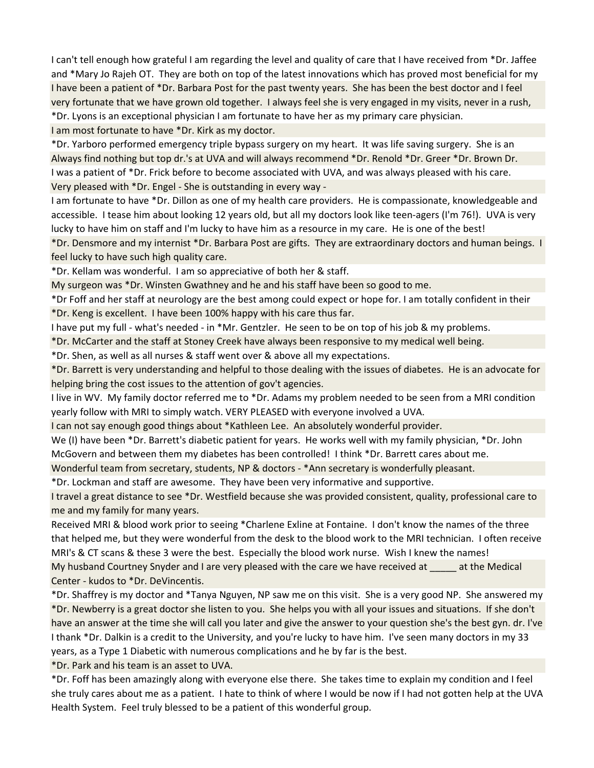I can't tell enough how grateful I am regarding the level and quality of care that I have received from \*Dr. Jaffee and \*Mary Jo Rajeh OT. They are both on top of the latest innovations which has proved most beneficial for my I have been a patient of \*Dr. Barbara Post for the past twenty years. She has been the best doctor and I feel very fortunate that we have grown old together. I always feel she is very engaged in my visits, never in a rush, \*Dr. Lyons is an exceptional physician I am fortunate to have her as my primary care physician.

I am most fortunate to have \*Dr. Kirk as my doctor.

\*Dr. Yarboro performed emergency triple bypass surgery on my heart. It was life saving surgery. She is an Always find nothing but top dr.'s at UVA and will always recommend \*Dr. Renold \*Dr. Greer \*Dr. Brown Dr. I was a patient of \*Dr. Frick before to become associated with UVA, and was always pleased with his care. Very pleased with \*Dr. Engel - She is outstanding in every way -

I am fortunate to have \*Dr. Dillon as one of my health care providers. He is compassionate, knowledgeable and accessible. I tease him about looking 12 years old, but all my doctors look like teen-agers (I'm 76!). UVA is very lucky to have him on staff and I'm lucky to have him as a resource in my care. He is one of the best!

\*Dr. Densmore and my internist \*Dr. Barbara Post are gifts. They are extraordinary doctors and human beings. I feel lucky to have such high quality care.

\*Dr. Kellam was wonderful. I am so appreciative of both her & staff.

My surgeon was \*Dr. Winsten Gwathney and he and his staff have been so good to me.

\*Dr Foff and her staff at neurology are the best among could expect or hope for. I am totally confident in their \*Dr. Keng is excellent. I have been 100% happy with his care thus far.

I have put my full - what's needed - in \*Mr. Gentzler. He seen to be on top of his job & my problems.

\*Dr. McCarter and the staff at Stoney Creek have always been responsive to my medical well being.

\*Dr. Shen, as well as all nurses & staff went over & above all my expectations.

\*Dr. Barrett is very understanding and helpful to those dealing with the issues of diabetes. He is an advocate for helping bring the cost issues to the attention of gov't agencies.

I live in WV. My family doctor referred me to \*Dr. Adams my problem needed to be seen from a MRI condition yearly follow with MRI to simply watch. VERY PLEASED with everyone involved a UVA.

I can not say enough good things about \*Kathleen Lee. An absolutely wonderful provider.

We (I) have been \*Dr. Barrett's diabetic patient for years. He works well with my family physician, \*Dr. John McGovern and between them my diabetes has been controlled! I think \*Dr. Barrett cares about me.

Wonderful team from secretary, students, NP & doctors - \*Ann secretary is wonderfully pleasant.

\*Dr. Lockman and staff are awesome. They have been very informative and supportive.

I travel a great distance to see \*Dr. Westfield because she was provided consistent, quality, professional care to me and my family for many years.

Received MRI & blood work prior to seeing \*Charlene Exline at Fontaine. I don't know the names of the three that helped me, but they were wonderful from the desk to the blood work to the MRI technician. I often receive MRI's & CT scans & these 3 were the best. Especially the blood work nurse. Wish I knew the names! My husband Courtney Snyder and I are very pleased with the care we have received at \_\_\_\_\_ at the Medical Center - kudos to \*Dr. DeVincentis.

\*Dr. Shaffrey is my doctor and \*Tanya Nguyen, NP saw me on this visit. She is a very good NP. She answered my \*Dr. Newberry is a great doctor she listen to you. She helps you with all your issues and situations. If she don't have an answer at the time she will call you later and give the answer to your question she's the best gyn. dr. I've I thank \*Dr. Dalkin is a credit to the University, and you're lucky to have him. I've seen many doctors in my 33 years, as a Type 1 Diabetic with numerous complications and he by far is the best.

\*Dr. Park and his team is an asset to UVA.

\*Dr. Foff has been amazingly along with everyone else there. She takes time to explain my condition and I feel she truly cares about me as a patient. I hate to think of where I would be now if I had not gotten help at the UVA Health System. Feel truly blessed to be a patient of this wonderful group.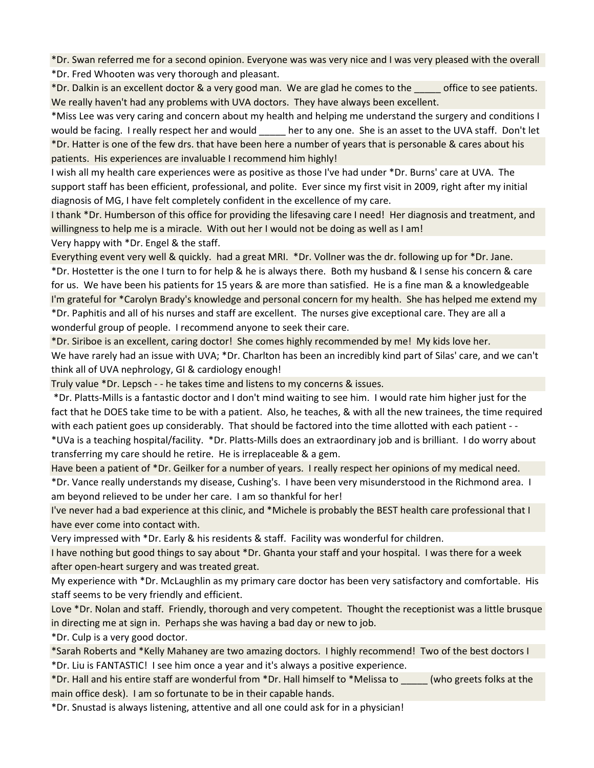\*Dr. Swan referred me for a second opinion. Everyone was was very nice and I was very pleased with the overall \*Dr. Fred Whooten was very thorough and pleasant.

\*Dr. Dalkin is an excellent doctor & a very good man. We are glad he comes to the \_\_\_\_\_ office to see patients. We really haven't had any problems with UVA doctors. They have always been excellent.

\*Miss Lee was very caring and concern about my health and helping me understand the surgery and conditions I would be facing. I really respect her and would her to any one. She is an asset to the UVA staff. Don't let \*Dr. Hatter is one of the few drs. that have been here a number of years that is personable & cares about his patients. His experiences are invaluable I recommend him highly!

I wish all my health care experiences were as positive as those I've had under \*Dr. Burns' care at UVA. The support staff has been efficient, professional, and polite. Ever since my first visit in 2009, right after my initial diagnosis of MG, I have felt completely confident in the excellence of my care.

I thank \*Dr. Humberson of this office for providing the lifesaving care I need! Her diagnosis and treatment, and willingness to help me is a miracle. With out her I would not be doing as well as I am!

Very happy with \*Dr. Engel & the staff.

Everything event very well & quickly. had a great MRI. \*Dr. Vollner was the dr. following up for \*Dr. Jane.

\*Dr. Hostetter is the one I turn to for help & he is always there. Both my husband & I sense his concern & care for us. We have been his patients for 15 years & are more than satisfied. He is a fine man & a knowledgeable I'm grateful for \*Carolyn Brady's knowledge and personal concern for my health. She has helped me extend my

\*Dr. Paphitis and all of his nurses and staff are excellent. The nurses give exceptional care. They are all a wonderful group of people. I recommend anyone to seek their care.

\*Dr. Siriboe is an excellent, caring doctor! She comes highly recommended by me! My kids love her.

We have rarely had an issue with UVA; \*Dr. Charlton has been an incredibly kind part of Silas' care, and we can't think all of UVA nephrology, GI & cardiology enough!

Truly value \*Dr. Lepsch - - he takes time and listens to my concerns & issues.

 \*Dr. Platts-Mills is a fantastic doctor and I don't mind waiting to see him. I would rate him higher just for the fact that he DOES take time to be with a patient. Also, he teaches, & with all the new trainees, the time required with each patient goes up considerably. That should be factored into the time allotted with each patient - - \*UVa is a teaching hospital/facility. \*Dr. Platts-Mills does an extraordinary job and is brilliant. I do worry about

transferring my care should he retire. He is irreplaceable & a gem.

Have been a patient of \*Dr. Geilker for a number of years. I really respect her opinions of my medical need.

\*Dr. Vance really understands my disease, Cushing's. I have been very misunderstood in the Richmond area. I am beyond relieved to be under her care. I am so thankful for her!

I've never had a bad experience at this clinic, and \*Michele is probably the BEST health care professional that I have ever come into contact with.

Very impressed with \*Dr. Early & his residents & staff. Facility was wonderful for children.

I have nothing but good things to say about \*Dr. Ghanta your staff and your hospital. I was there for a week after open-heart surgery and was treated great.

My experience with \*Dr. McLaughlin as my primary care doctor has been very satisfactory and comfortable. His staff seems to be very friendly and efficient.

Love \*Dr. Nolan and staff. Friendly, thorough and very competent. Thought the receptionist was a little brusque in directing me at sign in. Perhaps she was having a bad day or new to job.

\*Dr. Culp is a very good doctor.

\*Sarah Roberts and \*Kelly Mahaney are two amazing doctors. I highly recommend! Two of the best doctors I

\*Dr. Liu is FANTASTIC! I see him once a year and it's always a positive experience.

\*Dr. Hall and his entire staff are wonderful from \*Dr. Hall himself to \*Melissa to \_\_\_\_\_ (who greets folks at the main office desk). I am so fortunate to be in their capable hands.

\*Dr. Snustad is always listening, attentive and all one could ask for in a physician!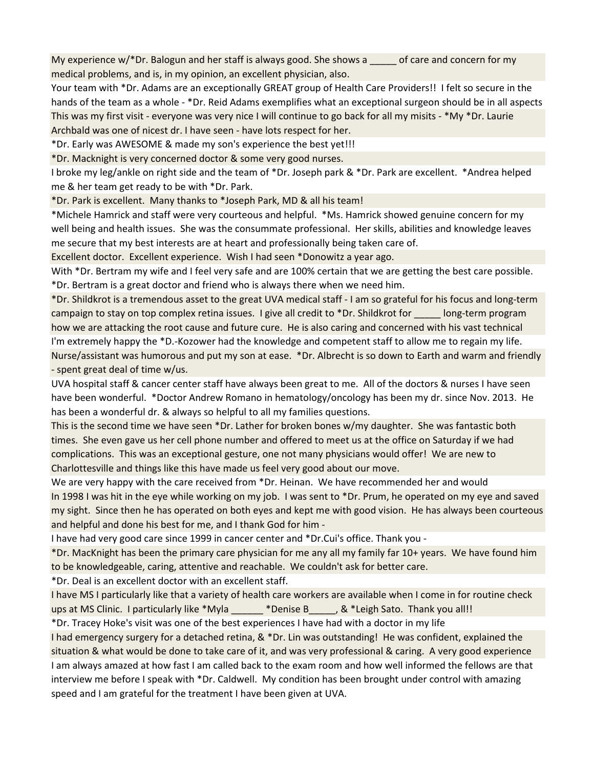My experience  $w/*Dr$ . Balogun and her staff is always good. She shows a  $\Box$  of care and concern for my medical problems, and is, in my opinion, an excellent physician, also.

Your team with \*Dr. Adams are an exceptionally GREAT group of Health Care Providers!! I felt so secure in the hands of the team as a whole - \*Dr. Reid Adams exemplifies what an exceptional surgeon should be in all aspects This was my first visit - everyone was very nice I will continue to go back for all my misits - \*My \*Dr. Laurie Archbald was one of nicest dr. I have seen - have lots respect for her.

\*Dr. Early was AWESOME & made my son's experience the best yet!!!

\*Dr. Macknight is very concerned doctor & some very good nurses.

I broke my leg/ankle on right side and the team of \*Dr. Joseph park & \*Dr. Park are excellent. \*Andrea helped me & her team get ready to be with \*Dr. Park.

\*Dr. Park is excellent. Many thanks to \*Joseph Park, MD & all his team!

\*Michele Hamrick and staff were very courteous and helpful. \*Ms. Hamrick showed genuine concern for my well being and health issues. She was the consummate professional. Her skills, abilities and knowledge leaves me secure that my best interests are at heart and professionally being taken care of.

Excellent doctor. Excellent experience. Wish I had seen \*Donowitz a year ago.

With \*Dr. Bertram my wife and I feel very safe and are 100% certain that we are getting the best care possible. \*Dr. Bertram is a great doctor and friend who is always there when we need him.

\*Dr. Shildkrot is a tremendous asset to the great UVA medical staff - I am so grateful for his focus and long-term campaign to stay on top complex retina issues. I give all credit to \*Dr. Shildkrot for \_\_\_\_\_ long-term program how we are attacking the root cause and future cure. He is also caring and concerned with his vast technical I'm extremely happy the \*D.-Kozower had the knowledge and competent staff to allow me to regain my life. Nurse/assistant was humorous and put my son at ease. \*Dr. Albrecht is so down to Earth and warm and friendly - spent great deal of time w/us.

UVA hospital staff & cancer center staff have always been great to me. All of the doctors & nurses I have seen have been wonderful. \*Doctor Andrew Romano in hematology/oncology has been my dr. since Nov. 2013. He has been a wonderful dr. & always so helpful to all my families questions.

This is the second time we have seen \*Dr. Lather for broken bones w/my daughter. She was fantastic both times. She even gave us her cell phone number and offered to meet us at the office on Saturday if we had complications. This was an exceptional gesture, one not many physicians would offer! We are new to Charlottesville and things like this have made us feel very good about our move.

We are very happy with the care received from \*Dr. Heinan. We have recommended her and would In 1998 I was hit in the eye while working on my job. I was sent to \*Dr. Prum, he operated on my eye and saved my sight. Since then he has operated on both eyes and kept me with good vision. He has always been courteous and helpful and done his best for me, and I thank God for him -

I have had very good care since 1999 in cancer center and \*Dr.Cui's office. Thank you -

\*Dr. MacKnight has been the primary care physician for me any all my family far 10+ years. We have found him to be knowledgeable, caring, attentive and reachable. We couldn't ask for better care.

\*Dr. Deal is an excellent doctor with an excellent staff.

I have MS I particularly like that a variety of health care workers are available when I come in for routine check ups at MS Clinic. I particularly like \*Myla \_\_\_\_\_\_ \*Denise B\_\_\_\_\_, & \*Leigh Sato. Thank you all!!

\*Dr. Tracey Hoke's visit was one of the best experiences I have had with a doctor in my life

I had emergency surgery for a detached retina, & \*Dr. Lin was outstanding! He was confident, explained the situation & what would be done to take care of it, and was very professional & caring. A very good experience I am always amazed at how fast I am called back to the exam room and how well informed the fellows are that interview me before I speak with \*Dr. Caldwell. My condition has been brought under control with amazing speed and I am grateful for the treatment I have been given at UVA.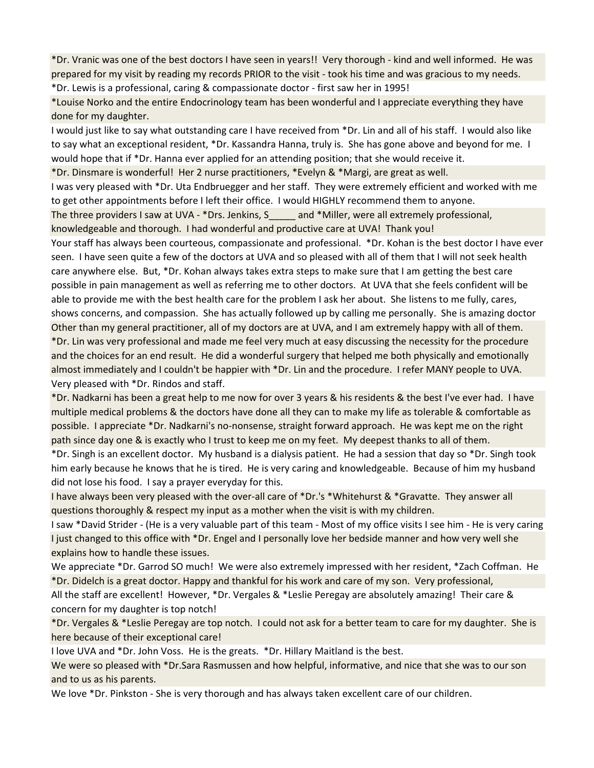\*Dr. Vranic was one of the best doctors I have seen in years!! Very thorough - kind and well informed. He was prepared for my visit by reading my records PRIOR to the visit - took his time and was gracious to my needs.

\*Dr. Lewis is a professional, caring & compassionate doctor - first saw her in 1995!

\*Louise Norko and the entire Endocrinology team has been wonderful and I appreciate everything they have done for my daughter.

I would just like to say what outstanding care I have received from \*Dr. Lin and all of his staff. I would also like to say what an exceptional resident, \*Dr. Kassandra Hanna, truly is. She has gone above and beyond for me. I would hope that if \*Dr. Hanna ever applied for an attending position; that she would receive it.

\*Dr. Dinsmare is wonderful! Her 2 nurse practitioners, \*Evelyn & \*Margi, are great as well.

I was very pleased with \*Dr. Uta Endbruegger and her staff. They were extremely efficient and worked with me to get other appointments before I left their office. I would HIGHLY recommend them to anyone.

The three providers I saw at UVA - \*Drs. Jenkins, S\_\_\_\_\_ and \*Miller, were all extremely professional,

knowledgeable and thorough. I had wonderful and productive care at UVA! Thank you!

Your staff has always been courteous, compassionate and professional. \*Dr. Kohan is the best doctor I have ever seen. I have seen quite a few of the doctors at UVA and so pleased with all of them that I will not seek health care anywhere else. But, \*Dr. Kohan always takes extra steps to make sure that I am getting the best care possible in pain management as well as referring me to other doctors. At UVA that she feels confident will be able to provide me with the best health care for the problem I ask her about. She listens to me fully, cares, shows concerns, and compassion. She has actually followed up by calling me personally. She is amazing doctor Other than my general practitioner, all of my doctors are at UVA, and I am extremely happy with all of them. \*Dr. Lin was very professional and made me feel very much at easy discussing the necessity for the procedure and the choices for an end result. He did a wonderful surgery that helped me both physically and emotionally almost immediately and I couldn't be happier with \*Dr. Lin and the procedure. I refer MANY people to UVA. Very pleased with \*Dr. Rindos and staff.

\*Dr. Nadkarni has been a great help to me now for over 3 years & his residents & the best I've ever had. I have multiple medical problems & the doctors have done all they can to make my life as tolerable & comfortable as possible. I appreciate \*Dr. Nadkarni's no-nonsense, straight forward approach. He was kept me on the right path since day one & is exactly who I trust to keep me on my feet. My deepest thanks to all of them.

\*Dr. Singh is an excellent doctor. My husband is a dialysis patient. He had a session that day so \*Dr. Singh took him early because he knows that he is tired. He is very caring and knowledgeable. Because of him my husband did not lose his food. I say a prayer everyday for this.

I have always been very pleased with the over-all care of \*Dr.'s \*Whitehurst & \*Gravatte. They answer all questions thoroughly & respect my input as a mother when the visit is with my children.

I saw \*David Strider - (He is a very valuable part of this team - Most of my office visits I see him - He is very caring I just changed to this office with \*Dr. Engel and I personally love her bedside manner and how very well she explains how to handle these issues.

We appreciate \*Dr. Garrod SO much! We were also extremely impressed with her resident, \*Zach Coffman. He \*Dr. Didelch is a great doctor. Happy and thankful for his work and care of my son. Very professional,

All the staff are excellent! However, \*Dr. Vergales & \*Leslie Peregay are absolutely amazing! Their care & concern for my daughter is top notch!

\*Dr. Vergales & \*Leslie Peregay are top notch. I could not ask for a better team to care for my daughter. She is here because of their exceptional care!

I love UVA and \*Dr. John Voss. He is the greats. \*Dr. Hillary Maitland is the best.

We were so pleased with \*Dr.Sara Rasmussen and how helpful, informative, and nice that she was to our son and to us as his parents.

We love \*Dr. Pinkston - She is very thorough and has always taken excellent care of our children.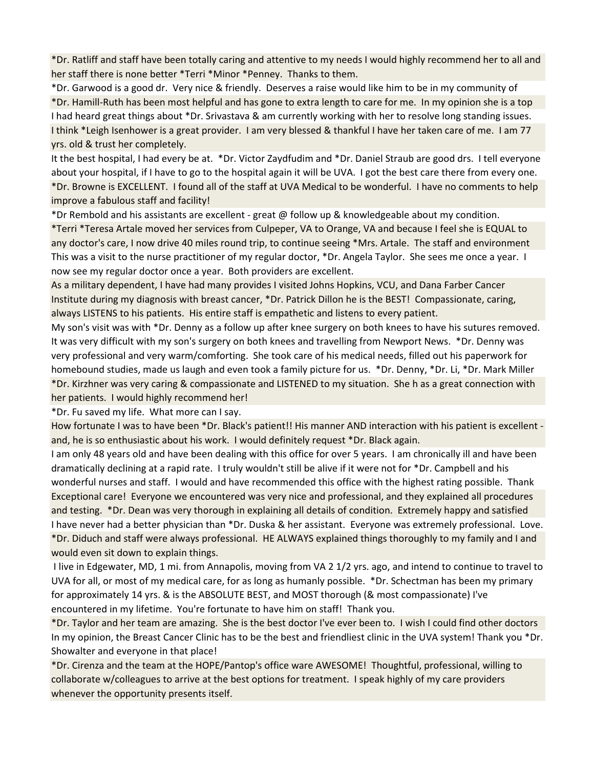\*Dr. Ratliff and staff have been totally caring and attentive to my needs I would highly recommend her to all and her staff there is none better \*Terri \*Minor \*Penney. Thanks to them.

\*Dr. Garwood is a good dr. Very nice & friendly. Deserves a raise would like him to be in my community of \*Dr. Hamill-Ruth has been most helpful and has gone to extra length to care for me. In my opinion she is a top I had heard great things about \*Dr. Srivastava & am currently working with her to resolve long standing issues. I think \*Leigh Isenhower is a great provider. I am very blessed & thankful I have her taken care of me. I am 77 yrs. old & trust her completely.

It the best hospital, I had every be at. \*Dr. Victor Zaydfudim and \*Dr. Daniel Straub are good drs. I tell everyone about your hospital, if I have to go to the hospital again it will be UVA. I got the best care there from every one. \*Dr. Browne is EXCELLENT. I found all of the staff at UVA Medical to be wonderful. I have no comments to help improve a fabulous staff and facility!

\*Dr Rembold and his assistants are excellent - great @ follow up & knowledgeable about my condition.

\*Terri \*Teresa Artale moved her services from Culpeper, VA to Orange, VA and because I feel she is EQUAL to any doctor's care, I now drive 40 miles round trip, to continue seeing \*Mrs. Artale. The staff and environment This was a visit to the nurse practitioner of my regular doctor, \*Dr. Angela Taylor. She sees me once a year. I now see my regular doctor once a year. Both providers are excellent.

As a military dependent, I have had many provides I visited Johns Hopkins, VCU, and Dana Farber Cancer Institute during my diagnosis with breast cancer, \*Dr. Patrick Dillon he is the BEST! Compassionate, caring, always LISTENS to his patients. His entire staff is empathetic and listens to every patient.

My son's visit was with \*Dr. Denny as a follow up after knee surgery on both knees to have his sutures removed. It was very difficult with my son's surgery on both knees and travelling from Newport News. \*Dr. Denny was very professional and very warm/comforting. She took care of his medical needs, filled out his paperwork for homebound studies, made us laugh and even took a family picture for us. \*Dr. Denny, \*Dr. Li, \*Dr. Mark Miller \*Dr. Kirzhner was very caring & compassionate and LISTENED to my situation. She h as a great connection with her patients. I would highly recommend her!

\*Dr. Fu saved my life. What more can I say.

How fortunate I was to have been \*Dr. Black's patient!! His manner AND interaction with his patient is excellent and, he is so enthusiastic about his work. I would definitely request \*Dr. Black again.

I am only 48 years old and have been dealing with this office for over 5 years. I am chronically ill and have been dramatically declining at a rapid rate. I truly wouldn't still be alive if it were not for \*Dr. Campbell and his wonderful nurses and staff. I would and have recommended this office with the highest rating possible. Thank Exceptional care! Everyone we encountered was very nice and professional, and they explained all procedures and testing. \*Dr. Dean was very thorough in explaining all details of condition. Extremely happy and satisfied I have never had a better physician than \*Dr. Duska & her assistant. Everyone was extremely professional. Love. \*Dr. Diduch and staff were always professional. HE ALWAYS explained things thoroughly to my family and I and would even sit down to explain things.

 I live in Edgewater, MD, 1 mi. from Annapolis, moving from VA 2 1/2 yrs. ago, and intend to continue to travel to UVA for all, or most of my medical care, for as long as humanly possible. \*Dr. Schectman has been my primary for approximately 14 yrs. & is the ABSOLUTE BEST, and MOST thorough (& most compassionate) I've encountered in my lifetime. You're fortunate to have him on staff! Thank you.

\*Dr. Taylor and her team are amazing. She is the best doctor I've ever been to. I wish I could find other doctors In my opinion, the Breast Cancer Clinic has to be the best and friendliest clinic in the UVA system! Thank you \*Dr. Showalter and everyone in that place!

\*Dr. Cirenza and the team at the HOPE/Pantop's office ware AWESOME! Thoughtful, professional, willing to collaborate w/colleagues to arrive at the best options for treatment. I speak highly of my care providers whenever the opportunity presents itself.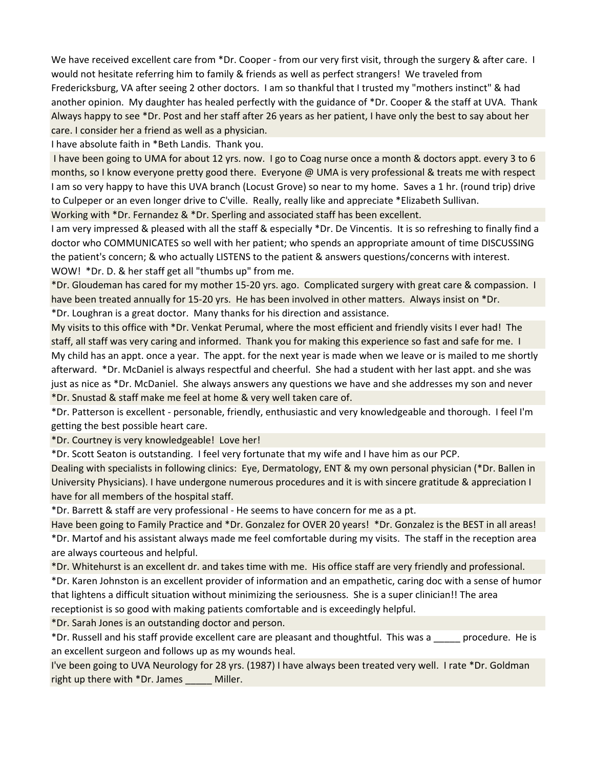We have received excellent care from \*Dr. Cooper - from our very first visit, through the surgery & after care. I would not hesitate referring him to family & friends as well as perfect strangers! We traveled from Fredericksburg, VA after seeing 2 other doctors. I am so thankful that I trusted my "mothers instinct" & had another opinion. My daughter has healed perfectly with the guidance of \*Dr. Cooper & the staff at UVA. Thank Always happy to see \*Dr. Post and her staff after 26 years as her patient, I have only the best to say about her care. I consider her a friend as well as a physician.

I have absolute faith in \*Beth Landis. Thank you.

 I have been going to UMA for about 12 yrs. now. I go to Coag nurse once a month & doctors appt. every 3 to 6 months, so I know everyone pretty good there. Everyone @ UMA is very professional & treats me with respect I am so very happy to have this UVA branch (Locust Grove) so near to my home. Saves a 1 hr. (round trip) drive to Culpeper or an even longer drive to C'ville. Really, really like and appreciate \*Elizabeth Sullivan. Working with \*Dr. Fernandez & \*Dr. Sperling and associated staff has been excellent.

I am very impressed & pleased with all the staff & especially \*Dr. De Vincentis. It is so refreshing to finally find a doctor who COMMUNICATES so well with her patient; who spends an appropriate amount of time DISCUSSING the patient's concern; & who actually LISTENS to the patient & answers questions/concerns with interest. WOW! \*Dr. D. & her staff get all "thumbs up" from me.

\*Dr. Gloudeman has cared for my mother 15-20 yrs. ago. Complicated surgery with great care & compassion. I have been treated annually for 15-20 yrs. He has been involved in other matters. Always insist on \*Dr.

\*Dr. Loughran is a great doctor. Many thanks for his direction and assistance.

My visits to this office with \*Dr. Venkat Perumal, where the most efficient and friendly visits I ever had! The staff, all staff was very caring and informed. Thank you for making this experience so fast and safe for me. I My child has an appt. once a year. The appt. for the next year is made when we leave or is mailed to me shortly afterward. \*Dr. McDaniel is always respectful and cheerful. She had a student with her last appt. and she was just as nice as \*Dr. McDaniel. She always answers any questions we have and she addresses my son and never \*Dr. Snustad & staff make me feel at home & very well taken care of.

\*Dr. Patterson is excellent - personable, friendly, enthusiastic and very knowledgeable and thorough. I feel I'm getting the best possible heart care.

\*Dr. Courtney is very knowledgeable! Love her!

\*Dr. Scott Seaton is outstanding. I feel very fortunate that my wife and I have him as our PCP.

Dealing with specialists in following clinics: Eye, Dermatology, ENT & my own personal physician (\*Dr. Ballen in University Physicians). I have undergone numerous procedures and it is with sincere gratitude & appreciation I have for all members of the hospital staff.

\*Dr. Barrett & staff are very professional - He seems to have concern for me as a pt.

Have been going to Family Practice and \*Dr. Gonzalez for OVER 20 years! \*Dr. Gonzalez is the BEST in all areas! \*Dr. Martof and his assistant always made me feel comfortable during my visits. The staff in the reception area are always courteous and helpful.

\*Dr. Whitehurst is an excellent dr. and takes time with me. His office staff are very friendly and professional.

\*Dr. Karen Johnston is an excellent provider of information and an empathetic, caring doc with a sense of humor that lightens a difficult situation without minimizing the seriousness. She is a super clinician!! The area receptionist is so good with making patients comfortable and is exceedingly helpful.

\*Dr. Sarah Jones is an outstanding doctor and person.

\*Dr. Russell and his staff provide excellent care are pleasant and thoughtful. This was a \_\_\_\_\_ procedure. He is an excellent surgeon and follows up as my wounds heal.

I've been going to UVA Neurology for 28 yrs. (1987) I have always been treated very well. I rate \*Dr. Goldman right up there with \*Dr. James \_\_\_\_\_ Miller.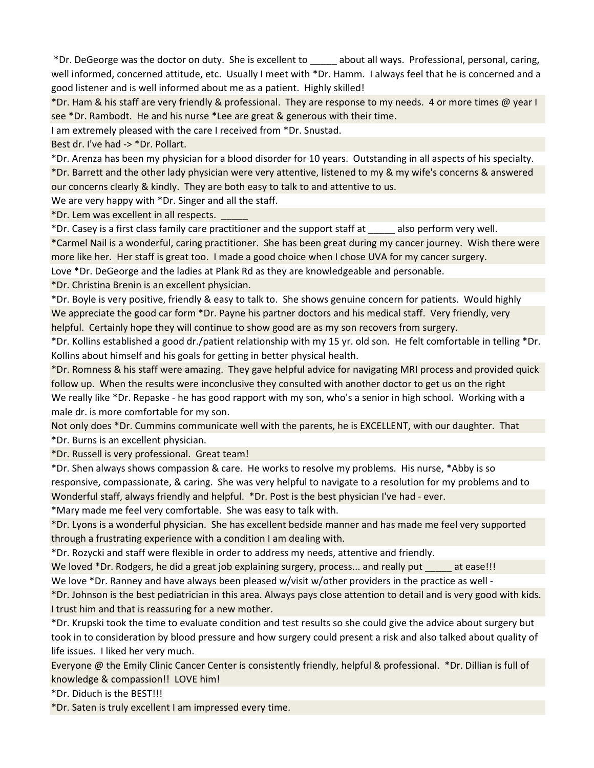\*Dr. DeGeorge was the doctor on duty. She is excellent to \_\_\_\_\_ about all ways. Professional, personal, caring, well informed, concerned attitude, etc. Usually I meet with \*Dr. Hamm. I always feel that he is concerned and a good listener and is well informed about me as a patient. Highly skilled!

\*Dr. Ham & his staff are very friendly & professional. They are response to my needs. 4 or more times @ year I see \*Dr. Rambodt. He and his nurse \*Lee are great & generous with their time.

I am extremely pleased with the care I received from \*Dr. Snustad.

Best dr. I've had -> \*Dr. Pollart.

\*Dr. Arenza has been my physician for a blood disorder for 10 years. Outstanding in all aspects of his specialty. \*Dr. Barrett and the other lady physician were very attentive, listened to my & my wife's concerns & answered our concerns clearly & kindly. They are both easy to talk to and attentive to us.

We are very happy with \*Dr. Singer and all the staff.

\*Dr. Lem was excellent in all respects. \_\_\_\_\_

\*Dr. Casey is a first class family care practitioner and the support staff at \_\_\_\_\_ also perform very well.

\*Carmel Nail is a wonderful, caring practitioner. She has been great during my cancer journey. Wish there were more like her. Her staff is great too. I made a good choice when I chose UVA for my cancer surgery.

Love \*Dr. DeGeorge and the ladies at Plank Rd as they are knowledgeable and personable.

\*Dr. Christina Brenin is an excellent physician.

\*Dr. Boyle is very positive, friendly & easy to talk to. She shows genuine concern for patients. Would highly We appreciate the good car form \*Dr. Payne his partner doctors and his medical staff. Very friendly, very helpful. Certainly hope they will continue to show good are as my son recovers from surgery.

\*Dr. Kollins established a good dr./patient relationship with my 15 yr. old son. He felt comfortable in telling \*Dr. Kollins about himself and his goals for getting in better physical health.

\*Dr. Romness & his staff were amazing. They gave helpful advice for navigating MRI process and provided quick follow up. When the results were inconclusive they consulted with another doctor to get us on the right We really like \*Dr. Repaske - he has good rapport with my son, who's a senior in high school. Working with a male dr. is more comfortable for my son.

Not only does \*Dr. Cummins communicate well with the parents, he is EXCELLENT, with our daughter. That \*Dr. Burns is an excellent physician.

\*Dr. Russell is very professional. Great team!

\*Dr. Shen always shows compassion & care. He works to resolve my problems. His nurse, \*Abby is so responsive, compassionate, & caring. She was very helpful to navigate to a resolution for my problems and to Wonderful staff, always friendly and helpful. \*Dr. Post is the best physician I've had - ever.

\*Mary made me feel very comfortable. She was easy to talk with.

\*Dr. Lyons is a wonderful physician. She has excellent bedside manner and has made me feel very supported through a frustrating experience with a condition I am dealing with.

\*Dr. Rozycki and staff were flexible in order to address my needs, attentive and friendly.

We loved \*Dr. Rodgers, he did a great job explaining surgery, process... and really put at ease!!! We love \*Dr. Ranney and have always been pleased w/visit w/other providers in the practice as well -

\*Dr. Johnson is the best pediatrician in this area. Always pays close attention to detail and is very good with kids. I trust him and that is reassuring for a new mother.

\*Dr. Krupski took the time to evaluate condition and test results so she could give the advice about surgery but took in to consideration by blood pressure and how surgery could present a risk and also talked about quality of life issues. I liked her very much.

Everyone @ the Emily Clinic Cancer Center is consistently friendly, helpful & professional. \*Dr. Dillian is full of knowledge & compassion!! LOVE him!

\*Dr. Diduch is the BEST!!!

\*Dr. Saten is truly excellent I am impressed every time.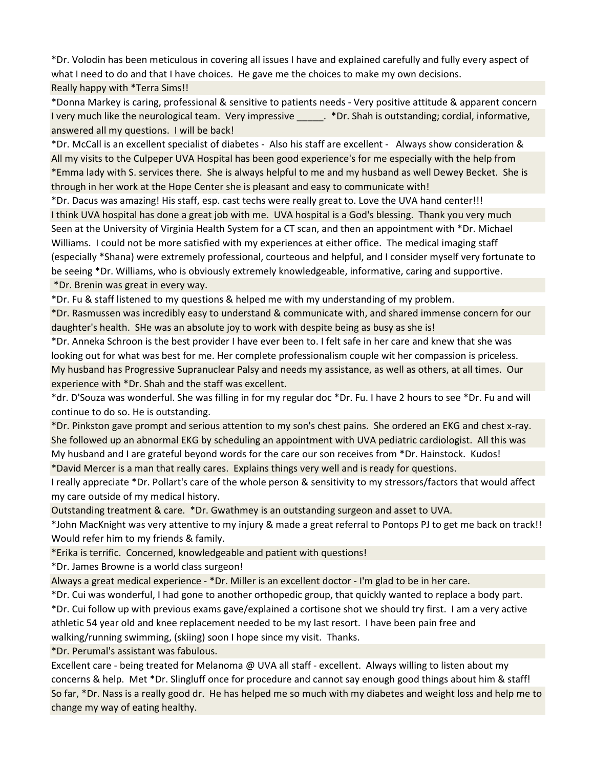\*Dr. Volodin has been meticulous in covering all issues I have and explained carefully and fully every aspect of what I need to do and that I have choices. He gave me the choices to make my own decisions.

Really happy with \*Terra Sims!!

\*Donna Markey is caring, professional & sensitive to patients needs - Very positive attitude & apparent concern I very much like the neurological team. Very impressive . \*Dr. Shah is outstanding; cordial, informative, answered all my questions. I will be back!

\*Dr. McCall is an excellent specialist of diabetes - Also his staff are excellent - Always show consideration & All my visits to the Culpeper UVA Hospital has been good experience's for me especially with the help from \*Emma lady with S. services there. She is always helpful to me and my husband as well Dewey Becket. She is through in her work at the Hope Center she is pleasant and easy to communicate with!

\*Dr. Dacus was amazing! His staff, esp. cast techs were really great to. Love the UVA hand center!!! I think UVA hospital has done a great job with me. UVA hospital is a God's blessing. Thank you very much Seen at the University of Virginia Health System for a CT scan, and then an appointment with \*Dr. Michael Williams. I could not be more satisfied with my experiences at either office. The medical imaging staff (especially \*Shana) were extremely professional, courteous and helpful, and I consider myself very fortunate to be seeing \*Dr. Williams, who is obviously extremely knowledgeable, informative, caring and supportive. \*Dr. Brenin was great in every way.

\*Dr. Fu & staff listened to my questions & helped me with my understanding of my problem.

\*Dr. Rasmussen was incredibly easy to understand & communicate with, and shared immense concern for our daughter's health. SHe was an absolute joy to work with despite being as busy as she is!

\*Dr. Anneka Schroon is the best provider I have ever been to. I felt safe in her care and knew that she was looking out for what was best for me. Her complete professionalism couple wit her compassion is priceless. My husband has Progressive Supranuclear Palsy and needs my assistance, as well as others, at all times. Our experience with \*Dr. Shah and the staff was excellent.

\*dr. D'Souza was wonderful. She was filling in for my regular doc \*Dr. Fu. I have 2 hours to see \*Dr. Fu and will continue to do so. He is outstanding.

\*Dr. Pinkston gave prompt and serious attention to my son's chest pains. She ordered an EKG and chest x-ray. She followed up an abnormal EKG by scheduling an appointment with UVA pediatric cardiologist. All this was My husband and I are grateful beyond words for the care our son receives from \*Dr. Hainstock. Kudos!

\*David Mercer is a man that really cares. Explains things very well and is ready for questions.

I really appreciate \*Dr. Pollart's care of the whole person & sensitivity to my stressors/factors that would affect my care outside of my medical history.

Outstanding treatment & care. \*Dr. Gwathmey is an outstanding surgeon and asset to UVA.

\*John MacKnight was very attentive to my injury & made a great referral to Pontops PJ to get me back on track!! Would refer him to my friends & family.

\*Erika is terrific. Concerned, knowledgeable and patient with questions!

\*Dr. James Browne is a world class surgeon!

Always a great medical experience - \*Dr. Miller is an excellent doctor - I'm glad to be in her care.

\*Dr. Cui was wonderful, I had gone to another orthopedic group, that quickly wanted to replace a body part.

\*Dr. Cui follow up with previous exams gave/explained a cortisone shot we should try first. I am a very active athletic 54 year old and knee replacement needed to be my last resort. I have been pain free and walking/running swimming, (skiing) soon I hope since my visit. Thanks.

\*Dr. Perumal's assistant was fabulous.

Excellent care - being treated for Melanoma @ UVA all staff - excellent. Always willing to listen about my concerns & help. Met \*Dr. Slingluff once for procedure and cannot say enough good things about him & staff! So far, \*Dr. Nass is a really good dr. He has helped me so much with my diabetes and weight loss and help me to change my way of eating healthy.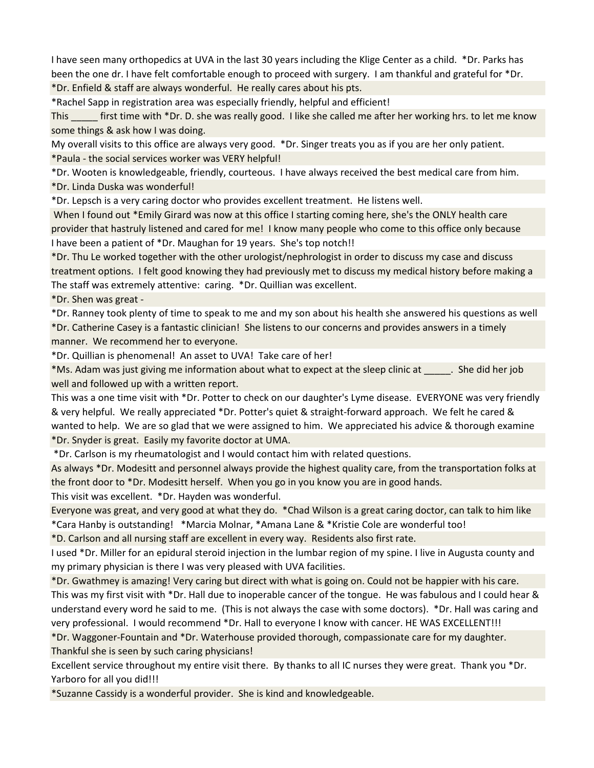I have seen many orthopedics at UVA in the last 30 years including the Klige Center as a child. \*Dr. Parks has been the one dr. I have felt comfortable enough to proceed with surgery. I am thankful and grateful for \*Dr.

\*Dr. Enfield & staff are always wonderful. He really cares about his pts.

\*Rachel Sapp in registration area was especially friendly, helpful and efficient!

This first time with \*Dr. D. she was really good. I like she called me after her working hrs. to let me know some things & ask how I was doing.

My overall visits to this office are always very good. \*Dr. Singer treats you as if you are her only patient. \*Paula - the social services worker was VERY helpful!

\*Dr. Wooten is knowledgeable, friendly, courteous. I have always received the best medical care from him. \*Dr. Linda Duska was wonderful!

\*Dr. Lepsch is a very caring doctor who provides excellent treatment. He listens well.

 When I found out \*Emily Girard was now at this office I starting coming here, she's the ONLY health care provider that hastruly listened and cared for me! I know many people who come to this office only because I have been a patient of \*Dr. Maughan for 19 years. She's top notch!!

\*Dr. Thu Le worked together with the other urologist/nephrologist in order to discuss my case and discuss treatment options. I felt good knowing they had previously met to discuss my medical history before making a The staff was extremely attentive: caring. \*Dr. Quillian was excellent.

\*Dr. Shen was great -

\*Dr. Ranney took plenty of time to speak to me and my son about his health she answered his questions as well \*Dr. Catherine Casey is a fantastic clinician! She listens to our concerns and provides answers in a timely manner. We recommend her to everyone.

\*Dr. Quillian is phenomenal! An asset to UVA! Take care of her!

\*Ms. Adam was just giving me information about what to expect at the sleep clinic at \_\_\_\_\_. She did her job well and followed up with a written report.

This was a one time visit with \*Dr. Potter to check on our daughter's Lyme disease. EVERYONE was very friendly & very helpful. We really appreciated \*Dr. Potter's quiet & straight-forward approach. We felt he cared & wanted to help. We are so glad that we were assigned to him. We appreciated his advice & thorough examine \*Dr. Snyder is great. Easily my favorite doctor at UMA.

\*Dr. Carlson is my rheumatologist and I would contact him with related questions.

As always \*Dr. Modesitt and personnel always provide the highest quality care, from the transportation folks at the front door to \*Dr. Modesitt herself. When you go in you know you are in good hands.

This visit was excellent. \*Dr. Hayden was wonderful.

Everyone was great, and very good at what they do. \*Chad Wilson is a great caring doctor, can talk to him like \*Cara Hanby is outstanding! \*Marcia Molnar, \*Amana Lane & \*Kristie Cole are wonderful too!

\*D. Carlson and all nursing staff are excellent in every way. Residents also first rate.

I used \*Dr. Miller for an epidural steroid injection in the lumbar region of my spine. I live in Augusta county and my primary physician is there I was very pleased with UVA facilities.

\*Dr. Gwathmey is amazing! Very caring but direct with what is going on. Could not be happier with his care.

This was my first visit with \*Dr. Hall due to inoperable cancer of the tongue. He was fabulous and I could hear & understand every word he said to me. (This is not always the case with some doctors). \*Dr. Hall was caring and very professional. I would recommend \*Dr. Hall to everyone I know with cancer. HE WAS EXCELLENT!!!

\*Dr. Waggoner-Fountain and \*Dr. Waterhouse provided thorough, compassionate care for my daughter. Thankful she is seen by such caring physicians!

Excellent service throughout my entire visit there. By thanks to all IC nurses they were great. Thank you \*Dr. Yarboro for all you did!!!

\*Suzanne Cassidy is a wonderful provider. She is kind and knowledgeable.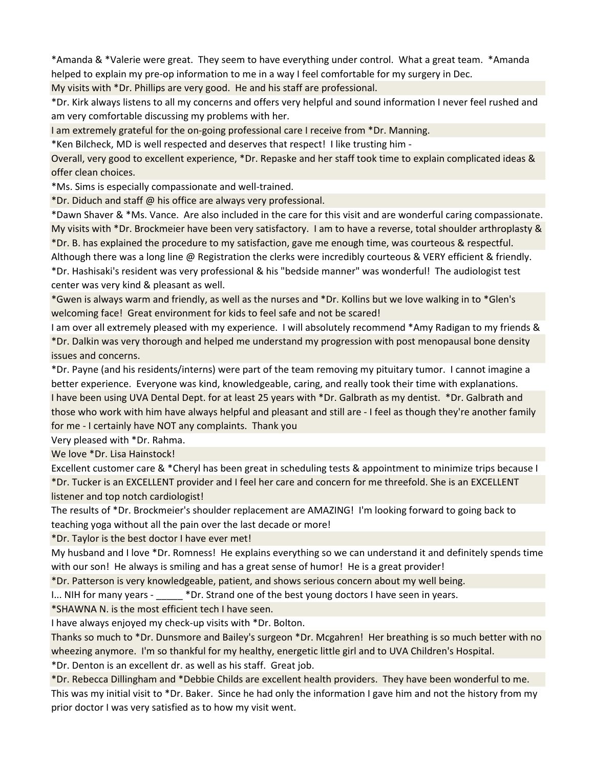\*Amanda & \*Valerie were great. They seem to have everything under control. What a great team. \*Amanda helped to explain my pre-op information to me in a way I feel comfortable for my surgery in Dec.

My visits with \*Dr. Phillips are very good. He and his staff are professional.

\*Dr. Kirk always listens to all my concerns and offers very helpful and sound information I never feel rushed and am very comfortable discussing my problems with her.

I am extremely grateful for the on-going professional care I receive from \*Dr. Manning.

\*Ken Bilcheck, MD is well respected and deserves that respect! I like trusting him -

Overall, very good to excellent experience, \*Dr. Repaske and her staff took time to explain complicated ideas & offer clean choices.

\*Ms. Sims is especially compassionate and well-trained.

\*Dr. Diduch and staff @ his office are always very professional.

\*Dawn Shaver & \*Ms. Vance. Are also included in the care for this visit and are wonderful caring compassionate. My visits with \*Dr. Brockmeier have been very satisfactory. I am to have a reverse, total shoulder arthroplasty & \*Dr. B. has explained the procedure to my satisfaction, gave me enough time, was courteous & respectful.

Although there was a long line @ Registration the clerks were incredibly courteous & VERY efficient & friendly. \*Dr. Hashisaki's resident was very professional & his "bedside manner" was wonderful! The audiologist test center was very kind & pleasant as well.

\*Gwen is always warm and friendly, as well as the nurses and \*Dr. Kollins but we love walking in to \*Glen's welcoming face! Great environment for kids to feel safe and not be scared!

I am over all extremely pleased with my experience. I will absolutely recommend \*Amy Radigan to my friends & \*Dr. Dalkin was very thorough and helped me understand my progression with post menopausal bone density issues and concerns.

\*Dr. Payne (and his residents/interns) were part of the team removing my pituitary tumor. I cannot imagine a better experience. Everyone was kind, knowledgeable, caring, and really took their time with explanations. I have been using UVA Dental Dept. for at least 25 years with \*Dr. Galbrath as my dentist. \*Dr. Galbrath and those who work with him have always helpful and pleasant and still are - I feel as though they're another family for me - I certainly have NOT any complaints. Thank you

Very pleased with \*Dr. Rahma.

We love \*Dr. Lisa Hainstock!

Excellent customer care & \*Cheryl has been great in scheduling tests & appointment to minimize trips because I \*Dr. Tucker is an EXCELLENT provider and I feel her care and concern for me threefold. She is an EXCELLENT listener and top notch cardiologist!

The results of \*Dr. Brockmeier's shoulder replacement are AMAZING! I'm looking forward to going back to teaching yoga without all the pain over the last decade or more!

\*Dr. Taylor is the best doctor I have ever met!

My husband and I love \*Dr. Romness! He explains everything so we can understand it and definitely spends time with our son! He always is smiling and has a great sense of humor! He is a great provider!

\*Dr. Patterson is very knowledgeable, patient, and shows serious concern about my well being.

I... NIH for many years - \_\_\_\_\_\_ \*Dr. Strand one of the best young doctors I have seen in years.

\*SHAWNA N. is the most efficient tech I have seen.

I have always enjoyed my check-up visits with \*Dr. Bolton.

Thanks so much to \*Dr. Dunsmore and Bailey's surgeon \*Dr. Mcgahren! Her breathing is so much better with no wheezing anymore. I'm so thankful for my healthy, energetic little girl and to UVA Children's Hospital.

\*Dr. Denton is an excellent dr. as well as his staff. Great job.

\*Dr. Rebecca Dillingham and \*Debbie Childs are excellent health providers. They have been wonderful to me. This was my initial visit to \*Dr. Baker. Since he had only the information I gave him and not the history from my prior doctor I was very satisfied as to how my visit went.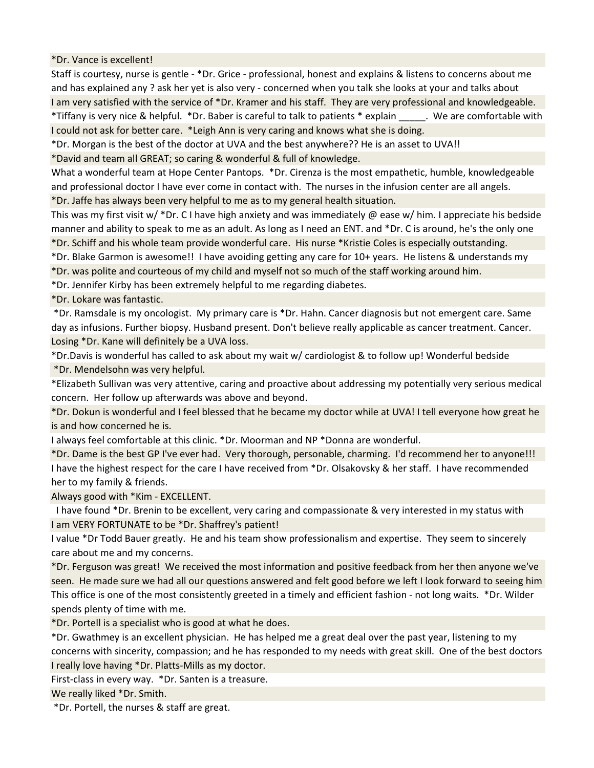\*Dr. Vance is excellent!

Staff is courtesy, nurse is gentle - \*Dr. Grice - professional, honest and explains & listens to concerns about me and has explained any ? ask her yet is also very - concerned when you talk she looks at your and talks about I am very satisfied with the service of \*Dr. Kramer and his staff. They are very professional and knowledgeable. \*Tiffany is very nice & helpful. \*Dr. Baber is careful to talk to patients \* explain \_\_\_\_\_. We are comfortable with I could not ask for better care. \*Leigh Ann is very caring and knows what she is doing.

\*Dr. Morgan is the best of the doctor at UVA and the best anywhere?? He is an asset to UVA!!

\*David and team all GREAT; so caring & wonderful & full of knowledge.

What a wonderful team at Hope Center Pantops. \*Dr. Cirenza is the most empathetic, humble, knowledgeable and professional doctor I have ever come in contact with. The nurses in the infusion center are all angels.

\*Dr. Jaffe has always been very helpful to me as to my general health situation.

This was my first visit w/ \*Dr. C I have high anxiety and was immediately @ ease w/ him. I appreciate his bedside manner and ability to speak to me as an adult. As long as I need an ENT. and \*Dr. C is around, he's the only one

\*Dr. Schiff and his whole team provide wonderful care. His nurse \*Kristie Coles is especially outstanding.

\*Dr. Blake Garmon is awesome!! I have avoiding getting any care for 10+ years. He listens & understands my

\*Dr. was polite and courteous of my child and myself not so much of the staff working around him.

\*Dr. Jennifer Kirby has been extremely helpful to me regarding diabetes.

\*Dr. Lokare was fantastic.

 \*Dr. Ramsdale is my oncologist. My primary care is \*Dr. Hahn. Cancer diagnosis but not emergent care. Same day as infusions. Further biopsy. Husband present. Don't believe really applicable as cancer treatment. Cancer. Losing \*Dr. Kane will definitely be a UVA loss.

\*Dr.Davis is wonderful has called to ask about my wait w/ cardiologist & to follow up! Wonderful bedside \*Dr. Mendelsohn was very helpful.

\*Elizabeth Sullivan was very attentive, caring and proactive about addressing my potentially very serious medical concern. Her follow up afterwards was above and beyond.

\*Dr. Dokun is wonderful and I feel blessed that he became my doctor while at UVA! I tell everyone how great he is and how concerned he is.

I always feel comfortable at this clinic. \*Dr. Moorman and NP \*Donna are wonderful.

\*Dr. Dame is the best GP I've ever had. Very thorough, personable, charming. I'd recommend her to anyone!!! I have the highest respect for the care I have received from \*Dr. Olsakovsky & her staff. I have recommended her to my family & friends.

Always good with \*Kim - EXCELLENT.

 I have found \*Dr. Brenin to be excellent, very caring and compassionate & very interested in my status with I am VERY FORTUNATE to be \*Dr. Shaffrey's patient!

I value \*Dr Todd Bauer greatly. He and his team show professionalism and expertise. They seem to sincerely care about me and my concerns.

\*Dr. Ferguson was great! We received the most information and positive feedback from her then anyone we've seen. He made sure we had all our questions answered and felt good before we left I look forward to seeing him This office is one of the most consistently greeted in a timely and efficient fashion - not long waits. \*Dr. Wilder spends plenty of time with me.

\*Dr. Portell is a specialist who is good at what he does.

\*Dr. Gwathmey is an excellent physician. He has helped me a great deal over the past year, listening to my concerns with sincerity, compassion; and he has responded to my needs with great skill. One of the best doctors I really love having \*Dr. Platts-Mills as my doctor.

First-class in every way. \*Dr. Santen is a treasure.

We really liked \*Dr. Smith.

\*Dr. Portell, the nurses & staff are great.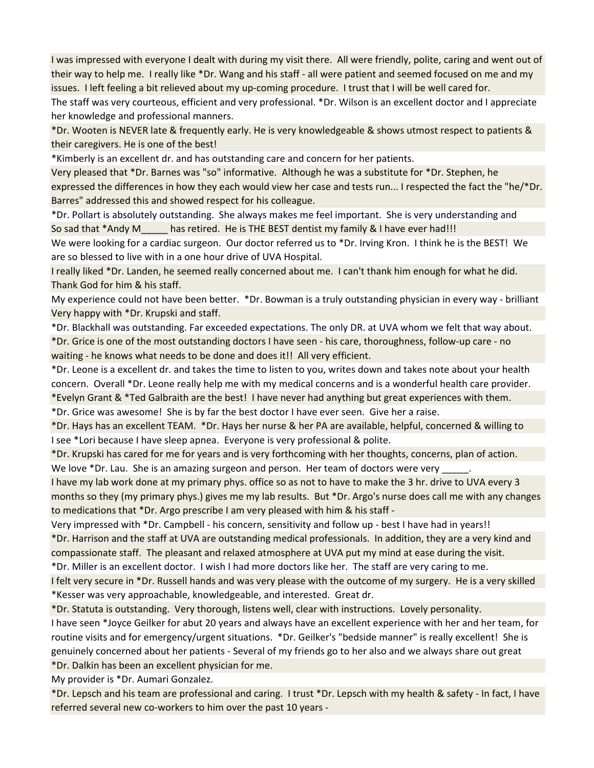I was impressed with everyone I dealt with during my visit there. All were friendly, polite, caring and went out of their way to help me. I really like \*Dr. Wang and his staff - all were patient and seemed focused on me and my issues. I left feeling a bit relieved about my up-coming procedure. I trust that I will be well cared for.

The staff was very courteous, efficient and very professional. \*Dr. Wilson is an excellent doctor and I appreciate her knowledge and professional manners.

\*Dr. Wooten is NEVER late & frequently early. He is very knowledgeable & shows utmost respect to patients & their caregivers. He is one of the best!

\*Kimberly is an excellent dr. and has outstanding care and concern for her patients.

Very pleased that \*Dr. Barnes was "so" informative. Although he was a substitute for \*Dr. Stephen, he expressed the differences in how they each would view her case and tests run... I respected the fact the "he/\*Dr. Barres" addressed this and showed respect for his colleague.

\*Dr. Pollart is absolutely outstanding. She always makes me feel important. She is very understanding and So sad that \*Andy M\_\_\_\_\_ has retired. He is THE BEST dentist my family & I have ever had!!!

We were looking for a cardiac surgeon. Our doctor referred us to \*Dr. Irving Kron. I think he is the BEST! We are so blessed to live with in a one hour drive of UVA Hospital.

I really liked \*Dr. Landen, he seemed really concerned about me. I can't thank him enough for what he did. Thank God for him & his staff.

My experience could not have been better. \*Dr. Bowman is a truly outstanding physician in every way - brilliant Very happy with \*Dr. Krupski and staff.

\*Dr. Blackhall was outstanding. Far exceeded expectations. The only DR. at UVA whom we felt that way about. \*Dr. Grice is one of the most outstanding doctors I have seen - his care, thoroughness, follow-up care - no waiting - he knows what needs to be done and does it!! All very efficient.

\*Dr. Leone is a excellent dr. and takes the time to listen to you, writes down and takes note about your health concern. Overall \*Dr. Leone really help me with my medical concerns and is a wonderful health care provider. \*Evelyn Grant & \*Ted Galbraith are the best! I have never had anything but great experiences with them.

\*Dr. Grice was awesome! She is by far the best doctor I have ever seen. Give her a raise.

\*Dr. Hays has an excellent TEAM. \*Dr. Hays her nurse & her PA are available, helpful, concerned & willing to I see \*Lori because I have sleep apnea. Everyone is very professional & polite.

\*Dr. Krupski has cared for me for years and is very forthcoming with her thoughts, concerns, plan of action. We love \*Dr. Lau. She is an amazing surgeon and person. Her team of doctors were very \_\_\_\_\_\_\_\_\_\_\_\_\_\_

I have my lab work done at my primary phys. office so as not to have to make the 3 hr. drive to UVA every 3 months so they (my primary phys.) gives me my lab results. But \*Dr. Argo's nurse does call me with any changes to medications that \*Dr. Argo prescribe I am very pleased with him & his staff -

Very impressed with \*Dr. Campbell - his concern, sensitivity and follow up - best I have had in years!! \*Dr. Harrison and the staff at UVA are outstanding medical professionals. In addition, they are a very kind and compassionate staff. The pleasant and relaxed atmosphere at UVA put my mind at ease during the visit.

\*Dr. Miller is an excellent doctor. I wish I had more doctors like her. The staff are very caring to me.

I felt very secure in \*Dr. Russell hands and was very please with the outcome of my surgery. He is a very skilled \*Kesser was very approachable, knowledgeable, and interested. Great dr.

\*Dr. Statuta is outstanding. Very thorough, listens well, clear with instructions. Lovely personality.

I have seen \*Joyce Geilker for abut 20 years and always have an excellent experience with her and her team, for routine visits and for emergency/urgent situations. \*Dr. Geilker's "bedside manner" is really excellent! She is genuinely concerned about her patients - Several of my friends go to her also and we always share out great

\*Dr. Dalkin has been an excellent physician for me.

My provider is \*Dr. Aumari Gonzalez.

\*Dr. Lepsch and his team are professional and caring. I trust \*Dr. Lepsch with my health & safety - In fact, I have referred several new co-workers to him over the past 10 years -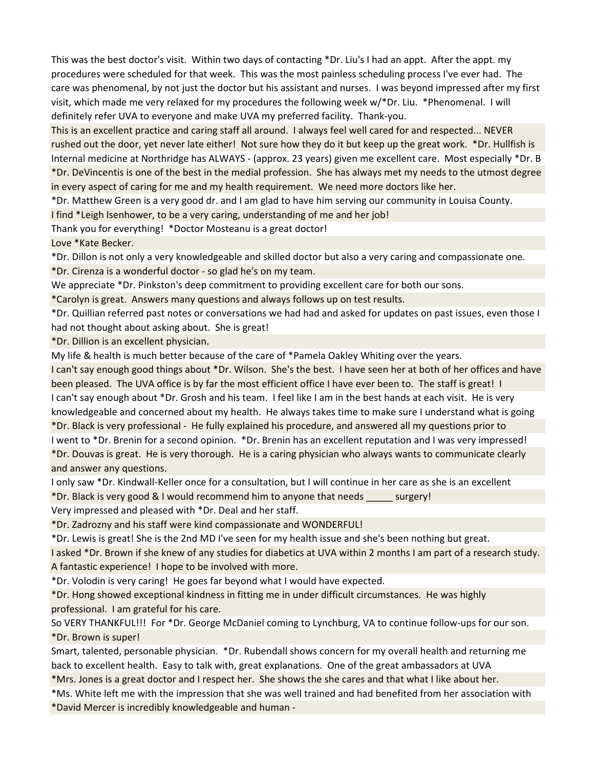This was the best doctor's visit. Within two days of contacting \*Dr. Liu's I had an appt. After the appt. my procedures were scheduled for that week. This was the most painless scheduling process I've ever had. The care was phenomenal, by not just the doctor but his assistant and nurses. I was beyond impressed after my first visit, which made me very relaxed for my procedures the following week w/\*Dr. Liu. \*Phenomenal. I will definitely refer UVA to everyone and make UVA my preferred facility. Thank-you.

This is an excellent practice and caring staff all around. I always feel well cared for and respected... NEVER rushed out the door, yet never late either! Not sure how they do it but keep up the great work. \*Dr. Hullfish is Internal medicine at Northridge has ALWAYS - (approx. 23 years) given me excellent care. Most especially \*Dr. B \*Dr. DeVincentis is one of the best in the medial profession. She has always met my needs to the utmost degree in every aspect of caring for me and my health requirement. We need more doctors like her.

\*Dr. Matthew Green is a very good dr. and I am glad to have him serving our community in Louisa County. I find \*Leigh Isenhower, to be a very caring, understanding of me and her job!

Thank you for everything! \*Doctor Mosteanu is a great doctor!

Love \*Kate Becker.

\*Dr. Dillon is not only a very knowledgeable and skilled doctor but also a very caring and compassionate one.

\*Dr. Cirenza is a wonderful doctor - so glad he's on my team.

We appreciate \*Dr. Pinkston's deep commitment to providing excellent care for both our sons.

\*Carolyn is great. Answers many questions and always follows up on test results.

\*Dr. Quillian referred past notes or conversations we had had and asked for updates on past issues, even those I had not thought about asking about. She is great!

\*Dr. Dillion is an excellent physician.

My life & health is much better because of the care of \*Pamela Oakley Whiting over the years.

I can't say enough good things about \*Dr. Wilson. She's the best. I have seen her at both of her offices and have been pleased. The UVA office is by far the most efficient office I have ever been to. The staff is great! I I can't say enough about \*Dr. Grosh and his team. I feel like I am in the best hands at each visit. He is very knowledgeable and concerned about my health. He always takes time to make sure I understand what is going

\*Dr. Black is very professional - He fully explained his procedure, and answered all my questions prior to I went to \*Dr. Brenin for a second opinion. \*Dr. Brenin has an excellent reputation and I was very impressed! \*Dr. Douvas is great. He is very thorough. He is a caring physician who always wants to communicate clearly and answer any questions.

I only saw \*Dr. Kindwall-Keller once for a consultation, but I will continue in her care as she is an excellent \*Dr. Black is very good & I would recommend him to anyone that needs \_\_\_\_\_ surgery!

Very impressed and pleased with \*Dr. Deal and her staff.

\*Dr. Zadrozny and his staff were kind compassionate and WONDERFUL!

\*Dr. Lewis is great! She is the 2nd MD I've seen for my health issue and she's been nothing but great.

I asked \*Dr. Brown if she knew of any studies for diabetics at UVA within 2 months I am part of a research study. A fantastic experience! I hope to be involved with more.

\*Dr. Volodin is very caring! He goes far beyond what I would have expected.

\*Dr. Hong showed exceptional kindness in fitting me in under difficult circumstances. He was highly professional. I am grateful for his care.

So VERY THANKFUL!!! For \*Dr. George McDaniel coming to Lynchburg, VA to continue follow-ups for our son. \*Dr. Brown is super!

Smart, talented, personable physician. \*Dr. Rubendall shows concern for my overall health and returning me back to excellent health. Easy to talk with, great explanations. One of the great ambassadors at UVA

\*Mrs. Jones is a great doctor and I respect her. She shows the she cares and that what I like about her.

\*Ms. White left me with the impression that she was well trained and had benefited from her association with

\*David Mercer is incredibly knowledgeable and human -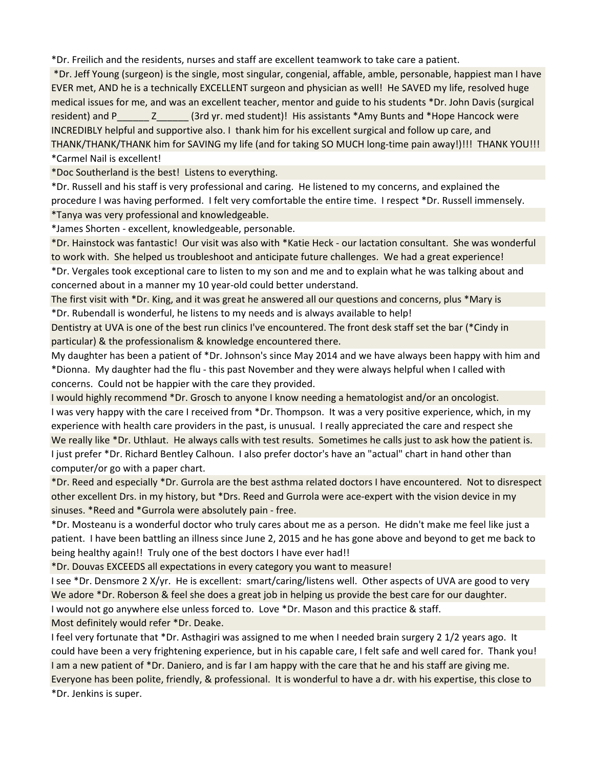\*Dr. Freilich and the residents, nurses and staff are excellent teamwork to take care a patient.

 \*Dr. Jeff Young (surgeon) is the single, most singular, congenial, affable, amble, personable, happiest man I have EVER met, AND he is a technically EXCELLENT surgeon and physician as well! He SAVED my life, resolved huge medical issues for me, and was an excellent teacher, mentor and guide to his students \*Dr. John Davis (surgical resident) and P and Z and Struck (3rd yr. med student)! His assistants \*Amy Bunts and \*Hope Hancock were INCREDIBLY helpful and supportive also. I thank him for his excellent surgical and follow up care, and THANK/THANK/THANK him for SAVING my life (and for taking SO MUCH long-time pain away!)!!! THANK YOU!!! \*Carmel Nail is excellent!

\*Doc Southerland is the best! Listens to everything.

\*Dr. Russell and his staff is very professional and caring. He listened to my concerns, and explained the procedure I was having performed. I felt very comfortable the entire time. I respect \*Dr. Russell immensely. \*Tanya was very professional and knowledgeable.

\*James Shorten - excellent, knowledgeable, personable.

\*Dr. Hainstock was fantastic! Our visit was also with \*Katie Heck - our lactation consultant. She was wonderful to work with. She helped us troubleshoot and anticipate future challenges. We had a great experience! \*Dr. Vergales took exceptional care to listen to my son and me and to explain what he was talking about and concerned about in a manner my 10 year-old could better understand.

The first visit with \*Dr. King, and it was great he answered all our questions and concerns, plus \*Mary is \*Dr. Rubendall is wonderful, he listens to my needs and is always available to help!

Dentistry at UVA is one of the best run clinics I've encountered. The front desk staff set the bar (\*Cindy in particular) & the professionalism & knowledge encountered there.

My daughter has been a patient of \*Dr. Johnson's since May 2014 and we have always been happy with him and \*Dionna. My daughter had the flu - this past November and they were always helpful when I called with concerns. Could not be happier with the care they provided.

I would highly recommend \*Dr. Grosch to anyone I know needing a hematologist and/or an oncologist. I was very happy with the care I received from \*Dr. Thompson. It was a very positive experience, which, in my experience with health care providers in the past, is unusual. I really appreciated the care and respect she We really like \*Dr. Uthlaut. He always calls with test results. Sometimes he calls just to ask how the patient is. I just prefer \*Dr. Richard Bentley Calhoun. I also prefer doctor's have an "actual" chart in hand other than computer/or go with a paper chart.

\*Dr. Reed and especially \*Dr. Gurrola are the best asthma related doctors I have encountered. Not to disrespect other excellent Drs. in my history, but \*Drs. Reed and Gurrola were ace-expert with the vision device in my sinuses. \*Reed and \*Gurrola were absolutely pain - free.

\*Dr. Mosteanu is a wonderful doctor who truly cares about me as a person. He didn't make me feel like just a patient. I have been battling an illness since June 2, 2015 and he has gone above and beyond to get me back to being healthy again!! Truly one of the best doctors I have ever had!!

\*Dr. Douvas EXCEEDS all expectations in every category you want to measure!

I see \*Dr. Densmore 2 X/yr. He is excellent: smart/caring/listens well. Other aspects of UVA are good to very We adore \*Dr. Roberson & feel she does a great job in helping us provide the best care for our daughter. I would not go anywhere else unless forced to. Love \*Dr. Mason and this practice & staff. Most definitely would refer \*Dr. Deake.

I feel very fortunate that \*Dr. Asthagiri was assigned to me when I needed brain surgery 2 1/2 years ago. It could have been a very frightening experience, but in his capable care, I felt safe and well cared for. Thank you! I am a new patient of \*Dr. Daniero, and is far I am happy with the care that he and his staff are giving me. Everyone has been polite, friendly, & professional. It is wonderful to have a dr. with his expertise, this close to \*Dr. Jenkins is super.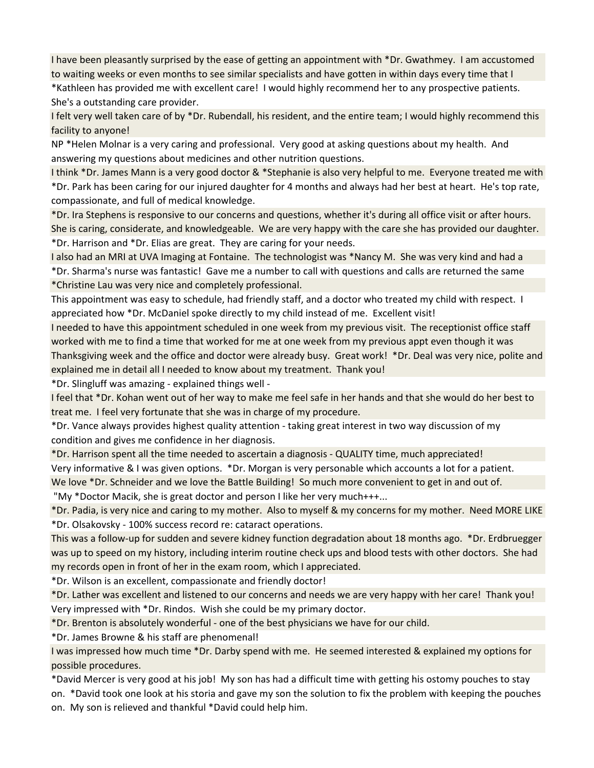I have been pleasantly surprised by the ease of getting an appointment with \*Dr. Gwathmey. I am accustomed to waiting weeks or even months to see similar specialists and have gotten in within days every time that I

\*Kathleen has provided me with excellent care! I would highly recommend her to any prospective patients. She's a outstanding care provider.

I felt very well taken care of by \*Dr. Rubendall, his resident, and the entire team; I would highly recommend this facility to anyone!

NP \*Helen Molnar is a very caring and professional. Very good at asking questions about my health. And answering my questions about medicines and other nutrition questions.

I think \*Dr. James Mann is a very good doctor & \*Stephanie is also very helpful to me. Everyone treated me with \*Dr. Park has been caring for our injured daughter for 4 months and always had her best at heart. He's top rate, compassionate, and full of medical knowledge.

\*Dr. Ira Stephens is responsive to our concerns and questions, whether it's during all office visit or after hours. She is caring, considerate, and knowledgeable. We are very happy with the care she has provided our daughter. \*Dr. Harrison and \*Dr. Elias are great. They are caring for your needs.

I also had an MRI at UVA Imaging at Fontaine. The technologist was \*Nancy M. She was very kind and had a \*Dr. Sharma's nurse was fantastic! Gave me a number to call with questions and calls are returned the same \*Christine Lau was very nice and completely professional.

This appointment was easy to schedule, had friendly staff, and a doctor who treated my child with respect. I appreciated how \*Dr. McDaniel spoke directly to my child instead of me. Excellent visit!

I needed to have this appointment scheduled in one week from my previous visit. The receptionist office staff worked with me to find a time that worked for me at one week from my previous appt even though it was Thanksgiving week and the office and doctor were already busy. Great work! \*Dr. Deal was very nice, polite and explained me in detail all I needed to know about my treatment. Thank you!

\*Dr. Slingluff was amazing - explained things well -

I feel that \*Dr. Kohan went out of her way to make me feel safe in her hands and that she would do her best to treat me. I feel very fortunate that she was in charge of my procedure.

\*Dr. Vance always provides highest quality attention - taking great interest in two way discussion of my condition and gives me confidence in her diagnosis.

\*Dr. Harrison spent all the time needed to ascertain a diagnosis - QUALITY time, much appreciated!

Very informative & I was given options. \*Dr. Morgan is very personable which accounts a lot for a patient.

We love \*Dr. Schneider and we love the Battle Building! So much more convenient to get in and out of.

"My \*Doctor Macik, she is great doctor and person I like her very much+++...

\*Dr. Padia, is very nice and caring to my mother. Also to myself & my concerns for my mother. Need MORE LIKE \*Dr. Olsakovsky - 100% success record re: cataract operations.

This was a follow-up for sudden and severe kidney function degradation about 18 months ago. \*Dr. Erdbruegger was up to speed on my history, including interim routine check ups and blood tests with other doctors. She had my records open in front of her in the exam room, which I appreciated.

\*Dr. Wilson is an excellent, compassionate and friendly doctor!

\*Dr. Lather was excellent and listened to our concerns and needs we are very happy with her care! Thank you! Very impressed with \*Dr. Rindos. Wish she could be my primary doctor.

\*Dr. Brenton is absolutely wonderful - one of the best physicians we have for our child.

\*Dr. James Browne & his staff are phenomenal!

I was impressed how much time \*Dr. Darby spend with me. He seemed interested & explained my options for possible procedures.

\*David Mercer is very good at his job! My son has had a difficult time with getting his ostomy pouches to stay on. \*David took one look at his storia and gave my son the solution to fix the problem with keeping the pouches on. My son is relieved and thankful \*David could help him.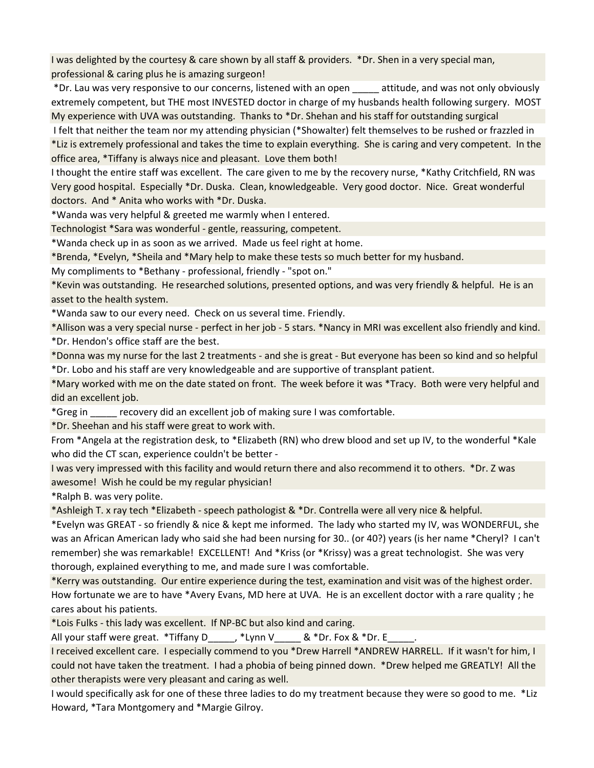I was delighted by the courtesy & care shown by all staff & providers. \*Dr. Shen in a very special man, professional & caring plus he is amazing surgeon!

 \*Dr. Lau was very responsive to our concerns, listened with an open \_\_\_\_\_ attitude, and was not only obviously extremely competent, but THE most INVESTED doctor in charge of my husbands health following surgery. MOST My experience with UVA was outstanding. Thanks to \*Dr. Shehan and his staff for outstanding surgical

 I felt that neither the team nor my attending physician (\*Showalter) felt themselves to be rushed or frazzled in \*Liz is extremely professional and takes the time to explain everything. She is caring and very competent. In the office area, \*Tiffany is always nice and pleasant. Love them both!

I thought the entire staff was excellent. The care given to me by the recovery nurse, \*Kathy Critchfield, RN was Very good hospital. Especially \*Dr. Duska. Clean, knowledgeable. Very good doctor. Nice. Great wonderful doctors. And \* Anita who works with \*Dr. Duska.

\*Wanda was very helpful & greeted me warmly when I entered.

Technologist \*Sara was wonderful - gentle, reassuring, competent.

\*Wanda check up in as soon as we arrived. Made us feel right at home.

\*Brenda, \*Evelyn, \*Sheila and \*Mary help to make these tests so much better for my husband.

My compliments to \*Bethany - professional, friendly - "spot on."

\*Kevin was outstanding. He researched solutions, presented options, and was very friendly & helpful. He is an asset to the health system.

\*Wanda saw to our every need. Check on us several time. Friendly.

\*Allison was a very special nurse - perfect in her job - 5 stars. \*Nancy in MRI was excellent also friendly and kind. \*Dr. Hendon's office staff are the best.

\*Donna was my nurse for the last 2 treatments - and she is great - But everyone has been so kind and so helpful \*Dr. Lobo and his staff are very knowledgeable and are supportive of transplant patient.

\*Mary worked with me on the date stated on front. The week before it was \*Tracy. Both were very helpful and did an excellent job.

\*Greg in \_\_\_\_\_ recovery did an excellent job of making sure I was comfortable.

\*Dr. Sheehan and his staff were great to work with.

From \*Angela at the registration desk, to \*Elizabeth (RN) who drew blood and set up IV, to the wonderful \*Kale who did the CT scan, experience couldn't be better -

I was very impressed with this facility and would return there and also recommend it to others. \*Dr. Z was awesome! Wish he could be my regular physician!

\*Ralph B. was very polite.

\*Ashleigh T. x ray tech \*Elizabeth - speech pathologist & \*Dr. Contrella were all very nice & helpful.

\*Evelyn was GREAT - so friendly & nice & kept me informed. The lady who started my IV, was WONDERFUL, she was an African American lady who said she had been nursing for 30.. (or 40?) years (is her name \*Cheryl? I can't remember) she was remarkable! EXCELLENT! And \*Kriss (or \*Krissy) was a great technologist. She was very thorough, explained everything to me, and made sure I was comfortable.

\*Kerry was outstanding. Our entire experience during the test, examination and visit was of the highest order. How fortunate we are to have \*Avery Evans, MD here at UVA. He is an excellent doctor with a rare quality ; he cares about his patients.

\*Lois Fulks - this lady was excellent. If NP-BC but also kind and caring.

All your staff were great.  $*Tiff$ any D $*Lym V$  &  $*Dr.$  Fox &  $*Dr. E$ 

I received excellent care. I especially commend to you \*Drew Harrell \*ANDREW HARRELL. If it wasn't for him, I could not have taken the treatment. I had a phobia of being pinned down. \*Drew helped me GREATLY! All the other therapists were very pleasant and caring as well.

I would specifically ask for one of these three ladies to do my treatment because they were so good to me. \*Liz Howard, \*Tara Montgomery and \*Margie Gilroy.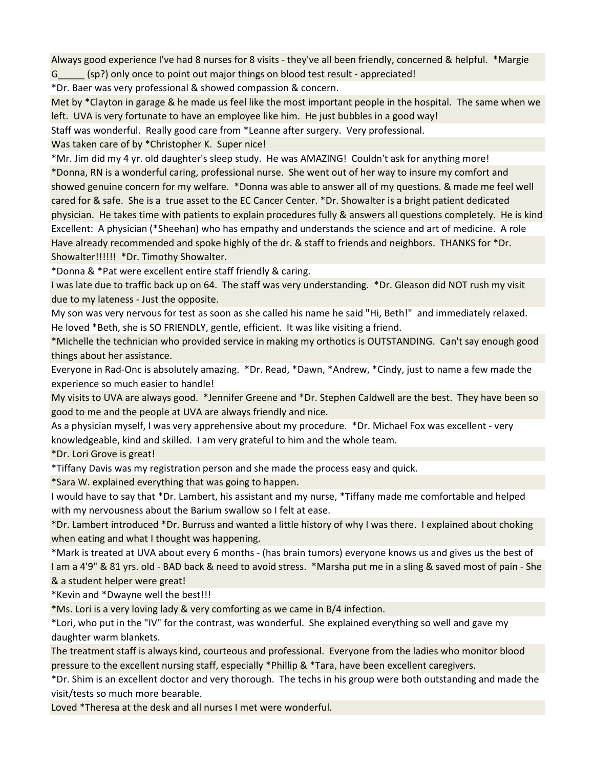Always good experience I've had 8 nurses for 8 visits - they've all been friendly, concerned & helpful. \*Margie G<sub>sp?</sub>) only once to point out major things on blood test result - appreciated!

\*Dr. Baer was very professional & showed compassion & concern.

Met by \*Clayton in garage & he made us feel like the most important people in the hospital. The same when we left. UVA is very fortunate to have an employee like him. He just bubbles in a good way!

Staff was wonderful. Really good care from \*Leanne after surgery. Very professional.

Was taken care of by \*Christopher K. Super nice!

\*Mr. Jim did my 4 yr. old daughter's sleep study. He was AMAZING! Couldn't ask for anything more! \*Donna, RN is a wonderful caring, professional nurse. She went out of her way to insure my comfort and showed genuine concern for my welfare. \*Donna was able to answer all of my questions. & made me feel well cared for & safe. She is a true asset to the EC Cancer Center. \*Dr. Showalter is a bright patient dedicated physician. He takes time with patients to explain procedures fully & answers all questions completely. He is kind Excellent: A physician (\*Sheehan) who has empathy and understands the science and art of medicine. A role Have already recommended and spoke highly of the dr. & staff to friends and neighbors. THANKS for \*Dr. Showalter!!!!!! \*Dr. Timothy Showalter.

\*Donna & \*Pat were excellent entire staff friendly & caring.

I was late due to traffic back up on 64. The staff was very understanding. \*Dr. Gleason did NOT rush my visit due to my lateness - Just the opposite.

My son was very nervous for test as soon as she called his name he said "Hi, Beth!" and immediately relaxed. He loved \*Beth, she is SO FRIENDLY, gentle, efficient. It was like visiting a friend.

\*Michelle the technician who provided service in making my orthotics is OUTSTANDING. Can't say enough good things about her assistance.

Everyone in Rad-Onc is absolutely amazing. \*Dr. Read, \*Dawn, \*Andrew, \*Cindy, just to name a few made the experience so much easier to handle!

My visits to UVA are always good. \*Jennifer Greene and \*Dr. Stephen Caldwell are the best. They have been so good to me and the people at UVA are always friendly and nice.

As a physician myself, I was very apprehensive about my procedure. \*Dr. Michael Fox was excellent - very knowledgeable, kind and skilled. I am very grateful to him and the whole team.

\*Dr. Lori Grove is great!

\*Tiffany Davis was my registration person and she made the process easy and quick.

\*Sara W. explained everything that was going to happen.

I would have to say that \*Dr. Lambert, his assistant and my nurse, \*Tiffany made me comfortable and helped with my nervousness about the Barium swallow so I felt at ease.

\*Dr. Lambert introduced \*Dr. Burruss and wanted a little history of why I was there. I explained about choking when eating and what I thought was happening.

\*Mark is treated at UVA about every 6 months - (has brain tumors) everyone knows us and gives us the best of I am a 4'9" & 81 yrs. old - BAD back & need to avoid stress. \*Marsha put me in a sling & saved most of pain - She & a student helper were great!

\*Kevin and \*Dwayne well the best!!!

\*Ms. Lori is a very loving lady & very comforting as we came in B/4 infection.

\*Lori, who put in the "IV" for the contrast, was wonderful. She explained everything so well and gave my daughter warm blankets.

The treatment staff is always kind, courteous and professional. Everyone from the ladies who monitor blood pressure to the excellent nursing staff, especially \*Phillip & \*Tara, have been excellent caregivers.

\*Dr. Shim is an excellent doctor and very thorough. The techs in his group were both outstanding and made the visit/tests so much more bearable.

Loved \*Theresa at the desk and all nurses I met were wonderful.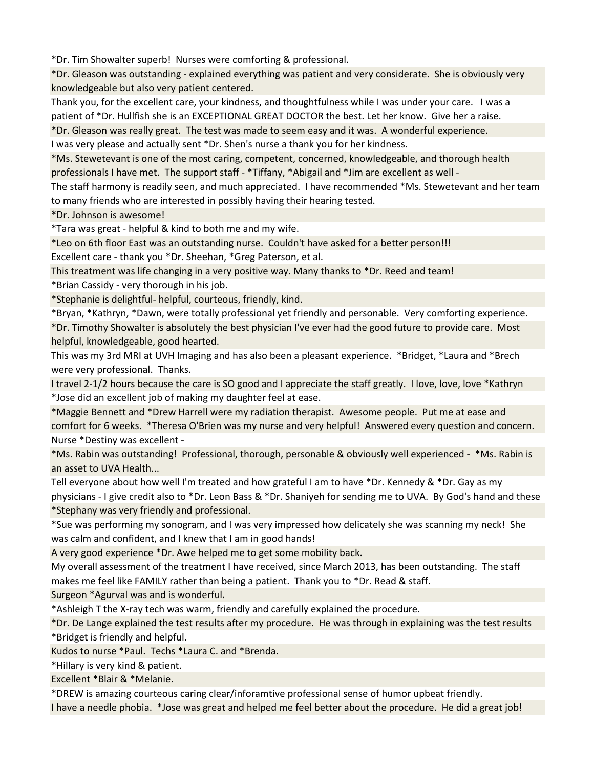\*Dr. Tim Showalter superb! Nurses were comforting & professional.

\*Dr. Gleason was outstanding - explained everything was patient and very considerate. She is obviously very knowledgeable but also very patient centered.

Thank you, for the excellent care, your kindness, and thoughtfulness while I was under your care. I was a patient of \*Dr. Hullfish she is an EXCEPTIONAL GREAT DOCTOR the best. Let her know. Give her a raise.

\*Dr. Gleason was really great. The test was made to seem easy and it was. A wonderful experience.

I was very please and actually sent \*Dr. Shen's nurse a thank you for her kindness.

\*Ms. Stewetevant is one of the most caring, competent, concerned, knowledgeable, and thorough health professionals I have met. The support staff - \*Tiffany, \*Abigail and \*Jim are excellent as well -

The staff harmony is readily seen, and much appreciated. I have recommended \*Ms. Stewetevant and her team to many friends who are interested in possibly having their hearing tested.

\*Dr. Johnson is awesome!

\*Tara was great - helpful & kind to both me and my wife.

\*Leo on 6th floor East was an outstanding nurse. Couldn't have asked for a better person!!!

Excellent care - thank you \*Dr. Sheehan, \*Greg Paterson, et al.

This treatment was life changing in a very positive way. Many thanks to \*Dr. Reed and team!

\*Brian Cassidy - very thorough in his job.

\*Stephanie is delightful- helpful, courteous, friendly, kind.

\*Bryan, \*Kathryn, \*Dawn, were totally professional yet friendly and personable. Very comforting experience. \*Dr. Timothy Showalter is absolutely the best physician I've ever had the good future to provide care. Most helpful, knowledgeable, good hearted.

This was my 3rd MRI at UVH Imaging and has also been a pleasant experience. \*Bridget, \*Laura and \*Brech were very professional. Thanks.

I travel 2-1/2 hours because the care is SO good and I appreciate the staff greatly. I love, love, love \*Kathryn \*Jose did an excellent job of making my daughter feel at ease.

\*Maggie Bennett and \*Drew Harrell were my radiation therapist. Awesome people. Put me at ease and comfort for 6 weeks. \*Theresa O'Brien was my nurse and very helpful! Answered every question and concern. Nurse \*Destiny was excellent -

\*Ms. Rabin was outstanding! Professional, thorough, personable & obviously well experienced - \*Ms. Rabin is an asset to UVA Health...

Tell everyone about how well I'm treated and how grateful I am to have \*Dr. Kennedy & \*Dr. Gay as my physicians - I give credit also to \*Dr. Leon Bass & \*Dr. Shaniyeh for sending me to UVA. By God's hand and these \*Stephany was very friendly and professional.

\*Sue was performing my sonogram, and I was very impressed how delicately she was scanning my neck! She was calm and confident, and I knew that I am in good hands!

A very good experience \*Dr. Awe helped me to get some mobility back.

My overall assessment of the treatment I have received, since March 2013, has been outstanding. The staff makes me feel like FAMILY rather than being a patient. Thank you to \*Dr. Read & staff.

Surgeon \*Agurval was and is wonderful.

\*Ashleigh T the X-ray tech was warm, friendly and carefully explained the procedure.

\*Dr. De Lange explained the test results after my procedure. He was through in explaining was the test results

\*Bridget is friendly and helpful.

Kudos to nurse \*Paul. Techs \*Laura C. and \*Brenda.

\*Hillary is very kind & patient.

Excellent \*Blair & \*Melanie.

\*DREW is amazing courteous caring clear/inforamtive professional sense of humor upbeat friendly.

I have a needle phobia. \*Jose was great and helped me feel better about the procedure. He did a great job!